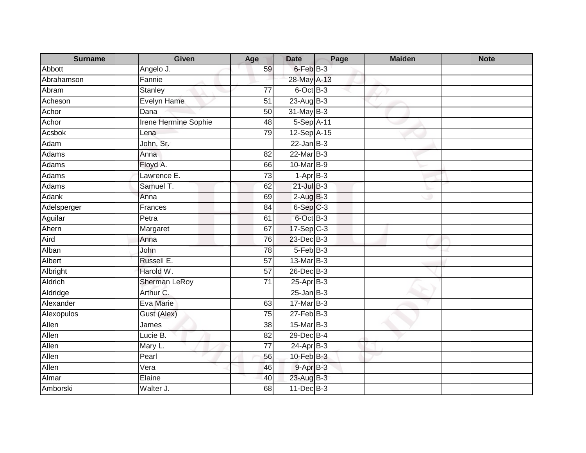| <b>Surname</b> | <b>Given</b>                | Age             | <b>Date</b>          | Page | <b>Maiden</b> | <b>Note</b> |
|----------------|-----------------------------|-----------------|----------------------|------|---------------|-------------|
| Abbott         | Angelo J.                   | 59              | $6$ -Feb $B-3$       |      |               |             |
| Abrahamson     | Fannie                      |                 | 28-May A-13          |      |               |             |
| Abram          | <b>Stanley</b>              | 77              | 6-Oct B-3            |      |               |             |
| Acheson        | Evelyn Hame                 | 51              | 23-Aug B-3           |      |               |             |
| Achor          | Dana                        | 50              | 31-May B-3           |      |               |             |
| Achor          | <b>Irene Hermine Sophie</b> | 48              | 5-Sep A-11           |      |               |             |
| Acsbok         | Lena                        | 79              | 12-Sep A-15          |      |               |             |
| Adam           | John, Sr.                   |                 | $22$ -Jan B-3        |      |               |             |
| Adams          | Anna                        | 82              | $22$ -Mar $B-3$      |      |               |             |
| Adams          | Floyd A.                    | 66              | 10-Mar B-9           |      |               |             |
| Adams          | Lawrence E.                 | $\overline{73}$ | $1-AprB-3$           |      |               |             |
| Adams          | Samuel T.                   | 62              | $21$ -Jul $B-3$      |      |               |             |
| Adank          | Anna                        | 69              | $2-AugB-3$           |      |               |             |
| Adelsperger    | Frances                     | $\overline{84}$ | 6-Sep <sub>C-3</sub> |      |               |             |
| Aguilar        | Petra                       | 61              | 6-Oct B-3            |      |               |             |
| Ahern          | Margaret                    | 67              | $17-Sep$ $C-3$       |      |               |             |
| Aird           | Anna                        | 76              | 23-Dec B-3           |      |               |             |
| Alban          | John                        | 78              | 5-Feb B-3            |      |               |             |
| Albert         | Russell E.                  | 57              | 13-Mar B-3           |      |               |             |
| Albright       | Harold W.                   | 57              | 26-Dec B-3           |      |               |             |
| Aldrich        | <b>Sherman LeRoy</b>        | 71              | $25-AprB-3$          |      |               |             |
| Aldridge       | Arthur C.                   |                 | $25$ -Jan B-3        |      |               |             |
| Alexander      | Eva Marie                   | 63              | 17-Mar B-3           |      |               |             |
| Alexopulos     | Gust (Alex)                 | 75              | $27$ -Feb $B-3$      |      |               |             |
| Allen          | James                       | 38              | 15-Mar B-3           |      |               |             |
| Allen          | Lucie B.                    | $\overline{82}$ | 29-Dec B-4           |      |               |             |
| Allen          | Mary L.                     | $\overline{77}$ | $24-Apr$ B-3         |      |               |             |
| Allen          | $\overline{Pear}$           | 56              | $10$ -Feb $B-3$      |      |               |             |
| Allen          | Vera                        | 46              | $9 - AprB - 3$       |      |               |             |
| Almar          | Elaine                      | 40              | 23-Aug B-3           |      |               |             |
| Amborski       | Walter J.                   | 68              | $11$ -Dec $B-3$      |      |               |             |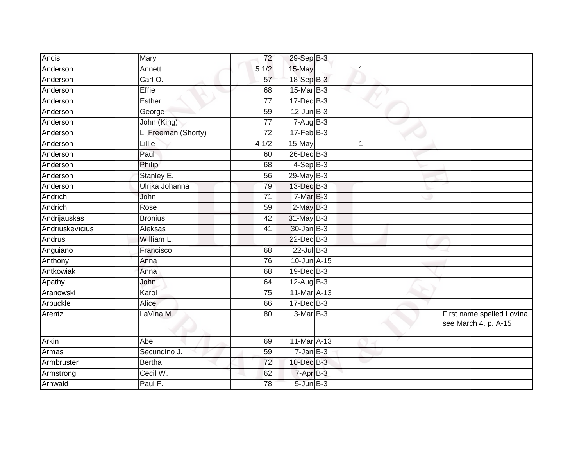| Ancis           | Mary                | 72              | 29-Sep B-3        |  |                                                    |
|-----------------|---------------------|-----------------|-------------------|--|----------------------------------------------------|
| Anderson        | Annett              | 51/2            | 15-May            |  |                                                    |
| Anderson        | Carl O.             | 57              | 18-Sep B-3        |  |                                                    |
| Anderson        | Effie               | 68              | $15$ -Mar $ B-3 $ |  |                                                    |
| Anderson        | <b>Esther</b>       | $\overline{77}$ | $17 - Dec$ B-3    |  |                                                    |
| Anderson        | George              | 59              | $12$ -Jun $B-3$   |  |                                                    |
| Anderson        | John (King)         | 77              | $7 - Aug$ B-3     |  |                                                    |
| Anderson        | L. Freeman (Shorty) | $\overline{72}$ | $17 - Feb$ $B-3$  |  |                                                    |
| Anderson        | Lillie              | 41/2            | 15-May            |  |                                                    |
| Anderson        | Paul                | 60              | $26$ -Dec $B-3$   |  |                                                    |
| Anderson        | Philip              | 68              | $4-SepB-3$        |  |                                                    |
| Anderson        | Stanley E.          | 56              | $29$ -May B-3     |  |                                                    |
| Anderson        | Ulrika Johanna      | 79              | 13-Dec B-3        |  |                                                    |
| Andrich         | John                | 71              | $7-MarB-3$        |  |                                                    |
| Andrich         | Rose                | 59              | $2$ -May $B-3$    |  |                                                    |
| Andrijauskas    | <b>Bronius</b>      | 42              | 31-May B-3        |  |                                                    |
| Andriuskevicius | Aleksas             | 41              | 30-Jan B-3        |  |                                                    |
| Andrus          | William L.          |                 | $22$ -Dec $B-3$   |  |                                                    |
| Anguiano        | Francisco           | 68              | $22$ -Jul B-3     |  |                                                    |
| Anthony         | Anna                | 76              | 10-Jun A-15       |  |                                                    |
| Antkowiak       | Anna                | 68              | 19-Dec B-3        |  |                                                    |
| Apathy          | John                | 64              | $12$ -Aug B-3     |  |                                                    |
| Aranowski       | Karol               | $\overline{75}$ | 11-Mar A-13       |  |                                                    |
| Arbuckle        | <b>Alice</b>        | 66              | 17-Dec B-3        |  |                                                    |
| Arentz          | LaVina M.           | 80              | $3-Mar$ B-3       |  | First name spelled Lovina,<br>see March 4, p. A-15 |
| Arkin           | Abe                 | 69              | 11-Mar A-13       |  |                                                    |
| Armas           | Secundino J.        | 59              | $7$ -Jan $B-3$    |  |                                                    |
| Armbruster      | <b>Bertha</b>       | $\overline{72}$ | 10-Dec B-3        |  |                                                    |
| Armstrong       | Cecil W.            | 62              | 7-Apr B-3         |  |                                                    |
| Arnwald         | Paul F.             | 78              | $5$ -Jun $B-3$    |  |                                                    |
|                 |                     |                 |                   |  |                                                    |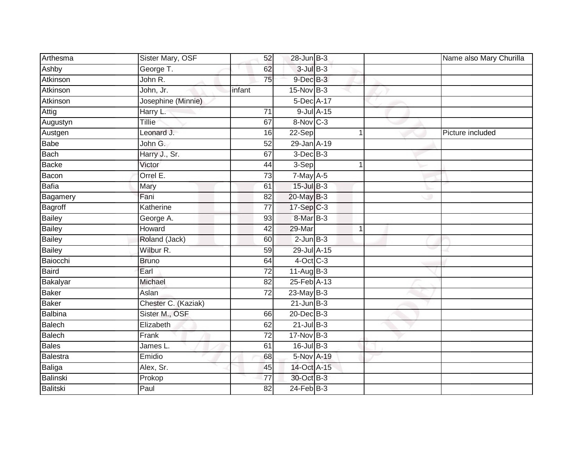| Arthesma      | Sister Mary, OSF    | 52              | $28$ -Jun $B-3$ |            |   | Name also Mary Churilla |
|---------------|---------------------|-----------------|-----------------|------------|---|-------------------------|
| Ashby         | George T.           | 62              | $3$ -Jul $B-3$  |            |   |                         |
| Atkinson      | John R.             | 75              | $9$ -Dec $B-3$  |            |   |                         |
| Atkinson      | John, Jr.           | infant          | $15$ -Nov $B-3$ |            |   |                         |
| Atkinson      | Josephine (Minnie)  |                 | 5-Dec A-17      |            |   |                         |
| Attig         | Harry L.            | 71              |                 | 9-Jul A-15 |   |                         |
| Augustyn      | Tillie              | 67              | 8-Nov C-3       |            |   |                         |
| Austgen       | Leonard J.          | 16              | 22-Sep          |            | 1 | Picture included        |
| <b>Babe</b>   | John G.             | 52              | 29-Jan A-19     |            |   |                         |
| Bach          | Harry J., Sr.       | 67              | $3$ -Dec $B-3$  |            |   |                         |
| Backe         | Victor              | 44              | 3-Sep           |            | 1 |                         |
| Bacon         | Orrel E.            | 73              | 7-May A-5       |            |   |                         |
| Bafia         | Mary                | 61              | $15$ -Jul $B-3$ |            |   |                         |
| Bagamery      | Fani                | 82              | 20-May B-3      |            |   |                         |
| Bagroff       | Katherine           | $\overline{77}$ | 17-Sep C-3      |            |   |                         |
| Bailey        | George A.           | 93              | 8-Mar B-3       |            |   |                         |
| <b>Bailey</b> | Howard              | 42              | 29-Mar          |            | 1 |                         |
| <b>Bailey</b> | Roland (Jack)       | 60              | $2$ -Jun $B-3$  |            |   |                         |
| Bailey        | Wilbur R.           | 59              | 29-Jul A-15     |            |   |                         |
| Baiocchi      | <b>Bruno</b>        | 64              | $4$ -Oct C-3    |            |   |                         |
| Baird         | Earl                | 72              | $11-Aug$ B-3    |            |   |                         |
| Bakalyar      | Michael             | 82              | 25-Feb A-13     |            |   |                         |
| Baker         | Aslan               | 72              | $23$ -May B-3   |            |   |                         |
| Baker         | Chester C. (Kaziak) |                 | $21$ -Jun $B-3$ |            |   |                         |
| Balbina       | Sister M., OSF      | 66              | 20-Dec B-3      |            |   |                         |
| Balech        | Elizabeth           | 62              | $21$ -Jul $B-3$ |            |   |                         |
| Balech        | Frank               | $\overline{72}$ | 17-Nov B-3      |            |   |                         |
| Bales         | James L.            | 61              | 16-Jul B-3      |            |   |                         |
| Balestra      | Emidio              | 68              | 5-Nov A-19      |            |   |                         |
| Baliga        | Alex, Sr.           | 45              | 14-Oct A-15     |            |   |                         |
| Balinski      | Prokop              | $\overline{77}$ | 30-Oct B-3      |            |   |                         |
| Balitski      | Paul                | 82              | $24$ -Feb $B-3$ |            |   |                         |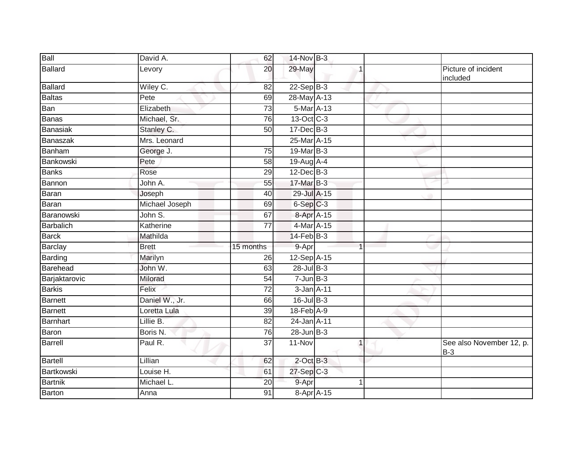| Ball           | David A.       | 62              | 14-Nov B-3              |                |   |                                   |
|----------------|----------------|-----------------|-------------------------|----------------|---|-----------------------------------|
| <b>Ballard</b> | Levory         | 20              | 29-May                  |                |   | Picture of incident<br>included   |
| <b>Ballard</b> | Wiley C.       | $\overline{82}$ | $22-Sep$ B-3            |                |   |                                   |
| <b>Baltas</b>  | Pete           | 69              | 28-May A-13             |                |   |                                   |
| Ban            | Elizabeth      | 73              | 5-Mar A-13              |                | v |                                   |
| <b>Banas</b>   | Michael, Sr.   | 76              | 13-Oct C-3              |                |   |                                   |
| Banasiak       | Stanley C.     | 50              | 17-Dec B-3              |                |   |                                   |
| Banaszak       | Mrs. Leonard   |                 | 25-Mar A-15             |                |   |                                   |
| Banham         | George J.      | $\overline{75}$ | 19-Mar B-3              |                |   |                                   |
| Bankowski      | Pete           | 58              | 19-Aug A-4              |                |   |                                   |
| <b>Banks</b>   | Rose           | 29              | $12$ -Dec $B-3$         |                |   |                                   |
| Bannon         | John A.        | 55              | 17-Mar B-3              |                |   |                                   |
| <b>Baran</b>   | Joseph         | 40              | 29-Jul A-15             |                |   |                                   |
| Baran          | Michael Joseph | 69              | $6-Sep$ $C-3$           |                |   |                                   |
| Baranowski     | John S.        | 67              | 8-Apr A-15              |                |   |                                   |
| Barbalich      | Katherine      | $\overline{77}$ | 4-Mar A-15              |                |   |                                   |
| <b>Barck</b>   | Mathilda       |                 | $14$ -Feb $B-3$         |                |   |                                   |
| Barclay        | <b>Brett</b>   | 15 months       | 9-Apr                   | $\overline{1}$ |   |                                   |
| Barding        | Marilyn        | 26              | 12-Sep A-15             |                |   |                                   |
| Barehead       | John W.        | 63              | $28$ -Jul B-3           |                |   |                                   |
| Barjaktarovic  | Milorad        | 54              | $7 - Jun$ B-3           |                |   |                                   |
| <b>Barkis</b>  | Felix          | $\overline{72}$ | 3-Jan A-11              |                |   |                                   |
| <b>Barnett</b> | Daniel W., Jr. | 66              | 16-Jul B-3              |                |   |                                   |
| <b>Barnett</b> | Loretta Lula   | 39              | 18-Feb A-9              |                |   |                                   |
| Barnhart       | Lillie B.      | 82              | 24-Jan A-11             |                |   |                                   |
| Baron          | Boris N.       | 76              | $28$ -Jun $B-3$         |                |   |                                   |
| Barrell        | Paul R.        | $\overline{37}$ | $11-Nov$                | 1              |   | See also November 12, p.<br>$B-3$ |
| <b>Bartell</b> | Lillian        | 62              | $2$ -Oct $B-3$          |                |   |                                   |
| Bartkowski     | Louise H.      | 61              | $27-Sep$ <sub>C-3</sub> |                |   |                                   |
| <b>Bartnik</b> | Michael L.     | $\overline{20}$ | 9-Apr                   |                |   |                                   |
| Barton         | Anna           | 91              | 8-Apr A-15              |                |   |                                   |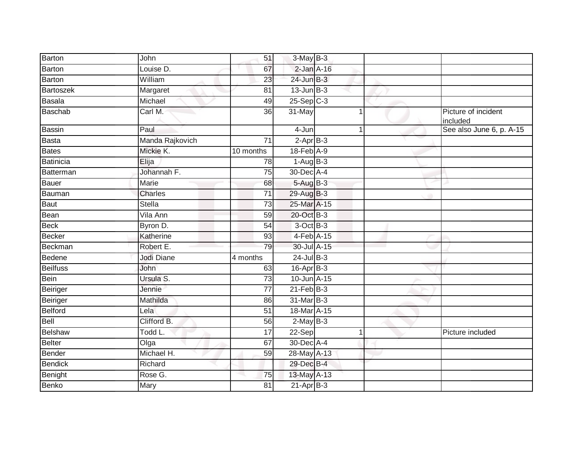| Barton          | John            | 51              | $3-May$ B-3                 |             |                                 |
|-----------------|-----------------|-----------------|-----------------------------|-------------|---------------------------------|
| <b>Barton</b>   | Louise D.       | 67              | $2$ -Jan $A-16$             |             |                                 |
| Barton          | William         | 23              | 24-Jun B-3                  |             |                                 |
| Bartoszek       | Margaret        | 81              | $13$ -Jun $B-3$             |             |                                 |
| Basala          | Michael         | 49              | $25-Sep$ $C-3$              |             |                                 |
| Baschab         | Carl M.         | 36              | $31 - May$                  |             | Picture of incident<br>included |
| <b>Bassin</b>   | Paul            |                 | 4-Jun                       | $\mathbf 1$ | See also June 6, p. A-15        |
| <b>Basta</b>    | Manda Rajkovich | 71              | $2$ -Apr $B-3$              |             |                                 |
| <b>Bates</b>    | Mickie K.       | 10 months       | 18-Feb A-9                  |             |                                 |
| Batinicia       | Elija           | 78              | $1-AugB-3$                  |             |                                 |
| Batterman       | Johannah F.     | 75              | 30-Dec A-4                  |             |                                 |
| <b>Bauer</b>    | Marie           | 68              | 5-Aug B-3                   |             |                                 |
| Bauman          | <b>Charles</b>  | 71              | 29-Aug B-3                  |             |                                 |
| <b>Baut</b>     | Stella          | $\overline{73}$ | 25-Mar A-15                 |             |                                 |
| Bean            | Vila Ann        | 59              | 20-Oct B-3                  |             |                                 |
| <b>Beck</b>     | Byron D.        | 54              | 3-Oct B-3                   |             |                                 |
| <b>Becker</b>   | Katherine       | 93              | 4-Feb A-15                  |             |                                 |
| Beckman         | Robert E.       | 79              | 30-Jul A-15                 |             |                                 |
| <b>Bedene</b>   | Jodi Diane      | 4 months        | $24$ -Jul B-3               |             |                                 |
| <b>Beilfuss</b> | John            | 63              | $16$ -Apr $B-3$             |             |                                 |
| <b>Bein</b>     | Ursula S.       | 73              | 10-Jun A-15                 |             |                                 |
| Beiriger        | Jennie          | 77              | $21$ -Feb $\overline{B}$ -3 |             |                                 |
| Beiriger        | Mathilda        | 86              | 31-Mar B-3                  |             |                                 |
| Belford         | Lela            | 51              | 18-Mar A-15                 |             |                                 |
| Bell            | Clifford B.     | 56              | $2-MayB-3$                  |             |                                 |
| <b>Belshaw</b>  | Todd L.         | 17              | 22-Sep                      | 1           | Picture included                |
| <b>Belter</b>   | Olga            | 67              | 30-Dec A-4                  |             |                                 |
| Bender          | Michael H.      | 59              | 28-May A-13                 |             |                                 |
| <b>Bendick</b>  | Richard         |                 | 29-Dec B-4                  |             |                                 |
| Benight         | Rose G.         | 75              | 13-May A-13                 |             |                                 |
| <b>Benko</b>    | Mary            | 81              | $21-Apr$ B-3                |             |                                 |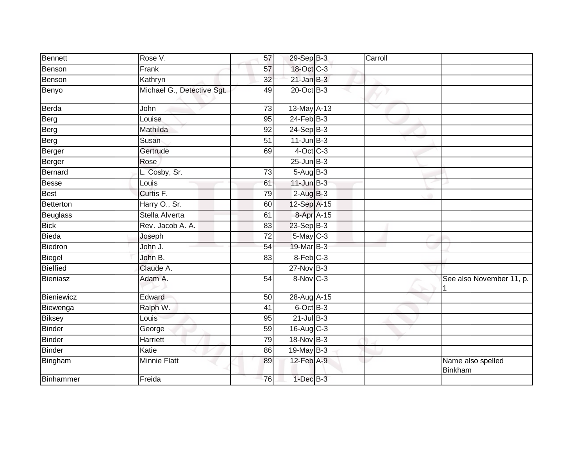| Bennett         | Rose V.                    | 57              | 29-Sep B-3      | Carroll |                              |
|-----------------|----------------------------|-----------------|-----------------|---------|------------------------------|
| Benson          | Frank                      | 57              | 18-Oct C-3      |         |                              |
| Benson          | Kathryn                    | $\overline{32}$ | $21$ -Jan B-3   |         |                              |
| Benyo           | Michael G., Detective Sgt. | 49              | 20-Oct B-3      |         |                              |
| Berda           | John                       | 73              | 13-May A-13     | v       |                              |
| Berg            | Louise                     | 95              | $24$ -Feb $B-3$ |         |                              |
| Berg            | Mathilda                   | 92              | $24-Sep$ B-3    |         |                              |
| Berg            | Susan                      | $\overline{51}$ | $11$ -Jun $B-3$ |         |                              |
| Berger          | Gertrude                   | 69              | $4$ -Oct C-3    |         |                              |
| Berger          | Rose                       |                 | $25$ -Jun $B-3$ |         |                              |
| Bernard         | L. Cosby, Sr.              | $\overline{73}$ | 5-Aug B-3       |         |                              |
| <b>Besse</b>    | Louis                      | 61              | $11$ -Jun $B-3$ |         |                              |
| Best            | Curtis F.                  | 79              | $2-AugB-3$      |         |                              |
| Betterton       | Harry O., Sr.              | 60              | 12-Sep A-15     |         |                              |
| Beuglass        | Stella Alverta             | 61              | 8-Apr A-15      |         |                              |
| <b>Bick</b>     | Rev. Jacob A. A.           | 83              | 23-Sep B-3      |         |                              |
| Bieda           | Joseph                     | 72              | 5-May C-3       |         |                              |
| Biedron         | John J.                    | 54              | 19-Mar B-3      |         |                              |
| Biegel          | John B.                    | 83              | 8-Feb C-3       |         |                              |
| <b>Bielfied</b> | Claude A.                  |                 | $27$ -Nov $B-3$ |         |                              |
| Bieniasz        | Adam A.                    | 54              | $8-Nov$ C-3     |         | See also November 11, p.     |
| Bieniewicz      | Edward                     | 50              | 28-Aug A-15     |         |                              |
| Biewenga        | Ralph W.                   | 41              | 6-Oct B-3       |         |                              |
| <b>Biksey</b>   | Louis                      | 95              | $21$ -Jul $B-3$ |         |                              |
| <b>Binder</b>   | George                     | 59              | $16$ -Aug C-3   |         |                              |
| Binder          | Harriett                   | 79              | 18-Nov B-3      |         |                              |
| <b>Binder</b>   | Katie                      | 86              | $19$ -May B-3   |         |                              |
| Bingham         | Minnie Flatt               | 89              | 12-Feb A-9      |         | Name also spelled<br>Binkham |
| Binhammer       | Freida                     | 76              | $1$ -Dec $B-3$  |         |                              |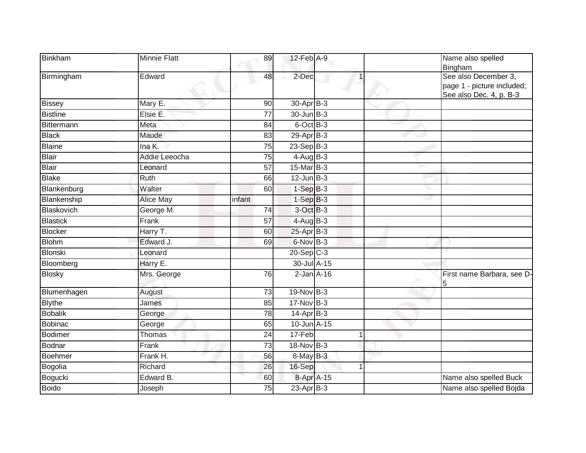| Binkham         | <b>Minnie Flatt</b> | 89              | 12-Feb A-9            |             | Name also spelled<br>Bingham                                                  |
|-----------------|---------------------|-----------------|-----------------------|-------------|-------------------------------------------------------------------------------|
| Birmingham      | Edward              | 48              | 2-Dec                 |             | See also December 3,<br>page 1 - picture included;<br>See also Dec. 4, p. B-3 |
| <b>Bissey</b>   | Mary E.             | 90              | 30-Apr <sub>B-3</sub> |             |                                                                               |
| <b>Bistline</b> | Elsie E.            | $\overline{77}$ | $30 - Jun$ $B-3$      |             |                                                                               |
| Bittermann      | Meta                | 84              | 6-Oct B-3             |             |                                                                               |
| <b>Black</b>    | Maude               | 83              | $29-Apr$ B-3          |             |                                                                               |
| <b>Blaine</b>   | Ina K.              | 75              | 23-Sep B-3            |             |                                                                               |
| Blair           | Addie Leeocha       | 75              | $4$ -Aug B-3          |             |                                                                               |
| <b>Blair</b>    | Leonard             | $\overline{57}$ | 15-Mar B-3            |             |                                                                               |
| <b>Blake</b>    | Ruth                | 66              | $12$ -Jun $B-3$       |             |                                                                               |
| Blankenburg     | Walter              | 60              | $1-Sep$ B-3           |             |                                                                               |
| Blankenship     | <b>Alice May</b>    | infant          | $1-SepB-3$            |             |                                                                               |
| Blaskovich      | George M.           | 74              | 3-Oct B-3             |             |                                                                               |
| <b>Blastick</b> | Frank               | $\overline{57}$ | $4-AugB-3$            |             |                                                                               |
| <b>Blocker</b>  | Harry T.            | 60              | $25$ -Apr $B$ -3      |             |                                                                               |
| <b>Blohm</b>    | Edward J.           | 69              | 6-Nov B-3             |             |                                                                               |
| Blonski         | Leonard             |                 | $20 - Sep$ C-3        |             |                                                                               |
| Bloomberg       | Harry E.            |                 | 30-Jul A-15           |             |                                                                               |
| <b>Blosky</b>   | Mrs. George         | 76              | $2$ -Jan $A-16$       |             | First name Barbara, see D-<br>5                                               |
| Blumenhagen     | August              | 73              | $19-Nov$ B-3          |             |                                                                               |
| <b>Blythe</b>   | James               | 85              | $17-Nov$ B-3          |             |                                                                               |
| <b>Bobalik</b>  | George              | 78              | $14$ -Apr $B-3$       |             |                                                                               |
| <b>Bobinac</b>  | George              | 65              | 10-Jun A-15           |             |                                                                               |
| <b>Bodimer</b>  | Thomas              | $\overline{24}$ | 17-Feb                | 1           |                                                                               |
| <b>Bodnar</b>   | Frank               | $\overline{73}$ | $18-Nov$ B-3          |             |                                                                               |
| <b>Boehmer</b>  | Frank H.            | 56              | $8$ -May $B-3$        |             |                                                                               |
| Bogolia         | Richard             | 26              | 16-Sep                | $\mathbf 1$ |                                                                               |
| Bogucki         | Edward B.           | 60              | 8-Apr A-15            |             | Name also spelled Buck                                                        |
| <b>Boido</b>    | Joseph              | 75              | $23$ -Apr $B-3$       |             | Name also spelled Bojda                                                       |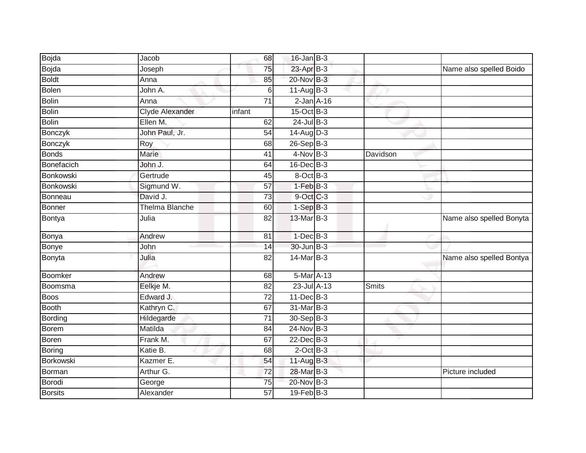| Bojda          | Jacob                 | 68              | $16$ -Jan B-3   |              |                          |
|----------------|-----------------------|-----------------|-----------------|--------------|--------------------------|
| Bojda          | Joseph                | 75              | 23-Apr B-3      |              | Name also spelled Boido  |
| <b>Boldt</b>   | Anna                  | 85              | 20-Nov B-3      |              |                          |
| <b>Bolen</b>   | John A.               | 6               | $11-Aug$ B-3    |              |                          |
| <b>Bolin</b>   | Anna                  | 71              | $2$ -Jan $A-16$ |              |                          |
| <b>Bolin</b>   | Clyde Alexander       | infant          | 15-Oct B-3      |              |                          |
| <b>Bolin</b>   | Ellen M.              | 62              | $24$ -Jul B-3   |              |                          |
| <b>Bonczyk</b> | John Paul, Jr.        | 54              | $14$ -Aug $D-3$ |              |                          |
| Bonczyk        | Roy                   | 68              | 26-Sep B-3      |              |                          |
| <b>Bonds</b>   | <b>Marie</b>          | 41              | $4$ -Nov B-3    | Davidson     |                          |
| Bonefacich     | John J.               | 64              | 16-Dec B-3      |              |                          |
| Bonkowski      | Gertrude              | 45              | 8-Oct B-3       |              |                          |
| Bonkowski      | Sigmund W.            | 57              | $1-FebB-3$      |              |                          |
| Bonneau        | David J.              | 73              | 9-Oct C-3       |              |                          |
| <b>Bonner</b>  | <b>Thelma Blanche</b> | 60              | $1-SepB-3$      |              |                          |
| Bontya         | Julia                 | 82              | 13-Mar B-3      |              | Name also spelled Bonyta |
| Bonya          | Andrew                | 81              | $1$ -Dec $B-3$  |              |                          |
| Bonye          | John                  | 14              | 30-Jun B-3      |              |                          |
| Bonyta         | Julia                 | 82              | 14-Mar B-3      |              | Name also spelled Bontya |
| Boomker        | Andrew                | 68              | 5-Mar A-13      |              |                          |
| Boomsma        | Eelkje M.             | 82              | 23-Jul A-13     | <b>Smits</b> |                          |
| <b>Boos</b>    | Edward J.             | 72              | $11$ -Dec $B-3$ |              |                          |
| <b>Booth</b>   | Kathryn C.            | 67              | 31-Mar B-3      |              |                          |
| Bording        | Hildegarde            | 71              | 30-Sep B-3      |              |                          |
| Borem          | Matilda               | 84              | $24$ -Nov $B-3$ |              |                          |
| Boren          | Frank M.              | 67              | $22$ -Dec $B-3$ |              |                          |
| Boring         | Katie B.              | 68              | $2$ -Oct $B-3$  |              |                          |
| Borkowski      | Kazmer E.             | 54              | 11-Aug B-3      |              |                          |
| Borman         | Arthur G.             | 72              | 28-Mar B-3      |              | Picture included         |
| Borodi         | George                | $\overline{75}$ | 20-Nov B-3      |              |                          |
| <b>Borsits</b> | Alexander             | 57              | $19$ -Feb $B-3$ |              |                          |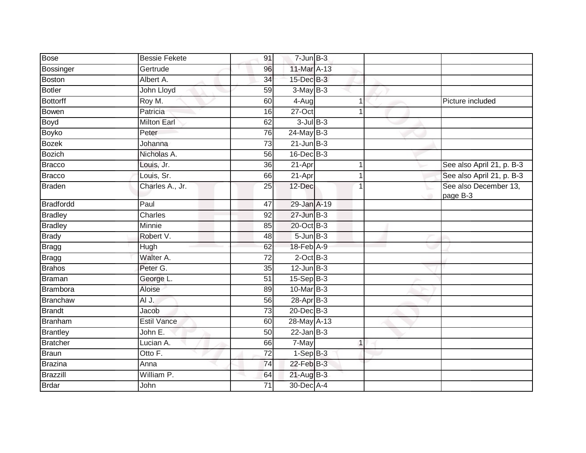| <b>Bose</b>      | <b>Bessie Fekete</b> | 91              | $7 - Jun$ B-3     |              |                                   |
|------------------|----------------------|-----------------|-------------------|--------------|-----------------------------------|
| Bossinger        | Gertrude             | 96              | 11-Mar A-13       |              |                                   |
| <b>Boston</b>    | Albert A.            | 34              | 15-Dec B-3        |              |                                   |
| <b>Botler</b>    | John Lloyd           | 59              | $3-May$ B-3       |              |                                   |
| <b>Bottorff</b>  | Roy M.               | 60              | $4-Aug$           | 1            | Picture included                  |
| <b>Bowen</b>     | Patricia             | 16              | 27-Oct            |              |                                   |
| <b>Boyd</b>      | <b>Milton Earl</b>   | 62              | $3$ -Jul $B-3$    |              |                                   |
| <b>Boyko</b>     | Peter                | 76              | $24$ -May B-3     |              |                                   |
| <b>Bozek</b>     | Johanna              | 73              | $21$ -Jun $B-3$   |              |                                   |
| <b>Bozich</b>    | Nicholas A.          | 56              | $16$ -Dec $B-3$   |              |                                   |
| <b>Bracco</b>    | Louis, Jr.           | 36              | 21-Apr            | 1            | See also April 21, p. B-3         |
| <b>Bracco</b>    | Louis, Sr.           | 66              | 21-Apr            | 1            | See also April 21, p. B-3         |
| <b>Braden</b>    | Charles A., Jr.      | 25              | 12-Dec            | 1            | See also December 13,<br>page B-3 |
| <b>Bradfordd</b> | Paul                 | 47              | 29-Jan A-19       |              |                                   |
| <b>Bradley</b>   | <b>Charles</b>       | 92              | 27-Jun B-3        |              |                                   |
| <b>Bradley</b>   | Minnie               | 85              | 20-Oct B-3        |              |                                   |
| <b>Brady</b>     | Robert V.            | 48              | $5 - Jun$ $B-3$   |              |                                   |
| <b>Bragg</b>     | Hugh                 | 62              | 18-Feb A-9        |              |                                   |
| <b>Bragg</b>     | Walter A.            | 72              | $2$ -Oct $B-3$    |              |                                   |
| <b>Brahos</b>    | Peter G.             | $\overline{35}$ | $12$ -Jun $B-3$   |              |                                   |
| <b>Braman</b>    | George L.            | 51              | $15-SepB-3$       |              |                                   |
| Brambora         | Aloise               | 89              | $10$ -Mar $ B-3 $ |              |                                   |
| <b>Branchaw</b>  | AI J.                | 56              | 28-Apr B-3        |              |                                   |
| <b>Brandt</b>    | Jacob                | 73              | $20$ -Dec $B-3$   |              |                                   |
| <b>Branham</b>   | <b>Estil Vance</b>   | 60              | 28-May A-13       |              |                                   |
| <b>Brantley</b>  | John E.              | 50              | $22$ -Jan B-3     |              |                                   |
| <b>Bratcher</b>  | Lucian A.            | 66              | 7-May             | $\mathbf{1}$ |                                   |
| Braun            | Otto F.              | $\overline{72}$ | $1-SepB-3$        |              |                                   |
| <b>Brazina</b>   | Anna                 | 74              | 22-Feb B-3        |              |                                   |
| Brazzill         | William P.           | 64              | 21-Aug B-3        |              |                                   |
| Brdar            | John                 | 71              | 30-Dec A-4        |              |                                   |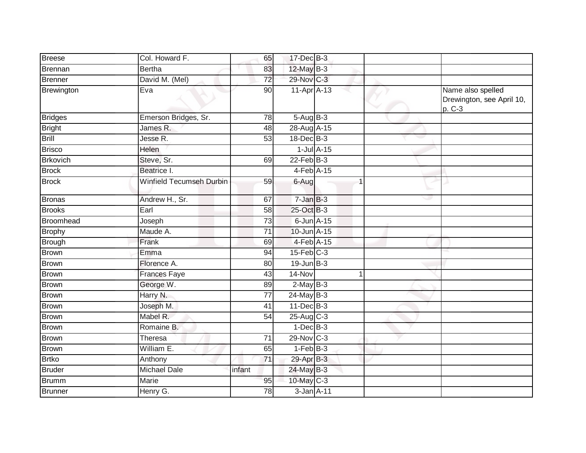| <b>Breese</b>    | Col. Howard F.           | 65              | 17-Dec B-3      |                  |                                                          |
|------------------|--------------------------|-----------------|-----------------|------------------|----------------------------------------------------------|
| Brennan          | <b>Bertha</b>            | 83              | 12-May B-3      |                  |                                                          |
| <b>Brenner</b>   | David M. (Mel)           | 72              | 29-Nov C-3      |                  |                                                          |
| Brewington       | Eva                      | 90              | 11-Apr A-13     |                  | Name also spelled<br>Drewington, see April 10,<br>p. C-3 |
| <b>Bridges</b>   | Emerson Bridges, Sr.     | 78              | 5-Aug B-3       |                  |                                                          |
| <b>Bright</b>    | James R.                 | 48              | 28-Aug A-15     |                  |                                                          |
| Brill            | Jesse R.                 | $\overline{53}$ | 18-Dec B-3      |                  |                                                          |
| <b>Brisco</b>    | Helen                    |                 |                 | $1$ -Jul $A$ -15 |                                                          |
| <b>Brkovich</b>  | Steve, Sr.               | 69              | $22$ -Feb $B-3$ |                  |                                                          |
| <b>Brock</b>     | Beatrice I.              |                 | 4-Feb A-15      |                  |                                                          |
| <b>Brock</b>     | Winfield Tecumseh Durbin | 59              | 6-Aug           |                  |                                                          |
| <b>Bronas</b>    | Andrew H., Sr.           | 67              | $7 - Jan$ $B-3$ |                  |                                                          |
| <b>Brooks</b>    | Earl                     | 58              | 25-Oct B-3      |                  |                                                          |
| <b>Broomhead</b> | Joseph                   | $\overline{73}$ | $6$ -Jun $A-15$ |                  |                                                          |
| <b>Brophy</b>    | Maude A.                 | 71              | 10-Jun A-15     |                  |                                                          |
| <b>Brough</b>    | Frank                    | 69              | 4-Feb A-15      |                  |                                                          |
| Brown            | Emma                     | 94              | $15$ -Feb $C-3$ |                  |                                                          |
| <b>Brown</b>     | Florence A.              | 80              | $19$ -Jun $B-3$ |                  |                                                          |
| Brown            | <b>Frances Faye</b>      | 43              | 14-Nov          | 1                |                                                          |
| <b>Brown</b>     | George W.                | 89              | $2-May$ B-3     |                  |                                                          |
| <b>Brown</b>     | Harry N.                 | $\overline{77}$ | $24$ -May B-3   |                  |                                                          |
| <b>Brown</b>     | Joseph M.                | 41              | 11-Dec B-3      |                  |                                                          |
| <b>Brown</b>     | Mabel R.                 | 54              | $25$ -Aug C-3   |                  |                                                          |
| <b>Brown</b>     | Romaine B.               |                 | $1-Dec$ B-3     |                  |                                                          |
| <b>Brown</b>     | Theresa                  | 71              | 29-Nov C-3      |                  |                                                          |
| <b>Brown</b>     | William E.               | 65              | $1-FebB-3$      |                  |                                                          |
| <b>Brtko</b>     | Anthony                  | 71              | 29-Apr B-3      |                  |                                                          |
| <b>Bruder</b>    | <b>Michael Dale</b>      | infant          | 24-May B-3      |                  |                                                          |
| <b>Brumm</b>     | Marie                    | 95              | 10-May C-3      |                  |                                                          |
| Brunner          | Henry G.                 | 78              | $3 - Jan$ A-11  |                  |                                                          |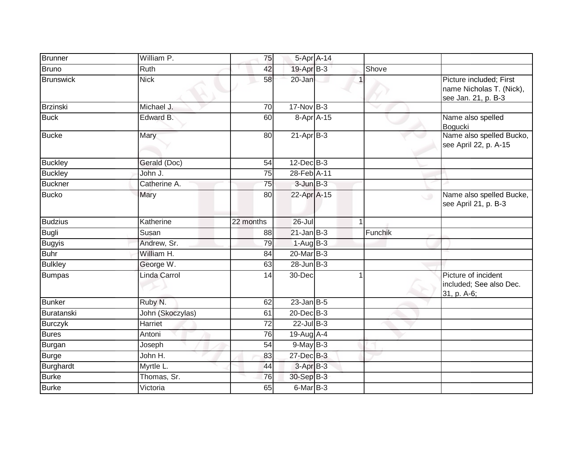| <b>Brunner</b>   | William P.       | 75        | 5-Apr A-14      |         |                                                                            |
|------------------|------------------|-----------|-----------------|---------|----------------------------------------------------------------------------|
| <b>Bruno</b>     | Ruth             | 42        | 19-Apr B-3      | Shove   |                                                                            |
| <b>Brunswick</b> | <b>Nick</b>      | 58        | 20-Jan          |         | Picture included; First<br>name Nicholas T. (Nick),<br>see Jan. 21, p. B-3 |
| Brzinski         | Michael J.       | 70        | $17$ -Nov B-3   |         |                                                                            |
| <b>Buck</b>      | Edward B.        | 60        | 8-Apr A-15      |         | Name also spelled<br>Bogucki                                               |
| <b>Bucke</b>     | Mary             | 80        | $21-AprB-3$     |         | Name also spelled Bucko,<br>see April 22, p. A-15                          |
| <b>Buckley</b>   | Gerald (Doc)     | 54        | $12$ -Dec $B-3$ |         |                                                                            |
| <b>Buckley</b>   | John J.          | 75        | 28-Feb A-11     |         |                                                                            |
| <b>Buckner</b>   | Catherine A.     | 75        | $3$ -Jun $B-3$  |         |                                                                            |
| <b>Bucko</b>     | Mary             | 80        | 22-Apr A-15     |         | Name also spelled Bucke,<br>$\cup$<br>see April 21, p. B-3                 |
| <b>Budzius</b>   | Katherine        | 22 months | $26 -$ Jul      |         |                                                                            |
| <b>Bugli</b>     | Susan            | 88        | $21$ -Jan B-3   | Funchik |                                                                            |
| <b>Bugyis</b>    | Andrew, Sr.      | 79        | $1-AugB-3$      |         |                                                                            |
| <b>Buhr</b>      | William H.       | 84        | 20-Mar B-3      |         |                                                                            |
| <b>Bulkley</b>   | George W.        | 63        | $28$ -Jun $B-3$ |         |                                                                            |
| <b>Bumpas</b>    | Linda Carrol     | 14        | 30-Dec          |         | Picture of incident<br>included; See also Dec.<br>31, p. A-6;              |
| Bunker           | Ruby N.          | 62        | $23$ -Jan B-5   |         |                                                                            |
| Buratanski       | John (Skoczylas) | 61        | $20$ -Dec $B-3$ |         |                                                                            |
| <b>Burczyk</b>   | Harriet          | 72        | $22$ -Jul B-3   |         |                                                                            |
| <b>Bures</b>     | Antoni           | 76        | 19-Aug A-4      |         |                                                                            |
| Burgan           | Joseph           | 54        | $9$ -May $B-3$  |         |                                                                            |
| <b>Burge</b>     | John H.          | 83        | 27-Dec B-3      |         |                                                                            |
| Burghardt        | Myrtle L.        | 44        | 3-Apr B-3       |         |                                                                            |
| <b>Burke</b>     | Thomas, Sr.      | 76        | 30-Sep B-3      |         |                                                                            |
| <b>Burke</b>     | Victoria         | 65        | 6-Mar B-3       |         |                                                                            |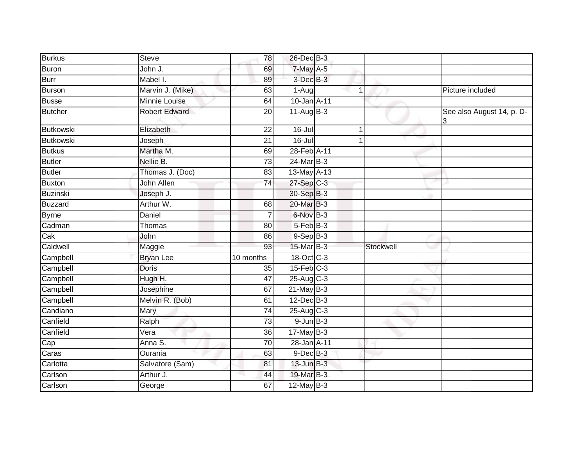| <b>Burkus</b>    | <b>Steve</b>         | 78              | 26-Dec B-3               |              |           |                                |
|------------------|----------------------|-----------------|--------------------------|--------------|-----------|--------------------------------|
| Buron            | John J.              | 69              | $7$ -May $A$ -5          |              |           |                                |
| <b>Burr</b>      | Mabel I.             | 89              | $3$ -Dec $B-3$           |              |           |                                |
| Burson           | Marvin J. (Mike)     | 63              | $1-Aug$                  | $\mathbf 1$  |           | Picture included               |
| <b>Busse</b>     | <b>Minnie Louise</b> | 64              | 10-Jan A-11              |              |           |                                |
| Butcher          | <b>Robert Edward</b> | 20              | $11-Aug$ B-3             |              |           | See also August 14, p. D-<br>3 |
| <b>Butkowski</b> | Elizabeth            | $\overline{22}$ | $16 -$ Jul               | $\mathbf{1}$ |           |                                |
| <b>Butkowski</b> | Joseph               | $\overline{21}$ | $16 -$ Jul               |              |           |                                |
| <b>Butkus</b>    | Martha M.            | 69              | 28-Feb A-11              |              |           |                                |
| <b>Butler</b>    | Nellie B.            | 73              | 24-Mar B-3               |              |           |                                |
| <b>Butler</b>    | Thomas J. (Doc)      | 83              | 13-May A-13              |              |           |                                |
| Buxton           | John Allen           | $\overline{74}$ | 27-Sep C-3               |              |           |                                |
| Buzinski         | Joseph J.            |                 | 30-Sep B-3               |              |           |                                |
| Buzzard          | Arthur W.            | 68              | 20-Mar B-3               |              |           |                                |
| <b>Byrne</b>     | Daniel               |                 | 6-Nov B-3                |              |           |                                |
| Cadman           | Thomas               | 80              | $5$ -Feb $ B-3 $         |              |           |                                |
| Cak              | John                 | 86              | $9-$ Sep $B-3$           |              |           |                                |
| Caldwell         | Maggie               | 93              | 15-Mar B-3               |              | Stockwell |                                |
| Campbell         | <b>Bryan Lee</b>     | 10 months       | $18-Oct$ <sub>C</sub> -3 |              |           |                                |
| Campbell         | <b>Doris</b>         | 35              | $15$ -Feb $C-3$          |              |           |                                |
| Campbell         | Hugh H.              | 47              | $25$ -Aug C-3            |              |           |                                |
| Campbell         | Josephine            | 67              | $21$ -May B-3            |              |           |                                |
| Campbell         | Melvin R. (Bob)      | 61              | $12$ -Dec $B-3$          |              |           |                                |
| Candiano         | Mary                 | 74              | $25-Aug$ C-3             |              |           |                                |
| Canfield         | Ralph                | $\overline{73}$ | $9$ -Jun $B$ -3          |              |           |                                |
| Canfield         | Vera                 | 36              | $17$ -May B-3            |              |           |                                |
| Cap              | Anna S.              | 70              | 28-Jan A-11              |              |           |                                |
| Caras            | Ourania              | 63              | 9-Dec B-3                |              |           |                                |
| Carlotta         | Salvatore (Sam)      | 81              | $13$ -Jun $B-3$          |              |           |                                |
| Carlson          | Arthur J.            | 44              | 19-Mar B-3               |              |           |                                |
| Carlson          | George               | 67              | $12$ -May B-3            |              |           |                                |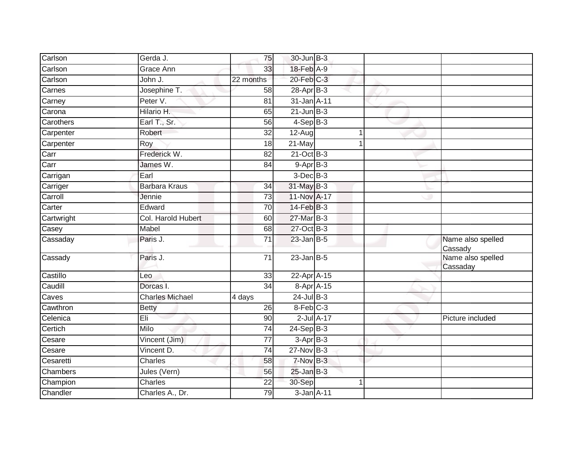| Carlson         | Gerda J.               | 75              | 30-Jun B-3       |                 |                               |
|-----------------|------------------------|-----------------|------------------|-----------------|-------------------------------|
| Carlson         | Grace Ann              | 33              | 18-Feb A-9       |                 |                               |
| Carlson         | John J.                | 22 months       | 20-Feb C-3       |                 |                               |
| Carnes          | Josephine T.           | 58              | $28-Apr$ B-3     |                 |                               |
| Carney          | Peter V.               | $\overline{81}$ | 31-Jan A-11      |                 |                               |
| Carona          | Hilario H.             | 65              | $21$ -Jun $B-3$  |                 |                               |
| Carothers       | Earl T., Sr.           | 56              | $4-Sep B-3$      |                 |                               |
| Carpenter       | Robert                 | 32              | 12-Aug           |                 |                               |
| Carpenter       | Roy                    | 18              | 21-May           |                 |                               |
| Carr            | Frederick W.           | $\overline{82}$ | 21-Oct B-3       |                 |                               |
| Carr            | James W.               | 84              | $9-Apr$ B-3      |                 |                               |
| Carrigan        | Earl                   |                 | 3-Dec B-3        |                 |                               |
| Carriger        | <b>Barbara Kraus</b>   | $\overline{34}$ | 31-May B-3       |                 |                               |
| Carroll         | Jennie                 | 73              | 11-Nov A-17      |                 |                               |
| Carter          | Edward                 | $\overline{70}$ | $14$ -Feb $B-3$  |                 |                               |
| Cartwright      | Col. Harold Hubert     | 60              | 27-Mar B-3       |                 |                               |
| Casey           | Mabel                  | 68              | 27-Oct B-3       |                 |                               |
| Cassaday        | Paris J.               | $\overline{71}$ | $23$ -Jan B-5    |                 | Name also spelled<br>Cassady  |
| Cassady         | Paris J.               | $\overline{71}$ | $23$ -Jan B-5    |                 | Name also spelled<br>Cassaday |
| Castillo        | Leo                    | 33              | 22-Apr A-15      |                 |                               |
| Caudill         | Dorcas I.              | 34              | 8-Apr A-15       |                 |                               |
| Caves           | <b>Charles Michael</b> | 4 days          | $24$ -Jul B-3    |                 |                               |
| Cawthron        | <b>Betty</b>           | 26              | 8-Feb C-3        |                 |                               |
| Celenica        | Eli                    | 90              |                  | $2$ -Jul $A-17$ | Picture included              |
| Certich         | Milo                   | $\overline{74}$ | $24-Sep$ B-3     |                 |                               |
| Cesare          | Vincent (Jim)          | 77              | $3-AprB-3$       |                 |                               |
| Cesare          | Vincent D.             | $\overline{74}$ | 27-Nov B-3       |                 |                               |
| Cesaretti       | <b>Charles</b>         | 58              | 7-Nov B-3        |                 |                               |
| <b>Chambers</b> | Jules (Vern)           | 56              | $25$ -Jan $B-3$  |                 |                               |
| Champion        | Charles                | $\overline{22}$ | 30-Sep           |                 |                               |
| Chandler        | Charles A., Dr.        | 79              | $3$ -Jan $A$ -11 |                 |                               |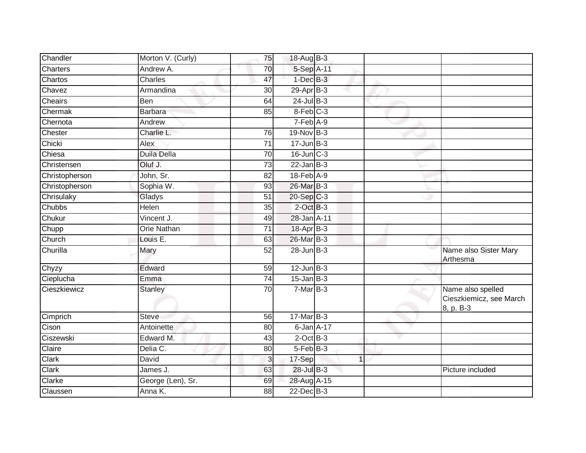| Chandler       | Morton V. (Curly) | 75              | 18-Aug B-3              |              |                                                           |
|----------------|-------------------|-----------------|-------------------------|--------------|-----------------------------------------------------------|
| Charters       | Andrew A.         | 70              | 5-Sep A-11              |              |                                                           |
| Chartos        | Charles           | 47              | $1-Dec$ $B-3$           |              |                                                           |
| Chavez         | Armandina         | 30              | 29-Apr B-3              |              |                                                           |
| Cheairs        | Ben               | 64              | $24$ -Jul B-3           |              |                                                           |
| Chermak        | <b>Barbara</b>    | 85              | 8-Feb C-3               |              |                                                           |
| Chernota       | Andrew            |                 | 7-Feb A-9               |              |                                                           |
| Chester        | Charlie L.        | 76              | $19-Nov$ B-3            |              |                                                           |
| Chicki         | Alex              | 71              | $17 - Jun$ $B-3$        |              |                                                           |
| Chiesa         | Duila Della       | 70              | 16-Jun C-3              |              |                                                           |
| Christensen    | Oluf J.           | 73              | $22$ -Jan $B-3$         |              |                                                           |
| Christopherson | John, Sr.         | 82              | 18-Feb A-9              |              |                                                           |
| Christopherson | Sophia W.         | 93              | 26-Mar B-3              |              |                                                           |
| Chrisulaky     | Gladys            | 51              | $20-Sep$ <sub>C-3</sub> |              |                                                           |
| Chubbs         | <b>Helen</b>      | $\overline{35}$ | $2$ -Oct $B-3$          |              |                                                           |
| Chukur         | Vincent J.        | 49              | 28-Jan A-11             |              |                                                           |
| Chupp          | Orie Nathan       | $\overline{71}$ | 18-Apr B-3              |              |                                                           |
| Church         | Louis E.          | 63              | 26-Mar B-3              |              |                                                           |
| Churilla       | Mary              | 52              | 28-Jun B-3              |              | Name also Sister Mary<br><b>Arthesma</b>                  |
| Chyzy          | Edward            | 59              | $12$ -Jun $B-3$         |              |                                                           |
| Cieplucha      | Emma              | 74              | $15$ -Jan $B-3$         |              |                                                           |
| Cieszkiewicz   | <b>Stanley</b>    | 70              | $7-MarB-3$              |              | Name also spelled<br>Cieszkiemicz, see March<br>8, p. B-3 |
| Cimprich       | <b>Steve</b>      | 56              | $17$ -Mar $B-3$         |              |                                                           |
| Cison          | Antoinette        | 80              | 6-Jan A-17              |              |                                                           |
| Ciszewski      | Edward M.         | 43              | $2$ -Oct $B-3$          |              |                                                           |
| Claire         | Delia C.          | 80              | 5-Feb B-3               |              |                                                           |
| Clark          | David             | $\mathbf{3}$    | 17-Sep                  | $\mathbf{1}$ |                                                           |
| Clark          | James J.          | 63              | 28-Jul B-3              |              | Picture included                                          |
| Clarke         | George (Len), Sr. | 69              | 28-Aug A-15             |              |                                                           |
| Claussen       | Anna K.           | 88              | $22$ -Dec $B-3$         |              |                                                           |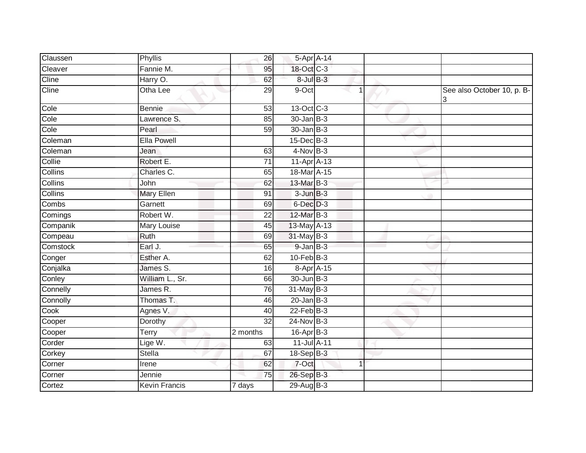| Claussen       | Phyllis              | 26              | 5-Apr A-14       |  |                                 |
|----------------|----------------------|-----------------|------------------|--|---------------------------------|
| Cleaver        | Fannie M.            | 95              | 18-Oct C-3       |  |                                 |
| Cline          | Harry O.             | 62              | 8-Jul B-3        |  |                                 |
| Cline          | Otha Lee             | 29              | 9-Oct            |  | See also October 10, p. B-<br>3 |
| Cole           | Bennie               | 53              | $13-Oct$ $C-3$   |  |                                 |
| Cole           | Lawrence S.          | 85              | $30 - Jan$ $B-3$ |  |                                 |
| Cole           | Pearl                | 59              | $30 - Jan$ $B-3$ |  |                                 |
| Coleman        | <b>Ella Powell</b>   |                 | $15$ -Dec $B-3$  |  |                                 |
| Coleman        | Jean                 | 63              | $4-Nov$ B-3      |  |                                 |
| Collie         | Robert E.            | 71              | $11-Apr$ A-13    |  |                                 |
| Collins        | Charles C.           | 65              | 18-Mar A-15      |  |                                 |
| Collins        | John                 | 62              | 13-Mar B-3       |  |                                 |
| <b>Collins</b> | <b>Mary Ellen</b>    | 91              | $3$ -Jun $B-3$   |  |                                 |
| Combs          | Garnett              | 69              | $6$ -Dec $D-3$   |  |                                 |
| Comings        | Robert W.            | 22              | 12-Mar B-3       |  |                                 |
| Companik       | Mary Louise          | 45              | $13$ -May $A-13$ |  |                                 |
| Compeau        | Ruth                 | 69              | 31-May B-3       |  |                                 |
| Comstock       | Earl J.              | 65              | $9 - JanB - 3$   |  |                                 |
| Conger         | Esther A.            | 62              | $10$ -Feb $B-3$  |  |                                 |
| Conjalka       | James S.             | 16              | 8-Apr A-15       |  |                                 |
| Conley         | William L., Sr.      | 66              | 30-Jun B-3       |  |                                 |
| Connelly       | James R.             | 76              | 31-May B-3       |  |                                 |
| Connolly       | Thomas T.            | 46              | $20$ -Jan B-3    |  |                                 |
| Cook           | Agnes V.             | 40              | $22$ -Feb $B-3$  |  |                                 |
| Cooper         | Dorothy              | $\overline{32}$ | $24$ -Nov B-3    |  |                                 |
| Cooper         | Terry                | 2 months        | $16$ -Apr $B$ -3 |  |                                 |
| Corder         | Lige W.              | 63              | 11-Jul A-11      |  |                                 |
| Corkey         | Stella               | 67              | 18-Sep B-3       |  |                                 |
| Corner         | Irene                | 62              | 7-Oct            |  |                                 |
| Corner         | Jennie               | 75              | 26-Sep B-3       |  |                                 |
| Cortez         | <b>Kevin Francis</b> | 7 days          | 29-Aug B-3       |  |                                 |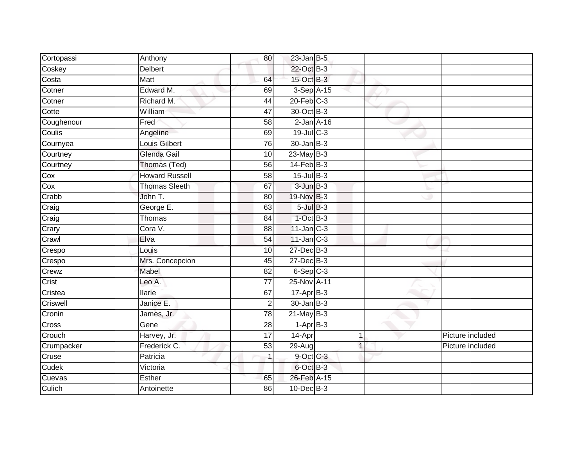| Cortopassi | Anthony               | 80              | $23$ -Jan B-5          |  |                  |
|------------|-----------------------|-----------------|------------------------|--|------------------|
| Coskey     | <b>Delbert</b>        |                 | 22-Oct B-3             |  |                  |
| Costa      | Matt                  | 64              | 15-Oct B-3             |  |                  |
| Cotner     | Edward M.             | 69              | $3-SepA-15$            |  |                  |
| Cotner     | Richard M.            | 44              | $20$ -Feb $C-3$        |  |                  |
| Cotte      | William               | 47              | 30-Oct B-3             |  |                  |
| Coughenour | Fred                  | 58              | $2$ -Jan $A-16$        |  |                  |
| Coulis     | Angeline              | 69              | 19-Jul C-3             |  |                  |
| Cournyea   | <b>Louis Gilbert</b>  | 76              | $30 - Jan$ $B-3$       |  |                  |
| Courtney   | Glenda Gail           | 10              | $23$ -May B-3          |  |                  |
| Courtney   | Thomas (Ted)          | $\overline{56}$ | $14$ -Feb $B-3$        |  |                  |
| Cox        | <b>Howard Russell</b> | 58              | $15$ -Jul $B-3$        |  |                  |
| Cox        | <b>Thomas Sleeth</b>  | 67              | $3$ -Jun $B-3$         |  |                  |
| Crabb      | John T.               | 80              | 19-Nov B-3             |  |                  |
| Craig      | George E.             | 63              | $5$ -Jul $B-3$         |  |                  |
| Craig      | Thomas                | 84              | $1$ -Oct $B-3$         |  |                  |
| Crary      | Cora V.               | $\overline{88}$ | $11$ -Jan $C-3$        |  |                  |
| Crawl      | Elva                  | 54              | $11$ -Jan $C-3$        |  |                  |
| Crespo     | Louis                 | 10              | 27-Dec B-3             |  |                  |
| Crespo     | Mrs. Concepcion       | 45              | $27 - Dec$ B-3         |  |                  |
| Crewz      | Mabel                 | 82              | $6-Sep$ $C-3$          |  |                  |
| Crist      | Leo A.                | $\overline{77}$ | 25-Nov A-11            |  |                  |
| Cristea    | <b>Ilarie</b>         | 67              | 17-Apr B-3             |  |                  |
| Criswell   | Janice E.             | $\overline{2}$  | $30 - Jan$ $B-3$       |  |                  |
| Cronin     | James, Jr.            | 78              | $21$ -May B-3          |  |                  |
| Cross      | Gene                  | 28              | $1-\overline{Apr}$ B-3 |  |                  |
| Crouch     | Harvey, Jr.           | $\overline{17}$ | 14-Apr                 |  | Picture included |
| Crumpacker | Frederick C.          | 53              | 29-Aug                 |  | Picture included |
| Cruse      | Patricia              | $\mathbf{1}$    | 9-Oct C-3              |  |                  |
| Cudek      | Victoria              |                 | 6-Oct B-3              |  |                  |
| Cuevas     | Esther                | 65              | 26-Feb A-15            |  |                  |
| Culich     | Antoinette            | 86              | $10$ -Dec $B-3$        |  |                  |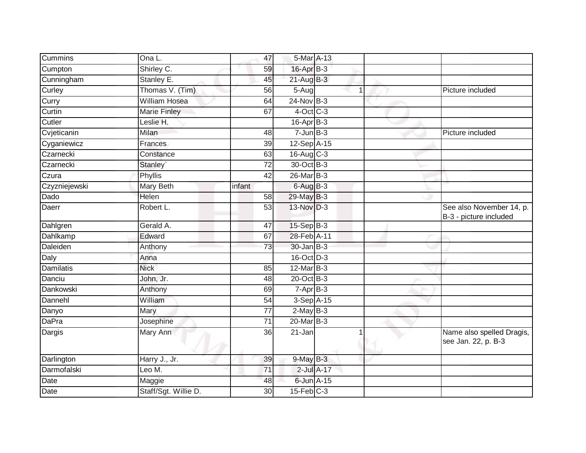| Cummins          | Ona L.               | 47              | 5-Mar A-13       |  |                                                    |
|------------------|----------------------|-----------------|------------------|--|----------------------------------------------------|
| Cumpton          | Shirley C.           | 59              | 16-Apr B-3       |  |                                                    |
| Cunningham       | Stanley E.           | 45              | $21$ -Aug $B-3$  |  |                                                    |
| Curley           | Thomas V. (Tim)      | 56              | 5-Aug            |  | Picture included                                   |
| Curry            | <b>William Hosea</b> | 64              | $24$ -Nov B-3    |  |                                                    |
| Curtin           | <b>Marie Finley</b>  | 67              | $4$ -Oct C-3     |  |                                                    |
| Cutler           | Leslie H.            |                 | $16$ -Apr $B$ -3 |  |                                                    |
| Cvjeticanin      | Milan                | 48              | $7$ -Jun $B-3$   |  | Picture included                                   |
| Cyganiewicz      | Frances              | 39              | 12-Sep A-15      |  |                                                    |
| Czarnecki        | Constance            | 63              | 16-Aug C-3       |  |                                                    |
| Czarnecki        | Stanley`             | 72              | 30-Oct B-3       |  |                                                    |
| Czura            | Phyllis              | $\overline{42}$ | 26-Mar B-3       |  |                                                    |
| Czyzniejewski    | Mary Beth            | infant          | $6$ -Aug $B-3$   |  |                                                    |
| Dado             | Helen                | 58              | 29-May B-3       |  |                                                    |
| Daerr            | Robert L.            | 53              | $13-Nov$ D-3     |  | See also November 14, p.<br>B-3 - picture included |
| Dahlgren         | Gerald A.            | 47              | 15-Sep B-3       |  |                                                    |
| Dahlkamp         | Edward               | 67              | 28-Feb A-11      |  |                                                    |
| Daleiden         | Anthony              | 73              | $30 - Jan$ $B-3$ |  |                                                    |
| Daly             | Anna                 |                 | 16-Oct D-3       |  |                                                    |
| <b>Damilatis</b> | <b>Nick</b>          | 85              | $12$ -Mar $B-3$  |  |                                                    |
| Danciu           | John, Jr.            | 48              | 20-Oct B-3       |  |                                                    |
| Dankowski        | Anthony              | 69              | $7-AprB-3$       |  |                                                    |
| Dannehl          | William              | 54              | 3-Sep A-15       |  |                                                    |
| Danyo            | Mary                 | 77              | $2-May$ B-3      |  |                                                    |
| <b>DaPra</b>     | Josephine            | $\overline{71}$ | 20-Mar B-3       |  |                                                    |
| Dargis           | Mary Ann             | 36              | 21-Jan           |  | Name also spelled Dragis,<br>see Jan. 22, p. B-3   |
| Darlington       | Harry J., Jr.        | 39              | $9-MayB-3$       |  |                                                    |
| Darmofalski      | Leo M.               | $\overline{71}$ | 2-Jul A-17       |  |                                                    |
| Date             | Maggie               | 48              | 6-Jun A-15       |  |                                                    |
| Date             | Staff/Sgt. Willie D. | 30              | $15$ -Feb $C-3$  |  |                                                    |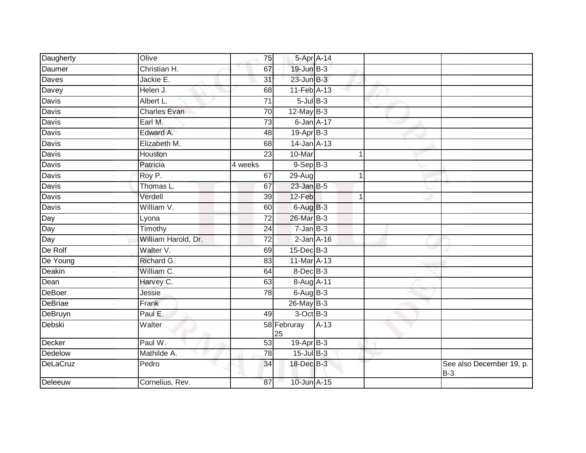| Daugherty      | Olive               | 75              | 5-Apr A-14        |                 |    |                                   |
|----------------|---------------------|-----------------|-------------------|-----------------|----|-----------------------------------|
| Daumer         | Christian H.        | 67              | 19-Jun B-3        |                 |    |                                   |
| Daves          | Jackie E.           | $\overline{31}$ | $23$ -Jun $B-3$   |                 |    |                                   |
| Davey          | Helen J.            | 68              | 11-Feb A-13       |                 |    |                                   |
| <b>Davis</b>   | Albert L.           | $\overline{71}$ | $5$ -Jul $B$ -3   |                 |    |                                   |
| Davis          | <b>Charles Evan</b> | 70              | $12$ -May B-3     |                 |    |                                   |
| Davis          | Earl M.             | 73              |                   | $6$ -Jan $A-17$ |    |                                   |
| Davis          | Edward A.           | 48              | 19-Apr B-3        |                 |    |                                   |
| Davis          | Elizabeth M.        | 68              | $14$ -Jan $A$ -13 |                 |    |                                   |
| Davis          | Houston             | $\overline{23}$ | 10-Mar            |                 | 1  |                                   |
| Davis          | Patricia            | 4 weeks         | $9-Sep$ $B-3$     |                 |    |                                   |
| Davis          | Roy P.              | 67              | 29-Aug            |                 |    |                                   |
| Davis          | Thomas L.           | 67              | $23$ -Jan B-5     |                 |    |                                   |
| Davis          | Verdell             | 39              | 12-Feb            |                 | -1 |                                   |
| Davis          | William V.          | 60              | $6$ -Aug $B$ -3   |                 |    |                                   |
| Day            | Lyona               | $\overline{72}$ | 26-Mar B-3        |                 |    |                                   |
| Day            | Timothy             | 24              | $7 - Jan$ $B-3$   |                 |    |                                   |
| Day            | William Harold, Dr. | $\overline{72}$ | $2$ -Jan $A-16$   |                 |    |                                   |
| De Rolf        | Walter V.           | 69              | 15-Dec B-3        |                 |    |                                   |
| De Young       | Richard G.          | 83              | 11-Mar A-13       |                 |    |                                   |
| Deakin         | William C.          | 64              | $8$ -Dec $B$ -3   |                 |    |                                   |
| Dean           | Harvey C.           | 63              | 8-Aug A-11        |                 |    |                                   |
| DeBoer         | Jessie              | 78              | $6-AugB-3$        |                 |    |                                   |
| DeBriae        | Frank               |                 | 26-May B-3        |                 |    |                                   |
| <b>DeBruyn</b> | Paul E.             | 49              | 3-Oct B-3         |                 |    |                                   |
| Debski         | Walter              |                 | 58 Februray<br>25 | $A-13$          |    |                                   |
| Decker         | Paul W.             | 53              | 19-Apr B-3        |                 |    |                                   |
| Dedelow        | Mathilde A.         | 78              | $15$ -Jul $B-3$   |                 |    |                                   |
| DeLaCruz       | Pedro               | 34              | 18-Dec B-3        |                 |    | See also December 19, p.<br>$B-3$ |
| Deleeuw        | Cornelius, Rev.     | 87              | 10-Jun A-15       |                 |    |                                   |
|                |                     |                 |                   |                 |    |                                   |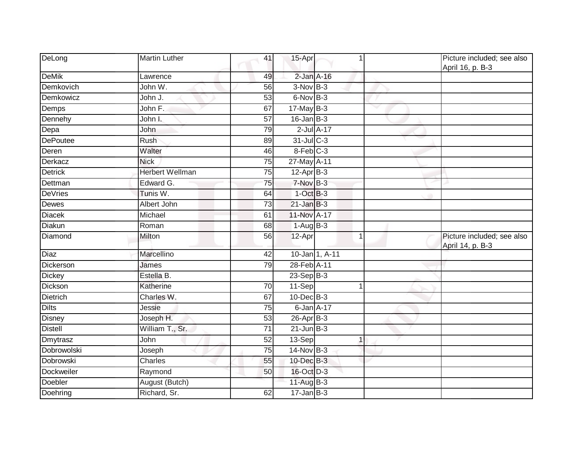| DeLong          | <b>Martin Luther</b>   | 41              | 15-Apr           |                |             | Picture included; see also<br>April 16, p. B-3 |
|-----------------|------------------------|-----------------|------------------|----------------|-------------|------------------------------------------------|
| <b>DeMik</b>    | Lawrence               | 49              | $2$ -Jan $A-16$  |                |             |                                                |
| Demkovich       | John W.                | $\overline{56}$ | $3-Nov$ B-3      |                |             |                                                |
| Demkowicz       | John J.                | 53              | 6-Nov B-3        |                |             |                                                |
| Demps           | John $\overline{F}$ .  | 67              | $17$ -May $B-3$  |                |             |                                                |
| Dennehy         | John I.                | 57              | $16$ -Jan $B-3$  |                |             |                                                |
| Depa            | John                   | 79              | $2$ -Jul $A-17$  |                |             |                                                |
| <b>DePoutee</b> | Rush                   | 89              | 31-Jul C-3       |                |             |                                                |
| Deren           | Walter                 | 46              | 8-Feb C-3        |                |             |                                                |
| Derkacz         | <b>Nick</b>            | 75              | 27-May A-11      |                |             |                                                |
| <b>Detrick</b>  | <b>Herbert Wellman</b> | 75              | $12$ -Apr $B-3$  |                |             |                                                |
| Dettman         | Edward G.              | 75              | $7-Nov$ B-3      |                |             |                                                |
| <b>DeVries</b>  | Tunis W.               | 64              | $1-Oct$ B-3      |                |             |                                                |
| Dewes           | Albert John            | $\overline{73}$ | $21$ -Jan B-3    |                |             |                                                |
| <b>Diacek</b>   | Michael                | 61              | 11-Nov A-17      |                |             |                                                |
| Diakun          | Roman                  | 68              | $1-Aug$ B-3      |                |             |                                                |
| Diamond         | Milton                 | 56              | 12-Apr           |                | $\mathbf 1$ | Picture included; see also<br>April 14, p. B-3 |
| <b>Diaz</b>     | Marcellino             | $\overline{42}$ |                  | 10-Jan 1, A-11 |             |                                                |
| Dickerson       | James                  | 79              | 28-Feb A-11      |                |             |                                                |
| <b>Dickey</b>   | Estella B.             |                 | 23-Sep B-3       |                |             |                                                |
| Dickson         | Katherine              | 70              | 11-Sep           |                | 1           |                                                |
| <b>Dietrich</b> | Charles W.             | 67              | 10-Dec B-3       |                |             |                                                |
| <b>Dilts</b>    | Jessie                 | 75              | $6$ -Jan $A-17$  |                |             |                                                |
| <b>Disney</b>   | Joseph H.              | $\overline{53}$ | $26$ -Apr $B$ -3 |                |             |                                                |
| <b>Distell</b>  | William T., Sr.        | 71              | $21$ -Jun B-3    |                |             |                                                |
| Dmytrasz        | John                   | 52              | 13-Sep           |                | 1           |                                                |
| Dobrowolski     | Joseph                 | 75              | $14$ -Nov B-3    |                |             |                                                |
| Dobrowski       | Charles                | 55              | 10-Dec B-3       |                |             |                                                |
| Dockweiler      | Raymond                | 50              | 16-Oct D-3       |                |             |                                                |
| Doebler         | August (Butch)         |                 | 11-Aug B-3       |                |             |                                                |
| Doehring        | Richard, Sr.           | 62              | $17 - Jan$ B-3   |                |             |                                                |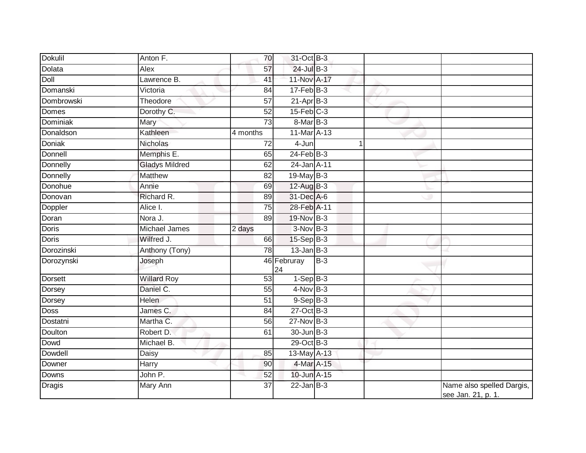| Dokulil        | Anton F.              | 70              | 31-Oct B-3            |       |                                                 |
|----------------|-----------------------|-----------------|-----------------------|-------|-------------------------------------------------|
| Dolata         | Alex                  | 57              | 24-Jul B-3            |       |                                                 |
| Doll           | Lawrence B.           | 41              | 11-Nov A-17           |       |                                                 |
| Domanski       | Victoria              | 84              | $17 - Feb$ B-3        |       |                                                 |
| Dombrowski     | Theodore              | 57              | $21-Apr$ B-3          |       |                                                 |
| <b>Domes</b>   | Dorothy C.            | $\overline{52}$ | $15$ -Feb $C-3$       |       |                                                 |
| Dominiak       | Mary                  | 73              | 8-Mar B-3             |       |                                                 |
| Donaldson      | Kathleen              | 4 months        | 11-Mar A-13           |       |                                                 |
| Doniak         | Nicholas              | 72              | 4-Jun                 |       |                                                 |
| Donnell        | Memphis E.            | 65              | $24$ -Feb $B-3$       |       |                                                 |
| Donnelly       | <b>Gladys Mildred</b> | 62              | 24-Jan A-11           |       |                                                 |
| Donnelly       | <b>Matthew</b>        | 82              | 19-May B-3            |       |                                                 |
| Donohue        | Annie                 | 69              | 12-Aug B-3            |       |                                                 |
| Donovan        | Richard R.            | 89              | 31-Dec A-6            |       |                                                 |
| Doppler        | Alice I.              | 75              | 28-Feb A-11           |       |                                                 |
| Doran          | Nora J.               | 89              | 19-Nov B-3            |       |                                                 |
| <b>Doris</b>   | <b>Michael James</b>  | 2 days          | $3-Nov$ B-3           |       |                                                 |
| Doris          | Wilfred J.            | 66              | $15-Sep B-3$          |       |                                                 |
| Dorozinski     | Anthony (Tony)        | 78              | 13-Jan B-3            |       |                                                 |
| Dorozynski     | Joseph                |                 | 46 Februray<br>24     | $B-3$ |                                                 |
| <b>Dorsett</b> | <b>Willard Roy</b>    | 53              | $1-Sep\overline{B-3}$ |       |                                                 |
| Dorsey         | Daniel C.             | 55              | $4$ -Nov B-3          |       |                                                 |
| Dorsey         | <b>Helen</b>          | 51              | $9-Sep$ $B-3$         |       |                                                 |
| <b>Doss</b>    | James C.              | 84              | $27$ -Oct B-3         |       |                                                 |
| Dostatni       | Martha C.             | 56              | $27$ -Nov $B-3$       |       |                                                 |
| Doulton        | Robert D.             | 61              | $30$ -Jun $B-3$       |       |                                                 |
| Dowd           | Michael B.            |                 | 29-Oct B-3            |       |                                                 |
| Dowdell        | Daisy                 | 85              | 13-May A-13           |       |                                                 |
| Downer         | Harry                 | 90              | 4-Mar A-15            |       |                                                 |
| Downs          | John P.               | 52              | 10-Jun A-15           |       |                                                 |
| <b>Dragis</b>  | Mary Ann              | 37              | $22$ -Jan B-3         |       | Name also spelled Dargis,<br>see Jan. 21, p. 1. |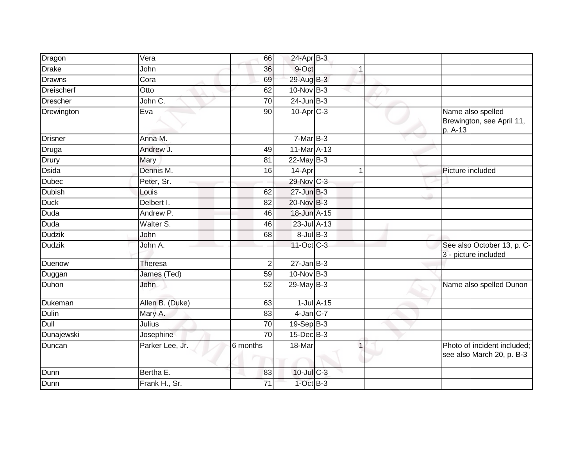| Dragon          | Vera            | 66              | 24-Apr B-3       |                  |                                                           |
|-----------------|-----------------|-----------------|------------------|------------------|-----------------------------------------------------------|
| <b>Drake</b>    | John            | 36              | 9-Oct            |                  |                                                           |
| <b>Drawns</b>   | Cora            | 69              | 29-Aug B-3       |                  |                                                           |
| Dreischerf      | Otto            | 62              | 10-Nov B-3       |                  |                                                           |
| <b>Drescher</b> | John C.         | $\overline{70}$ | $24$ -Jun $B-3$  |                  |                                                           |
| Drewington      | Eva             | 90              | $10$ -Apr $C-3$  |                  | Name also spelled<br>Brewington, see April 11,<br>p. A-13 |
| <b>Drisner</b>  | Anna M.         |                 | $7-MarB-3$       |                  |                                                           |
| Druga           | Andrew J.       | 49              | 11-Mar A-13      |                  |                                                           |
| Drury           | Mary            | 81              | $22$ -May B-3    |                  |                                                           |
| <b>Dsida</b>    | Dennis M.       | 16              | 14-Apr           |                  | Picture included                                          |
| <b>Dubec</b>    | Peter, Sr.      |                 | 29-Nov C-3       |                  |                                                           |
| <b>Dubish</b>   | Louis           | 62              | $27$ -Jun $B-3$  |                  |                                                           |
| <b>Duck</b>     | Delbert I.      | 82              | 20-Nov B-3       |                  |                                                           |
| Duda            | Andrew P.       | 46              | 18-Jun A-15      |                  |                                                           |
| Duda            | Walter S.       | 46              | 23-Jul A-13      |                  |                                                           |
| <b>Dudzik</b>   | John            | 68              | $8$ -Jul $B$ -3  |                  |                                                           |
| <b>Dudzik</b>   | John A.         |                 | 11-Oct C-3       |                  | See also October 13, p. C-<br>3 - picture included        |
| Duenow          | <b>Theresa</b>  | $\overline{2}$  | $27$ -Jan B-3    |                  |                                                           |
| Duggan          | James (Ted)     | 59              | $10$ -Nov $B-3$  |                  |                                                           |
| Duhon           | John            | 52              | 29-May B-3       |                  | Name also spelled Dunon                                   |
| Dukeman         | Allen B. (Duke) | 63              |                  | $1$ -Jul $A$ -15 |                                                           |
| <b>Dulin</b>    | Mary A.         | 83              | $4$ -Jan $C$ -7  |                  |                                                           |
| Dull            | Julius          | 70              | $19-Sep B-3$     |                  |                                                           |
| Dunajewski      | Josephine       | $\overline{70}$ | $15$ -Dec $B$ -3 |                  |                                                           |
| Duncan          | Parker Lee, Jr. | 6 months        | 18-Mar           |                  | Photo of incident included;<br>see also March 20, p. B-3  |
| Dunn            | Bertha E.       | 83              | $10$ -Jul $C-3$  |                  |                                                           |
| Dunn            | Frank H., Sr.   | 71              | $1-Oct$ B-3      |                  |                                                           |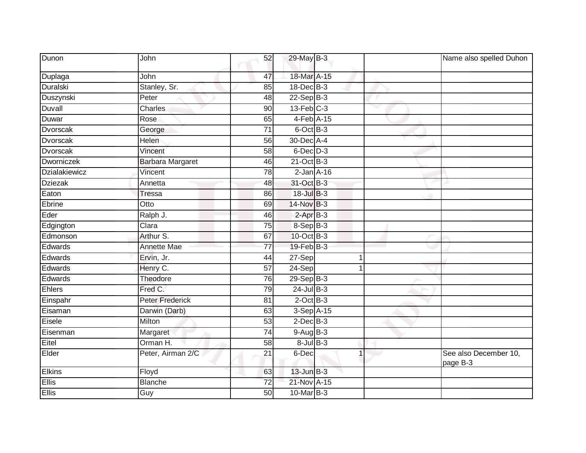| Dunon           | John                    | 52              | 29-May B-3      |              | Name also spelled Duhon           |
|-----------------|-------------------------|-----------------|-----------------|--------------|-----------------------------------|
| Duplaga         | John                    | 47              | 18-Mar A-15     |              |                                   |
| Duralski        | Stanley, Sr.            | 85              | 18-Dec B-3      |              |                                   |
| Duszynski       | Peter                   | 48              | $22-Sep$ B-3    |              |                                   |
| Duvall          | <b>Charles</b>          | 90              | $13$ -Feb $C-3$ | $\checkmark$ |                                   |
| Duwar           | Rose                    | 65              | 4-Feb A-15      |              |                                   |
| Dvorscak        | George                  | 71              | $6$ -Oct $B$ -3 |              |                                   |
| <b>Dvorscak</b> | Helen                   | 56              | 30-Dec A-4      |              |                                   |
| Dvorscak        | Vincent                 | 58              | $6$ -Dec $D-3$  |              |                                   |
| Dworniczek      | <b>Barbara Margaret</b> | 46              | $21$ -Oct B-3   |              |                                   |
| Dzialakiewicz   | Vincent                 | 78              | $2$ -Jan $A-16$ |              |                                   |
| <b>Dziezak</b>  | Annetta                 | 48              | 31-Oct B-3      |              |                                   |
| Eaton           | <b>Tressa</b>           | 86              | 18-Jul B-3      |              |                                   |
| Ebrine          | Otto                    | 69              | 14-Nov B-3      |              |                                   |
| Eder            | Ralph J.                | 46              | $2-AprB-3$      |              |                                   |
| Edgington       | Clara                   | 75              | 8-Sep B-3       |              |                                   |
| Edmonson        | Arthur S.               | 67              | 10-Oct B-3      |              |                                   |
| Edwards         | <b>Annette Mae</b>      | 77              | $19$ -Feb $B-3$ |              |                                   |
| Edwards         | Ervin, Jr.              | 44              | 27-Sep          | 1            |                                   |
| Edwards         | Henry C.                | $\overline{57}$ | $24-Sep$        | 1            |                                   |
| Edwards         | Theodore                | 76              | $29-Sep$ B-3    |              |                                   |
| Ehlers          | Fred C.                 | 79              | $24$ -Jul B-3   |              |                                   |
| Einspahr        | <b>Peter Frederick</b>  | 81              | $2$ -Oct $B-3$  |              |                                   |
| Eisaman         | Darwin (Darb)           | 63              | 3-Sep A-15      |              |                                   |
| Eisele          | Milton                  | $\overline{53}$ | $2$ -Dec $B-3$  |              |                                   |
| Eisenman        | Margaret                | 74              | $9-Aug$ B-3     |              |                                   |
| Eitel           | Orman H.                | $\overline{58}$ | $8$ -Jul $B$ -3 |              |                                   |
| Elder           | Peter, Airman 2/C       | 21              | 6-Dec           | 1            | See also December 10,<br>page B-3 |
| <b>Elkins</b>   | Floyd                   | 63              | $13$ -Jun $B-3$ |              |                                   |
| <b>Ellis</b>    | <b>Blanche</b>          | $\overline{72}$ | 21-Nov A-15     |              |                                   |
| Ellis           | Guy                     | 50              | 10-Mar B-3      |              |                                   |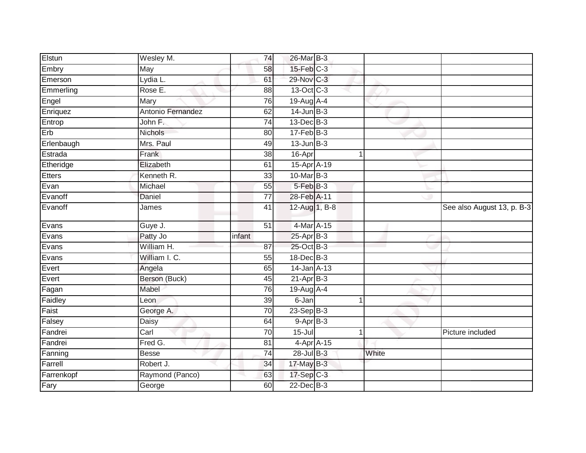| Elstun        | Wesley M.         | 74              | 26-Mar B-3       |       |                            |
|---------------|-------------------|-----------------|------------------|-------|----------------------------|
| Embry         | May               | 58              | $15$ -Feb $C-3$  |       |                            |
| Emerson       | Lydia L.          | 61              | 29-Nov C-3       |       |                            |
| Emmerling     | Rose E.           | 88              | 13-Oct C-3       |       |                            |
| Engel         | Mary              | $\overline{76}$ | 19-Aug A-4       |       |                            |
| Enriquez      | Antonio Fernandez | 62              | $14$ -Jun $B-3$  |       |                            |
| Entrop        | John F.           | 74              | 13-Dec B-3       |       |                            |
| Erb           | Nichols           | 80              | $17 - Feb$ $B-3$ |       |                            |
| Erlenbaugh    | Mrs. Paul         | 49              | $13$ -Jun $B-3$  |       |                            |
| Estrada       | Frank             | $\overline{38}$ | 16-Apr           | 1     |                            |
| Etheridge     | Elizabeth         | 61              | 15-Apr A-19      |       |                            |
| <b>Etters</b> | Kenneth R.        | 33              | 10-Mar B-3       |       |                            |
| Evan          | Michael           | 55              | 5-Feb B-3        |       |                            |
| Evanoff       | <b>Daniel</b>     | 77              | 28-Feb A-11      |       |                            |
| Evanoff       | James             | 41              | 12-Aug 1, B-8    |       | See also August 13, p. B-3 |
| Evans         | Guye J.           | 51              | 4-Mar A-15       |       |                            |
| Evans         | Patty Jo          | infant          | $25-AprB-3$      |       |                            |
| Evans         | William H.        | 87              | 25-Oct B-3       |       |                            |
| Evans         | William I. C.     | 55              | $18$ -Dec $B$ -3 |       |                            |
| Evert         | Angela            | 65              | 14-Jan A-13      |       |                            |
| Evert         | Berson (Buck)     | 45              | $21-AprB-3$      |       |                            |
| Fagan         | Mabel             | 76              | $19$ -Aug $A$ -4 |       |                            |
| Faidley       | Leon              | 39              | 6-Jan            | 1     |                            |
| Faist         | George A.         | 70              | $23-Sep$ B-3     |       |                            |
| Falsey        | Daisy             | 64              | $9-AprB-3$       |       |                            |
| Fandrei       | Carl              | 70              | $15 -$ Jul       | 1     | Picture included           |
| Fandrei       | Fred G.           | $\overline{81}$ | 4-Apr A-15       |       |                            |
| Fanning       | <b>Besse</b>      | $\overline{74}$ | 28-Jul B-3       | White |                            |
| Farrell       | Robert J.         | 34              | 17-May B-3       |       |                            |
| Farrenkopf    | Raymond (Panco)   | 63              | $17-Sep$ C-3     |       |                            |
| Fary          | George            | 60              | 22-Dec B-3       |       |                            |
|               |                   |                 |                  |       |                            |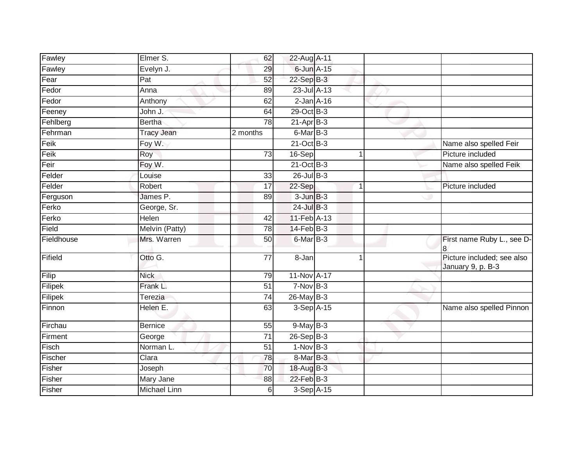| Fawley     | Elmer S.                  | 62              | 22-Aug A-11     |                |                                                 |
|------------|---------------------------|-----------------|-----------------|----------------|-------------------------------------------------|
| Fawley     | Evelyn J.                 | 29              | $6$ -Jun $A-15$ |                |                                                 |
| Fear       | $\overline{Pat}$          | 52              | 22-Sep B-3      |                |                                                 |
| Fedor      | Anna                      | 89              | 23-Jul A-13     |                |                                                 |
| Fedor      | Anthony                   | 62              | $2$ -Jan $A-16$ |                |                                                 |
| Feeney     | John J.                   | 64              | 29-Oct B-3      |                |                                                 |
| Fehlberg   | <b>Bertha</b>             | 78              | $21-Apr$ B-3    |                |                                                 |
| Fehrman    | <b>Tracy Jean</b>         | 2 months        | $6$ -Mar $B-3$  |                |                                                 |
| Feik       | Foy W.                    |                 | $21-Oct$ B-3    |                | Name also spelled Feir                          |
| Feik       | Roy                       | $\overline{73}$ | 16-Sep          | -1             | Picture included                                |
| Feir       | Foy W.                    |                 | $21$ -Oct B-3   |                | Name also spelled Feik                          |
| Felder     | Louise                    | 33              | $26$ -Jul B-3   |                |                                                 |
| Felder     | Robert                    | 17              | $22-Sep$        | $\overline{1}$ | Picture included                                |
| Ferguson   | James P.                  | 89              | $3 - JunB - 3$  |                |                                                 |
| Ferko      | George, Sr.               |                 | $24$ -Jul $B-3$ |                |                                                 |
| Ferko      | Helen                     | 42              | 11-Feb A-13     |                |                                                 |
| Field      | Melvin (Patty)            | $\overline{78}$ | $14$ -Feb $B-3$ |                |                                                 |
| Fieldhouse | Mrs. Warren               | 50              | $6$ -Mar $B-3$  |                | First name Ruby L., see D-<br>8                 |
| Fifield    | Otto G.                   | 77              | 8-Jan           |                | Picture included; see also<br>January 9, p. B-3 |
| Filip      | <b>Nick</b>               | 79              | 11-Nov A-17     |                |                                                 |
| Filipek    | Frank L.                  | $\overline{51}$ | $7-Nov$ B-3     |                |                                                 |
| Filipek    | Terezia                   | 74              | $26$ -May B-3   |                |                                                 |
| Finnon     | Helen E.                  | 63              | $3-Sep$ A-15    |                | Name also spelled Pinnon                        |
| Firchau    | <b>Bernice</b>            | 55              | $9$ -May $B-3$  |                |                                                 |
| Firment    | George                    | 71              | $26-Sep$ B-3    |                |                                                 |
| Fisch      | Norman L.                 | 51              | $1-Nov$ B-3     |                |                                                 |
| Fischer    | $\overline{\text{Clara}}$ | $\overline{78}$ | 8-Mar B-3       |                |                                                 |
| Fisher     | Joseph                    | 70              | 18-Aug B-3      |                |                                                 |
| Fisher     | Mary Jane                 | 88              | 22-Feb B-3      |                |                                                 |
| Fisher     | <b>Michael Linn</b>       | $6 \mid$        | 3-Sep A-15      |                |                                                 |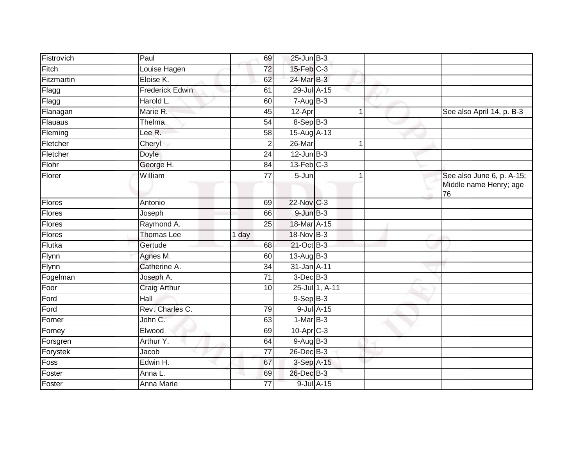| Fistrovich         | Paul                   | 69              | $25$ -Jun $B-3$  |                |                                                           |
|--------------------|------------------------|-----------------|------------------|----------------|-----------------------------------------------------------|
| Fitch              | Louise Hagen           | $\overline{72}$ | $15$ -Feb $C-3$  |                |                                                           |
| Fitzmartin         | Eloise K.              | 62              | 24-Mar B-3       |                |                                                           |
| Flagg              | <b>Frederick Edwin</b> | 61              | $29$ -Jul $A-15$ |                |                                                           |
| Flagg              | Harold L.              | 60              | $7 - Aug$ B-3    |                |                                                           |
| Flanagan           | Marie R.               | 45              | 12-Apr           | 1              | See also April 14, p. B-3                                 |
| Flauaus            | Thelma                 | 54              | 8-Sep B-3        |                |                                                           |
| Fleming            | Lee R.                 | 58              | 15-Aug A-13      |                |                                                           |
| Fletcher           | Cheryl                 | 2               | 26-Mar           |                |                                                           |
| Fletcher           | <b>Doyle</b>           | $\overline{24}$ | $12$ -Jun B-3    |                |                                                           |
| Flohr              | George H.              | 84              | $13$ -Feb $C-3$  |                |                                                           |
| Florer             | William                | $\overline{77}$ | 5-Jun            |                | See also June 6, p. A-15;<br>Middle name Henry; age<br>76 |
| Flores             | Antonio                | 69              | 22-Nov C-3       |                |                                                           |
| Flores             | Joseph                 | 66              | $9 - JunB - 3$   |                |                                                           |
| Flores             | Raymond A.             | 25              | 18-Mar A-15      |                |                                                           |
| Flores             | <b>Thomas Lee</b>      | 1 day           | 18-Nov B-3       |                |                                                           |
| Flutka             | Gertude                | 68              | 21-Oct B-3       |                |                                                           |
| Flynn              | Agnes M.               | 60              | 13-Aug B-3       |                |                                                           |
| Flynn              | Catherine A.           | 34              | 31-Jan A-11      |                |                                                           |
| Fogelman           | Joseph A.              | 71              | $3$ -Dec $B-3$   |                |                                                           |
| Foor               | <b>Craig Arthur</b>    | 10              |                  | 25-Jul 1, A-11 |                                                           |
| Ford               | Hall                   |                 | $9-Sep$ $B-3$    |                |                                                           |
| $For \overline{d}$ | Rev. Charles C.        | 79              | $9$ -Jul $A-15$  |                |                                                           |
| Forner             | John C.                | 63              | $1-MarB-3$       |                |                                                           |
| Forney             | Elwood                 | 69              | 10-Apr C-3       |                |                                                           |
| Forsgren           | Arthur Y.              | 64              | $9-AugB-3$       |                |                                                           |
| Forystek           | Jacob                  | $\overline{77}$ | 26-Dec B-3       |                |                                                           |
| Foss               | Edwin H.               | 67              | 3-Sep A-15       |                |                                                           |
| Foster             | Anna L.                | 69              | 26-Dec B-3       |                |                                                           |
| Foster             | Anna Marie             | 77              | 9-Jul A-15       |                |                                                           |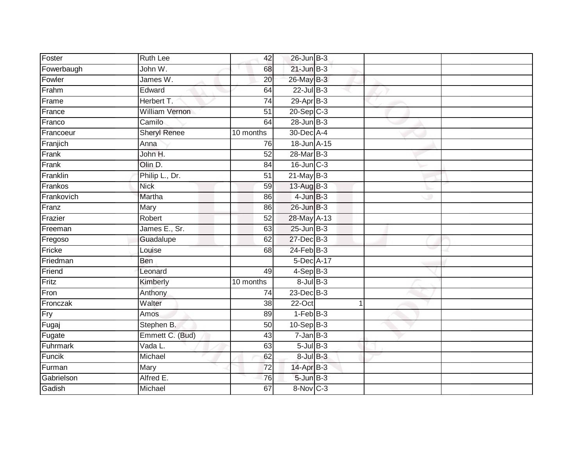| Foster     | Ruth Lee              | 42              | $26$ -Jun $B-3$ |                |  |
|------------|-----------------------|-----------------|-----------------|----------------|--|
| Fowerbaugh | John W.               | 68              | $21$ -Jun $B-3$ |                |  |
| Fowler     | James W.              | 20              | 26-May B-3      |                |  |
| Frahm      | Edward                | 64              | $22$ -Jul $B-3$ |                |  |
| Frame      | Herbert T.            | $\overline{74}$ | $29$ -Apr $B-3$ |                |  |
| France     | <b>William Vernon</b> | 51              | $20 - Sep$ C-3  |                |  |
| Franco     | Camilo                | 64              | $28$ -Jun $B-3$ |                |  |
| Francoeur  | <b>Sheryl Renee</b>   | 10 months       | 30-Dec A-4      |                |  |
| Franjich   | Anna                  | 76              | 18-Jun A-15     |                |  |
| Frank      | John H.               | 52              | 28-Mar B-3      |                |  |
| Frank      | Olin D.               | 84              | 16-Jun C-3      |                |  |
| Franklin   | Philip L., Dr.        | $\overline{51}$ | $21$ -May B-3   |                |  |
| Frankos    | <b>Nick</b>           | 59              | 13-Aug $B-3$    |                |  |
| Frankovich | Martha                | 86              | $4$ -Jun $B-3$  |                |  |
| Franz      | <b>Mary</b>           | 86              | $26$ -Jun $B-3$ |                |  |
| Frazier    | Robert                | 52              | 28-May A-13     |                |  |
| Freeman    | James E., Sr.         | 63              | $25$ -Jun $B-3$ |                |  |
| Fregoso    | Guadalupe             | 62              | 27-Dec B-3      |                |  |
| Fricke     | Louise                | 68              | $24$ -Feb $B-3$ |                |  |
| Friedman   | Ben                   |                 | 5-Dec A-17      |                |  |
| Friend     | Leonard               | 49              | $4-Sep$ B-3     |                |  |
| Fritz      | Kimberly              | 10 months       | $8$ -Jul $B-3$  |                |  |
| Fron       | Anthony               | 74              | $23$ -Dec $B-3$ |                |  |
| Fronczak   | Walter                | 38              | 22-Oct          | $\overline{1}$ |  |
| Fry        | Amos                  | 89              | $1-FebB-3$      |                |  |
| Fugaj      | Stephen B.            | 50              | $10 - SepB-3$   |                |  |
| Fugate     | Emmett C. (Bud)       | 43              | $7 - Jan$ $B-3$ |                |  |
| Fuhrmark   | Vada L.               | 63              | $5$ -Jul B-3    |                |  |
| Funcik     | Michael               | 62              | $8$ -Jul $B-3$  |                |  |
| Furman     | Mary                  | 72              | 14-Apr B-3      |                |  |
| Gabrielson | Alfred E.             | 76              | $5$ -Jun $B-3$  |                |  |
| Gadish     | Michael               | 67              | 8-Nov C-3       |                |  |
|            |                       |                 |                 |                |  |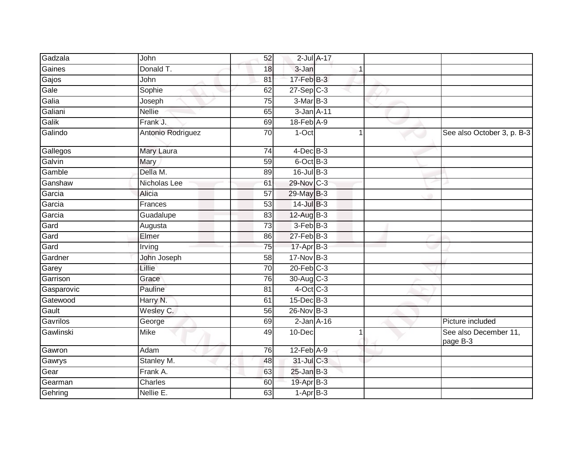| Gadzala    | John              | 52              | $2$ -Jul $A-17$  |  |                                   |
|------------|-------------------|-----------------|------------------|--|-----------------------------------|
| Gaines     | Donald T.         | 18              | 3-Jan            |  |                                   |
| Gajos      | John              | 81              | 17-Feb B-3       |  |                                   |
| Gale       | Sophie            | 62              | $27-Sep$ $C-3$   |  |                                   |
| Galia      | Joseph            | 75              | $3-MarB-3$       |  |                                   |
| Galiani    | <b>Nellie</b>     | 65              | 3-Jan A-11       |  |                                   |
| Galik      | Frank J.          | 69              | 18-Feb A-9       |  |                                   |
| Galindo    | Antonio Rodriguez | 70              | 1-Oct            |  | See also October 3, p. B-3        |
| Gallegos   | Mary Laura        | 74              | $4$ -Dec $B-3$   |  |                                   |
| Galvin     | Mary              | 59              | $6$ -Oct $B$ -3  |  |                                   |
| Gamble     | Della M.          | 89              | $16$ -Jul $B-3$  |  |                                   |
| Ganshaw    | Nicholas Lee      | 61              | 29-Nov C-3       |  |                                   |
| Garcia     | Alicia            | 57              | 29-May B-3       |  |                                   |
| Garcia     | Frances           | 53              | $14$ -Jul $B-3$  |  |                                   |
| Garcia     | Guadalupe         | $\overline{83}$ | $12-AugB-3$      |  |                                   |
| Gard       | Augusta           | 73              | 3-Feb B-3        |  |                                   |
| Gard       | Elmer             | 86              | 27-Feb B-3       |  |                                   |
| Gard       | Irving            | 75              | $17 - Apr$ B-3   |  |                                   |
| Gardner    | John Joseph       | 58              | 17-Nov B-3       |  |                                   |
| Garey      | Lillie            | $\overline{70}$ | $20$ -Feb $C-3$  |  |                                   |
| Garrison   | Grace             | 76              | 30-Aug C-3       |  |                                   |
| Gasparovic | Pauline           | 81              | $4$ -Oct C-3     |  |                                   |
| Gatewood   | Harry N.          | 61              | $15$ -Dec $B$ -3 |  |                                   |
| Gault      | Wesley C.         | 56              | $26$ -Nov $B-3$  |  |                                   |
| Gavrilos   | George            | 69              | $2$ -Jan $A-16$  |  | Picture included                  |
| Gawlinski  | Mike              | 49              | 10-Dec           |  | See also December 11,<br>page B-3 |
| Gawron     | Adam              | 76              | 12-Feb A-9       |  |                                   |
| Gawrys     | Stanley M.        | 48              | 31-Jul C-3       |  |                                   |
| Gear       | Frank A.          | 63              | $25$ -Jan $B-3$  |  |                                   |
| Gearman    | Charles           | 60              | 19-Apr B-3       |  |                                   |
| Gehring    | Nellie E.         | 63              | $1-Apr$ B-3      |  |                                   |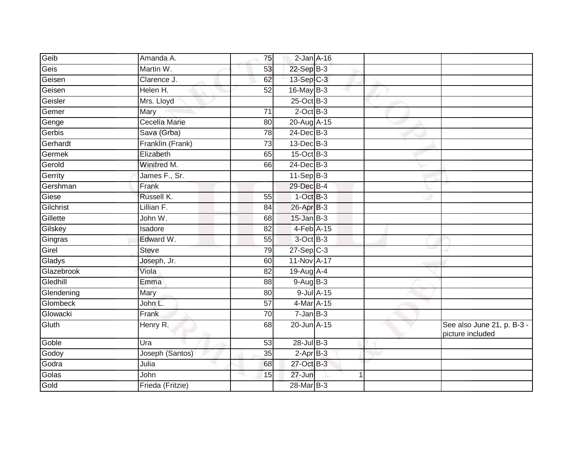| Geib       | Amanda A.        | 75              | $2$ -Jan $A-16$ |  |                                                |
|------------|------------------|-----------------|-----------------|--|------------------------------------------------|
| Geis       | Martin W.        | 53              | $22-Sep$ B-3    |  |                                                |
| Geisen     | Clarence J.      | 62              | 13-Sep C-3      |  |                                                |
| Geisen     | Helen H.         | 52              | 16-May B-3      |  |                                                |
| Geisler    | Mrs. Lloyd       |                 | $25$ -Oct B-3   |  |                                                |
| Gemer      | Mary             | 71              | $2$ -Oct B-3    |  |                                                |
| Genge      | Cecelia Marie    | 80              | 20-Aug A-15     |  |                                                |
| Gerbis     | Sava (Grba)      | 78              | $24$ -Dec $B-3$ |  |                                                |
| Gerhardt   | Franklin (Frank) | 73              | 13-Dec B-3      |  |                                                |
| Germek     | Elizabeth        | 65              | $15$ -Oct B-3   |  |                                                |
| Gerold     | Winifred M.      | 66              | 24-Dec B-3      |  |                                                |
| Gerrity    | James F., Sr.    |                 | $11-Sep$ B-3    |  |                                                |
| Gershman   | Frank            |                 | 29-Dec B-4      |  |                                                |
| Giese      | Russell K.       | 55              | $1-OctB-3$      |  |                                                |
| Gilchrist  | Lillian F.       | 84              | 26-Apr B-3      |  |                                                |
| Gillette   | John W.          | 68              | $15$ -Jan $B-3$ |  |                                                |
| Gilskey    | Isadore          | $\overline{82}$ | $4-Feb$ A-15    |  |                                                |
| Gingras    | Edward W.        | 55              | 3-Oct B-3       |  |                                                |
| Girel      | <b>Steve</b>     | 79              | $27-Sep$ $C-3$  |  |                                                |
| Gladys     | Joseph, Jr.      | 60              | 11-Nov A-17     |  |                                                |
| Glazebrook | Viola            | $\overline{82}$ | 19-Aug A-4      |  |                                                |
| Gledhill   | Emma             | $\overline{88}$ | 9-Aug B-3       |  |                                                |
| Glendening | Mary             | 80              | 9-Jul A-15      |  |                                                |
| Glombeck   | John L.          | 57              | 4-Mar A-15      |  |                                                |
| Glowacki   | Frank            | 70              | $7 - Jan$ $B-3$ |  |                                                |
| Gluth      | Henry R.         | 68              | 20-Jun A-15     |  | See also June 21, p. B-3 -<br>picture included |
| Goble      | Ura              | 53              | 28-Jul B-3      |  |                                                |
| Godoy      | Joseph (Santos)  | 35              | $2-AprB-3$      |  |                                                |
| Godra      | Julia            | 68              | 27-Oct B-3      |  |                                                |
| Golas      | John             | 15              | 27-Jun          |  |                                                |
| Gold       | Frieda (Fritzie) |                 | 28-Mar B-3      |  |                                                |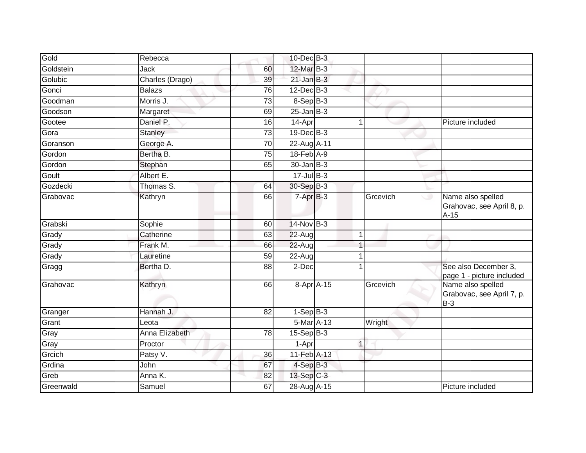| Gold      | Rebecca         |    | $10$ -Dec $B-3$          |   |               |                                                          |
|-----------|-----------------|----|--------------------------|---|---------------|----------------------------------------------------------|
| Goldstein | Jack            | 60 | 12-Mar B-3               |   |               |                                                          |
| Golubic   | Charles (Drago) | 39 | $21$ -Jan B-3            |   |               |                                                          |
| Gonci     | <b>Balazs</b>   | 76 | $12$ -Dec $B-3$          |   |               |                                                          |
| Goodman   | Morris J.       | 73 | $8-SepB-3$               |   |               |                                                          |
| Goodson   | Margaret        | 69 | $25 - Jan$ $B-3$         |   |               |                                                          |
| Gootee    | Daniel P.       | 16 | 14-Apr                   |   |               | Picture included                                         |
| Gora      | Stanley         | 73 | $19$ -Dec $B-3$          |   |               |                                                          |
| Goranson  | George A.       | 70 | 22-Aug A-11              |   |               |                                                          |
| Gordon    | Bertha B.       | 75 | 18-Feb A-9               |   |               |                                                          |
| Gordon    | Stephan         | 65 | $30 - Jan$ $B-3$         |   |               |                                                          |
| Goult     | Albert E.       |    | $17 -$ Jul B-3           |   |               |                                                          |
| Gozdecki  | Thomas S.       | 64 | 30-Sep B-3               |   |               |                                                          |
| Grabovac  | Kathryn         | 66 | $7 - \overline{Apr}$ B-3 |   | Grcevich<br>ى | Name also spelled<br>Grahovac, see April 8, p.<br>$A-15$ |
| Grabski   | Sophie          | 60 | $14$ -Nov B-3            |   |               |                                                          |
| Grady     | Catherine       | 63 | 22-Aug                   | 1 |               |                                                          |
| Grady     | Frank M.        | 66 | 22-Aug                   |   |               |                                                          |
| Grady     | Lauretine       | 59 | 22-Aug                   |   |               |                                                          |
| Gragg     | Bertha D.       | 88 | 2-Dec                    |   |               | See also December 3.<br>page 1 - picture included        |
| Grahovac  | Kathryn         | 66 | 8-Apr A-15               |   | Grcevich      | Name also spelled<br>Grabovac, see April 7, p.<br>$B-3$  |
| Granger   | Hannah J.       | 82 | $1-SepB-3$               |   |               |                                                          |
| Grant     | Leota           |    | 5-Mar A-13               |   | Wright        |                                                          |
| Gray      | Anna Elizabeth  | 78 | $15-Sep$ $B-3$           |   |               |                                                          |
| Gray      | Proctor         |    | 1-Apr                    | 1 |               |                                                          |
| Grcich    | Patsy V.        | 36 | 11-Feb A-13              |   |               |                                                          |
| Grdina    | <b>John</b>     | 67 | $4-SepB-3$               |   |               |                                                          |
| Greb      | Anna K.         | 82 | 13-Sep C-3               |   |               |                                                          |
| Greenwald | Samuel          | 67 | 28-Aug A-15              |   |               | Picture included                                         |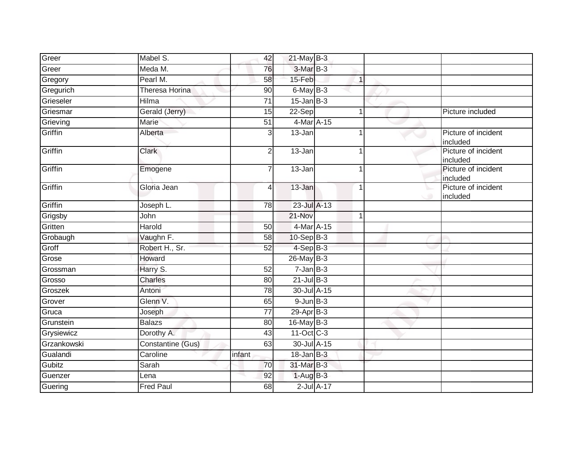| Greer          | Mabel S.          | 42              | $21$ -May B-3   |                 |              |  |                                 |
|----------------|-------------------|-----------------|-----------------|-----------------|--------------|--|---------------------------------|
| Greer          | Meda M.           | 76              | 3-Mar B-3       |                 |              |  |                                 |
| Gregory        | Pearl M.          | 58              | 15-Feb          |                 | $\mathbf{1}$ |  |                                 |
| Gregurich      | Theresa Horina    | 90              | $6$ -May $B-3$  |                 |              |  |                                 |
| Grieseler      | <b>Hilma</b>      | $\overline{71}$ | $15$ -Jan B-3   |                 |              |  |                                 |
| Griesmar       | Gerald (Jerry)    | 15              | 22-Sep          |                 | $\mathbf{1}$ |  | Picture included                |
| Grieving       | Marie             | $\overline{51}$ | 4-Mar A-15      |                 |              |  |                                 |
| <b>Griffin</b> | Alberta           | $\overline{3}$  | 13-Jan          |                 | $\mathbf 1$  |  | Picture of incident<br>included |
| Griffin        | Clark             | $\overline{2}$  | 13-Jan          |                 |              |  | Picture of incident<br>included |
| Griffin        | Emogene           | $\overline{7}$  | 13-Jan          |                 |              |  | Picture of incident<br>included |
| Griffin        | Gloria Jean       | 4               | 13-Jan          |                 | $\mathbf 1$  |  | Picture of incident<br>included |
| Griffin        | Joseph L.         | 78              | 23-Jul A-13     |                 |              |  |                                 |
| Grigsby        | John              |                 | 21-Nov          |                 | $\mathbf 1$  |  |                                 |
| Gritten        | Harold            | 50              | 4-Mar A-15      |                 |              |  |                                 |
| Grobaugh       | Vaughn F.         | 58              | 10-Sep B-3      |                 |              |  |                                 |
| Groff          | Robert H., Sr.    | 52              | $4-SepB-3$      |                 |              |  |                                 |
| Grose          | Howard            |                 | $26$ -May B-3   |                 |              |  |                                 |
| Grossman       | Harry S.          | 52              | $7 - JanB - 3$  |                 |              |  |                                 |
| Grosso         | <b>Charles</b>    | 80              | $21$ -Jul B-3   |                 |              |  |                                 |
| Groszek        | Antoni            | 78              | 30-Jul A-15     |                 |              |  |                                 |
| Grover         | Glenn V.          | 65              | $9 - Jun$ $B-3$ |                 |              |  |                                 |
| Gruca          | Joseph            | $\overline{77}$ | $29$ -Apr $B-3$ |                 |              |  |                                 |
| Grunstein      | <b>Balazs</b>     | 80              | 16-May B-3      |                 |              |  |                                 |
| Grysiewicz     | Dorothy A.        | 43              | 11-Oct C-3      |                 |              |  |                                 |
| Grzankowski    | Constantine (Gus) | 63              | 30-Jul A-15     |                 |              |  |                                 |
| Gualandi       | Caroline          | infant          | $18$ -Jan B-3   |                 |              |  |                                 |
| Gubitz         | Sarah             | 70              | 31-Mar B-3      |                 |              |  |                                 |
| Guenzer        | Lena              | 92              | $1-AugB-3$      |                 |              |  |                                 |
| Guering        | <b>Fred Paul</b>  | 68              |                 | $2$ -Jul $A-17$ |              |  |                                 |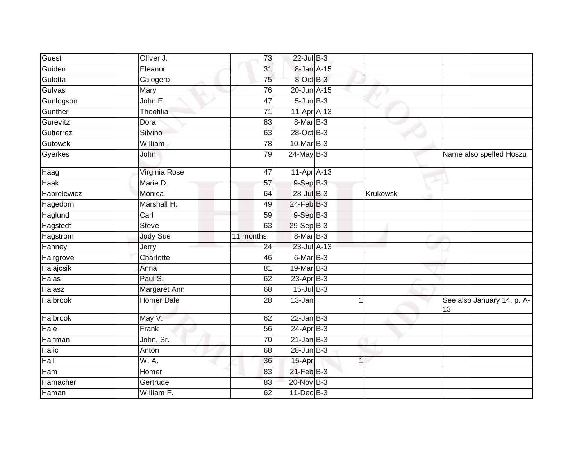| Guest           | Oliver J.         | 73              | 22-Jul B-3      |           |                                  |
|-----------------|-------------------|-----------------|-----------------|-----------|----------------------------------|
| Guiden          | Eleanor           | 31              | 8-Jan A-15      |           |                                  |
| Gulotta         | Calogero          | 75              | 8-Oct B-3       |           |                                  |
| Gulvas          | Mary              | 76              | 20-Jun A-15     |           |                                  |
| Gunlogson       | John E.           | $\overline{47}$ | $5 - Jun$ $B-3$ |           |                                  |
| Gunther         | Theofilia         | 71              | 11-Apr A-13     |           |                                  |
| Gurevitz        | Dora              | 83              | 8-Mar B-3       |           |                                  |
| Gutierrez       | Silvino           | 63              | 28-Oct B-3      |           |                                  |
| Gutowski        | William           | 78              | 10-Mar B-3      |           |                                  |
| Gyerkes         | John              | 79              | $24$ -May B-3   |           | Name also spelled Hoszu          |
| Haag            | Virginia Rose     | 47              | 11-Apr A-13     |           |                                  |
| <b>Haak</b>     | Marie D.          | 57              | $9-Sep$ $B-3$   |           |                                  |
| Habrelewicz     | Monica            | 64              | 28-Jul B-3      | Krukowski |                                  |
| Hagedorn        | Marshall H.       | 49              | 24-Feb B-3      |           |                                  |
| Haglund         | Carl              | 59              | $9-Sep$ $B-3$   |           |                                  |
| Hagstedt        | <b>Steve</b>      | 63              | 29-Sep B-3      |           |                                  |
| Hagstrom        | <b>Jody Sue</b>   | 11 months       | 8-Mar B-3       |           |                                  |
| Hahney          | Jerry             | 24              | 23-Jul A-13     |           |                                  |
| Hairgrove       | Charlotte         | 46              | 6-Mar B-3       |           |                                  |
| Halajcsik       | Anna              | 81              | 19-Mar B-3      |           |                                  |
| <b>Halas</b>    | Paul S.           | 62              | $23$ -Apr $B-3$ |           |                                  |
| Halasz          | Margaret Ann      | 68              | $15$ -Jul $B-3$ |           |                                  |
| Halbrook        | <b>Homer Dale</b> | 28              | 13-Jan          |           | See also January 14, p. A-<br>13 |
| <b>Halbrook</b> | May V.            | 62              | $22$ -Jan B-3   |           |                                  |
| Hale            | Frank             | 56              | $24-Apr$ B-3    |           |                                  |
| Halfman         | John, Sr.         | 70              | $21$ -Jan B-3   |           |                                  |
| Halic           | Anton             | 68              | $28$ -Jun $B-3$ |           |                                  |
| Hall            | W. A.             | 36              | 15-Apr          | 1         |                                  |
| Ham             | Homer             | 83              | $21$ -Feb $B-3$ |           |                                  |
| Hamacher        | Gertrude          | 83              | 20-Nov B-3      |           |                                  |
| Haman           | William F.        | 62              | 11-Dec B-3      |           |                                  |
|                 |                   |                 |                 |           |                                  |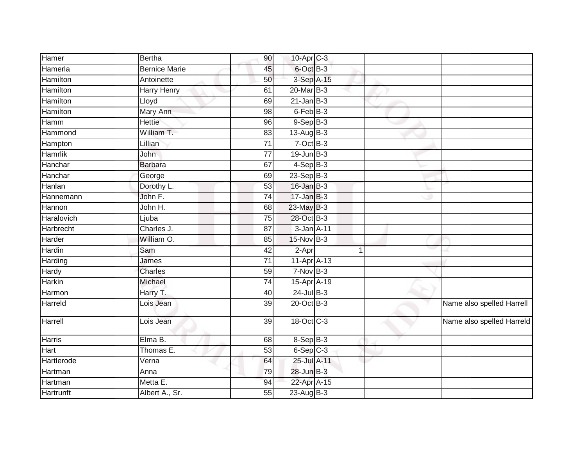| 6-Oct B-3<br>Hamerla<br><b>Bernice Marie</b><br>45<br>3-Sep A-15<br>Antoinette<br>50<br>Hamilton<br>20-Mar B-3<br>Harry Henry<br>61<br>Hamilton<br>$21$ -Jan B-3<br>Lloyd<br>69<br>$6$ -Feb $B-3$<br>Mary Ann<br>98<br>Hettie<br>$9-Sep B-3$<br>96<br>Hamm<br>William T.<br>13-Aug B-3<br>Hammond<br>83<br>$7$ -Oct $B-3$<br>Lillian<br>71<br>Hampton<br>$19$ -Jun $B-3$<br>Hamrlik<br>John<br>77<br>$4-Sep$ B-3<br>Hanchar<br>67<br><b>Barbara</b><br>23-Sep B-3<br>Hanchar<br>George<br>69<br>$16$ -Jan B-3<br>Dorothy L.<br>53<br>$17 - Jan$ $B-3$<br>John F.<br>74<br>Hannemann<br>23-May B-3<br>John H.<br>Hannon<br>68<br>28-Oct B-3<br>75<br>Ljuba<br>Charles J.<br>3-Jan A-11<br><b>Harbrecht</b><br>87<br>William O.<br>85<br>$15$ -Nov B-3<br>Harder<br>Hardin<br>Sam<br>42<br>2-Apr<br>$\overline{1}$<br>11-Apr A-13<br>$\overline{71}$<br>James<br>$7-Nov$ B-3<br>59<br>Hardy<br>Charles<br><b>Harkin</b><br>15-Apr A-19<br>Michael<br>74<br>$24$ -Jul B-3<br>Harry T.<br>Harmon<br>40<br>$20$ -Oct B-3<br>Name also spelled Harrell<br>39<br>Harreld<br>Lois Jean<br>18-Oct C-3<br>Lois Jean<br>39<br>$8-Sep$ $B-3$<br>Elma B.<br>Harris<br>68<br>$6-Sep$ $C-3$<br>Thomas E.<br>53<br>Hart<br>Hartlerode<br>25-Jul A-11<br>Verna<br>64<br>28-Jun B-3<br>79<br>Anna<br>Metta E.<br>22-Apr A-15<br>Hartman<br>94<br>Albert A., Sr.<br>55<br>$23$ -Aug $B-3$ | Hamer      | <b>Bertha</b> | 90 | 10-Apr C-3 |  |                           |
|------------------------------------------------------------------------------------------------------------------------------------------------------------------------------------------------------------------------------------------------------------------------------------------------------------------------------------------------------------------------------------------------------------------------------------------------------------------------------------------------------------------------------------------------------------------------------------------------------------------------------------------------------------------------------------------------------------------------------------------------------------------------------------------------------------------------------------------------------------------------------------------------------------------------------------------------------------------------------------------------------------------------------------------------------------------------------------------------------------------------------------------------------------------------------------------------------------------------------------------------------------------------------------------------------------------------------------------------------------------------|------------|---------------|----|------------|--|---------------------------|
|                                                                                                                                                                                                                                                                                                                                                                                                                                                                                                                                                                                                                                                                                                                                                                                                                                                                                                                                                                                                                                                                                                                                                                                                                                                                                                                                                                        |            |               |    |            |  |                           |
|                                                                                                                                                                                                                                                                                                                                                                                                                                                                                                                                                                                                                                                                                                                                                                                                                                                                                                                                                                                                                                                                                                                                                                                                                                                                                                                                                                        | Hamilton   |               |    |            |  |                           |
|                                                                                                                                                                                                                                                                                                                                                                                                                                                                                                                                                                                                                                                                                                                                                                                                                                                                                                                                                                                                                                                                                                                                                                                                                                                                                                                                                                        |            |               |    |            |  |                           |
|                                                                                                                                                                                                                                                                                                                                                                                                                                                                                                                                                                                                                                                                                                                                                                                                                                                                                                                                                                                                                                                                                                                                                                                                                                                                                                                                                                        |            |               |    |            |  |                           |
|                                                                                                                                                                                                                                                                                                                                                                                                                                                                                                                                                                                                                                                                                                                                                                                                                                                                                                                                                                                                                                                                                                                                                                                                                                                                                                                                                                        | Hamilton   |               |    |            |  |                           |
|                                                                                                                                                                                                                                                                                                                                                                                                                                                                                                                                                                                                                                                                                                                                                                                                                                                                                                                                                                                                                                                                                                                                                                                                                                                                                                                                                                        |            |               |    |            |  |                           |
|                                                                                                                                                                                                                                                                                                                                                                                                                                                                                                                                                                                                                                                                                                                                                                                                                                                                                                                                                                                                                                                                                                                                                                                                                                                                                                                                                                        |            |               |    |            |  |                           |
|                                                                                                                                                                                                                                                                                                                                                                                                                                                                                                                                                                                                                                                                                                                                                                                                                                                                                                                                                                                                                                                                                                                                                                                                                                                                                                                                                                        |            |               |    |            |  |                           |
|                                                                                                                                                                                                                                                                                                                                                                                                                                                                                                                                                                                                                                                                                                                                                                                                                                                                                                                                                                                                                                                                                                                                                                                                                                                                                                                                                                        |            |               |    |            |  |                           |
|                                                                                                                                                                                                                                                                                                                                                                                                                                                                                                                                                                                                                                                                                                                                                                                                                                                                                                                                                                                                                                                                                                                                                                                                                                                                                                                                                                        |            |               |    |            |  |                           |
|                                                                                                                                                                                                                                                                                                                                                                                                                                                                                                                                                                                                                                                                                                                                                                                                                                                                                                                                                                                                                                                                                                                                                                                                                                                                                                                                                                        |            |               |    |            |  |                           |
|                                                                                                                                                                                                                                                                                                                                                                                                                                                                                                                                                                                                                                                                                                                                                                                                                                                                                                                                                                                                                                                                                                                                                                                                                                                                                                                                                                        | Hanlan     |               |    |            |  |                           |
|                                                                                                                                                                                                                                                                                                                                                                                                                                                                                                                                                                                                                                                                                                                                                                                                                                                                                                                                                                                                                                                                                                                                                                                                                                                                                                                                                                        |            |               |    |            |  |                           |
|                                                                                                                                                                                                                                                                                                                                                                                                                                                                                                                                                                                                                                                                                                                                                                                                                                                                                                                                                                                                                                                                                                                                                                                                                                                                                                                                                                        |            |               |    |            |  |                           |
|                                                                                                                                                                                                                                                                                                                                                                                                                                                                                                                                                                                                                                                                                                                                                                                                                                                                                                                                                                                                                                                                                                                                                                                                                                                                                                                                                                        | Haralovich |               |    |            |  |                           |
|                                                                                                                                                                                                                                                                                                                                                                                                                                                                                                                                                                                                                                                                                                                                                                                                                                                                                                                                                                                                                                                                                                                                                                                                                                                                                                                                                                        |            |               |    |            |  |                           |
|                                                                                                                                                                                                                                                                                                                                                                                                                                                                                                                                                                                                                                                                                                                                                                                                                                                                                                                                                                                                                                                                                                                                                                                                                                                                                                                                                                        |            |               |    |            |  |                           |
|                                                                                                                                                                                                                                                                                                                                                                                                                                                                                                                                                                                                                                                                                                                                                                                                                                                                                                                                                                                                                                                                                                                                                                                                                                                                                                                                                                        |            |               |    |            |  |                           |
|                                                                                                                                                                                                                                                                                                                                                                                                                                                                                                                                                                                                                                                                                                                                                                                                                                                                                                                                                                                                                                                                                                                                                                                                                                                                                                                                                                        | Harding    |               |    |            |  |                           |
|                                                                                                                                                                                                                                                                                                                                                                                                                                                                                                                                                                                                                                                                                                                                                                                                                                                                                                                                                                                                                                                                                                                                                                                                                                                                                                                                                                        |            |               |    |            |  |                           |
|                                                                                                                                                                                                                                                                                                                                                                                                                                                                                                                                                                                                                                                                                                                                                                                                                                                                                                                                                                                                                                                                                                                                                                                                                                                                                                                                                                        |            |               |    |            |  |                           |
|                                                                                                                                                                                                                                                                                                                                                                                                                                                                                                                                                                                                                                                                                                                                                                                                                                                                                                                                                                                                                                                                                                                                                                                                                                                                                                                                                                        |            |               |    |            |  |                           |
|                                                                                                                                                                                                                                                                                                                                                                                                                                                                                                                                                                                                                                                                                                                                                                                                                                                                                                                                                                                                                                                                                                                                                                                                                                                                                                                                                                        |            |               |    |            |  |                           |
|                                                                                                                                                                                                                                                                                                                                                                                                                                                                                                                                                                                                                                                                                                                                                                                                                                                                                                                                                                                                                                                                                                                                                                                                                                                                                                                                                                        | Harrell    |               |    |            |  | Name also spelled Harreld |
|                                                                                                                                                                                                                                                                                                                                                                                                                                                                                                                                                                                                                                                                                                                                                                                                                                                                                                                                                                                                                                                                                                                                                                                                                                                                                                                                                                        |            |               |    |            |  |                           |
|                                                                                                                                                                                                                                                                                                                                                                                                                                                                                                                                                                                                                                                                                                                                                                                                                                                                                                                                                                                                                                                                                                                                                                                                                                                                                                                                                                        |            |               |    |            |  |                           |
|                                                                                                                                                                                                                                                                                                                                                                                                                                                                                                                                                                                                                                                                                                                                                                                                                                                                                                                                                                                                                                                                                                                                                                                                                                                                                                                                                                        |            |               |    |            |  |                           |
|                                                                                                                                                                                                                                                                                                                                                                                                                                                                                                                                                                                                                                                                                                                                                                                                                                                                                                                                                                                                                                                                                                                                                                                                                                                                                                                                                                        | Hartman    |               |    |            |  |                           |
|                                                                                                                                                                                                                                                                                                                                                                                                                                                                                                                                                                                                                                                                                                                                                                                                                                                                                                                                                                                                                                                                                                                                                                                                                                                                                                                                                                        |            |               |    |            |  |                           |
|                                                                                                                                                                                                                                                                                                                                                                                                                                                                                                                                                                                                                                                                                                                                                                                                                                                                                                                                                                                                                                                                                                                                                                                                                                                                                                                                                                        | Hartrunft  |               |    |            |  |                           |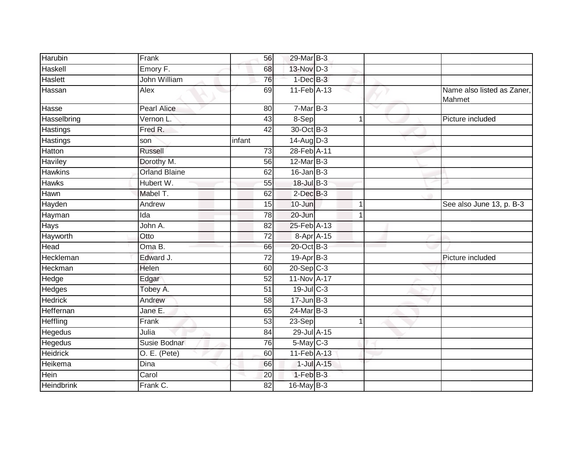| Harubin          | Frank                | 56              | 29-Mar B-3      |              |                                      |
|------------------|----------------------|-----------------|-----------------|--------------|--------------------------------------|
| Haskell          | Emory F.             | 68              | 13-Nov D-3      |              |                                      |
| <b>Haslett</b>   | John William         | 76              | $1$ -Dec $B-3$  |              |                                      |
| Hassan           | Alex                 | 69              | 11-Feb A-13     |              | Name also listed as Zaner,<br>Mahmet |
| Hasse            | <b>Pearl Alice</b>   | 80              | $7-MarB-3$      |              |                                      |
| Hasselbring      | Vernon L             | 43              | 8-Sep           | 1            | Picture included                     |
| Hastings         | Fred R.              | 42              | 30-Oct B-3      |              |                                      |
| Hastings         | son                  | infant          | $14$ -Aug D-3   |              |                                      |
| Hatton           | Russell              | 73              | 28-Feb A-11     |              |                                      |
| Haviley          | Dorothy M.           | 56              | $12$ -Mar $B-3$ |              |                                      |
| <b>Hawkins</b>   | <b>Orland Blaine</b> | 62              | $16$ -Jan B-3   |              |                                      |
| Hawks            | Hubert W.            | 55              | 18-Jul B-3      |              |                                      |
| Hawn             | Mabel T.             | 62              | $2$ -Dec $B-3$  |              |                                      |
| Hayden           | Andrew               | 15              | 10-Jun          | 1            | See also June 13, p. B-3             |
| Hayman           | $\overline{Ida}$     | 78              | 20-Jun          | $\mathbf{1}$ |                                      |
| Hays             | John A.              | 82              | 25-Feb A-13     |              |                                      |
| Hayworth         | Otto                 | 72              | 8-Apr A-15      |              |                                      |
| Head             | $OmaB$ .             | 66              | 20-Oct B-3      |              |                                      |
| Heckleman        | Edward J.            | 72              | 19-Apr B-3      |              | Picture included                     |
| Heckman          | Helen                | 60              | $20 - Sep$ C-3  |              |                                      |
| Hedge            | Edgar                | 52              | 11-Nov A-17     |              |                                      |
| Hedges           | Tobey A.             | 51              | $19$ -Jul C-3   |              |                                      |
| <b>Hedrick</b>   | Andrew               | $\overline{58}$ | $17 - Jun$ B-3  |              |                                      |
| <b>Heffernan</b> | Jane E.              | 65              | 24-Mar B-3      |              |                                      |
| <b>Heffling</b>  | Frank                | $\overline{53}$ | 23-Sep          | 1            |                                      |
| Hegedus          | Julia                | 84              | 29-Jul A-15     |              |                                      |
| Hegedus          | Susie Bodnar         | 76              | $5$ -May $C$ -3 |              |                                      |
| <b>Heidrick</b>  | O. E. (Pete)         | 60              | 11-Feb A-13     |              |                                      |
| Heikema          | Dina                 | 66              | $1$ -Jul $A-15$ |              |                                      |
| Hein             | Carol                | 20              | $1-FebB-3$      |              |                                      |
| Heindbrink       | Frank C.             | 82              | 16-May B-3      |              |                                      |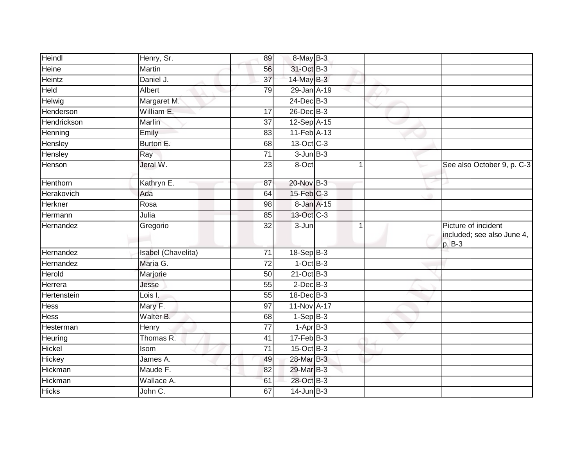| Heindl        | Henry, Sr.         | 89              | 8-May B-3        |   |                                                             |
|---------------|--------------------|-----------------|------------------|---|-------------------------------------------------------------|
| Heine         | Martin             | 56              | 31-Oct B-3       |   |                                                             |
| <b>Heintz</b> | Daniel J.          | $\overline{37}$ | 14-May B-3       |   |                                                             |
| Held          | Albert             | 79              | 29-Jan A-19      |   |                                                             |
| Helwig        | Margaret M.        |                 | $24$ -Dec $B-3$  |   |                                                             |
| Henderson     | William E.         | 17              | 26-Dec B-3       |   |                                                             |
| Hendrickson   | Marlin             | $\overline{37}$ | 12-Sep A-15      |   |                                                             |
| Henning       | Emily              | 83              | 11-Feb A-13      |   |                                                             |
| Hensley       | Burton E.          | 68              | 13-Oct C-3       |   |                                                             |
| Hensley       | Ray                | $\overline{71}$ | $3$ -Jun $B-3$   |   |                                                             |
| Henson        | Jeral W.           | $\overline{23}$ | 8-Oct            |   | See also October 9, p. C-3                                  |
| Henthorn      | Kathryn E.         | 87              | 20-Nov B-3       |   |                                                             |
| Herakovich    | Ada                | 64              | $15$ -Feb $C-3$  |   |                                                             |
| Herkner       | Rosa               | 98              | 8-Jan A-15       |   |                                                             |
| Hermann       | Julia              | 85              | 13-Oct C-3       |   |                                                             |
| Hernandez     | Gregorio           | 32              | 3-Jun            | 1 | Picture of incident<br>included; see also June 4,<br>p. B-3 |
| Hernandez     | Isabel (Chavelita) | 71              | $18-Sep$ B-3     |   |                                                             |
| Hernandez     | Maria G.           | 72              | $1-OctB-3$       |   |                                                             |
| Herold        | Marjorie           | 50              | 21-Oct B-3       |   |                                                             |
| Herrera       | Jesse              | 55              | $2$ -Dec $B-3$   |   |                                                             |
| Hertenstein   | Lois I.            | $\overline{55}$ | 18-Dec B-3       |   |                                                             |
| <b>Hess</b>   | Mary F.            | 97              | 11-Nov A-17      |   |                                                             |
| Hess          | Walter B.          | 68              | $1-Sep B-3$      |   |                                                             |
| Hesterman     | Henry              | 77              | $1-AprB-3$       |   |                                                             |
| Heuring       | Thomas R.          | 41              | $17 - Feb$ $B-3$ |   |                                                             |
| Hickel        | Isom               | $\overline{71}$ | 15-Oct B-3       |   |                                                             |
| Hickey        | James A.           | 49              | 28-Mar B-3       |   |                                                             |
| Hickman       | Maude F.           | 82              | 29-Mar B-3       |   |                                                             |
| Hickman       | Wallace A.         | 61              | 28-Oct B-3       |   |                                                             |
| <b>Hicks</b>  | John C.            | 67              | $14$ -Jun $B-3$  |   |                                                             |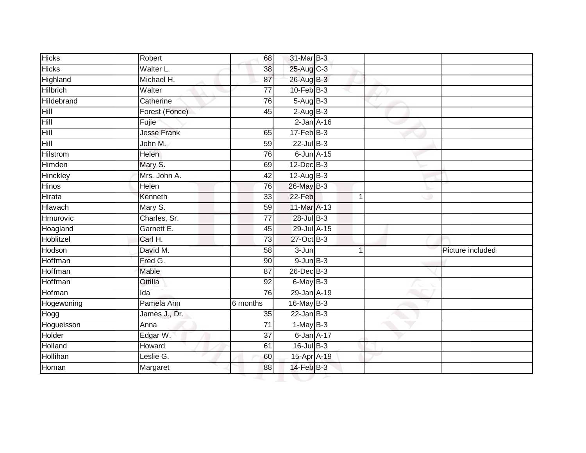| <b>Hicks</b>      | Robert             | 68              | 31-Mar B-3        |   |                  |
|-------------------|--------------------|-----------------|-------------------|---|------------------|
| <b>Hicks</b>      | Walter L.          | 38              | 25-Aug C-3        |   |                  |
| Highland          | Michael H.         | 87              | 26-Aug B-3        |   |                  |
| <b>Hilbrich</b>   | Walter             | $\overline{77}$ | $10$ -Feb $B-3$   |   |                  |
| <b>Hildebrand</b> | Catherine          | 76              | $5-AugB-3$        |   |                  |
| Hill              | Forest (Fonce)     | 45              | $2-AugB-3$        |   |                  |
| Hill              | Fujie              |                 | $2$ -Jan $A-16$   |   |                  |
| Hill              | <b>Jesse Frank</b> | 65              | $17 - Feb$ $B-3$  |   |                  |
| Hill              | John M.            | 59              | $22$ -Jul B-3     |   |                  |
| Hilstrom          | <b>Helen</b>       | 76              | $6$ -Jun $A-15$   |   |                  |
| Himden            | Mary S.            | 69              | $12$ -Dec $B-3$   |   |                  |
| Hinckley          | Mrs. John A.       | 42              | $12$ -Aug B-3     |   |                  |
| <b>Hinos</b>      | Helen              | 76              | 26-May B-3        |   |                  |
| Hirata            | Kenneth            | 33              | 22-Feb            | 1 |                  |
| Hlavach           | Mary S.            | 59              | 11-Mar A-13       |   |                  |
| Hmurovic          | Charles, Sr.       | 77              | 28-Jul B-3        |   |                  |
| Hoagland          | Garnett E.         | 45              | 29-Jul A-15       |   |                  |
| Hoblitzel         | Carl H.            | 73              | 27-Oct B-3        |   |                  |
| Hodson            | David M.           | 58              | $3 - Jun$         |   | Picture included |
| Hoffman           | Fred G.            | 90              | $9$ -Jun $B-3$    |   |                  |
| Hoffman           | Mable              | 87              | 26-Dec B-3        |   |                  |
| Hoffman           | Ottilia            | 92              | $6$ -May $B-3$    |   |                  |
| Hofman            | Ida                | 76              | 29-Jan A-19       |   |                  |
| Hogewoning        | Pamela Ann         | 6 months        | $16$ -May B-3     |   |                  |
| Hogg              | James J., Dr.      | 35              | $22$ -Jan B-3     |   |                  |
| Hogueisson        | Anna               | $\overline{71}$ | $1-May$ B-3       |   |                  |
| Holder            | Edgar W.           | $\overline{37}$ | 6-Jan A-17        |   |                  |
| Holland           | Howard             | 61              | $16$ -Jul B-3     |   |                  |
| Hollihan          | Leslie G.          | 60              | 15-Apr A-19       |   |                  |
| Homan             | Margaret           | 88              | $14$ -Feb $ B-3 $ |   |                  |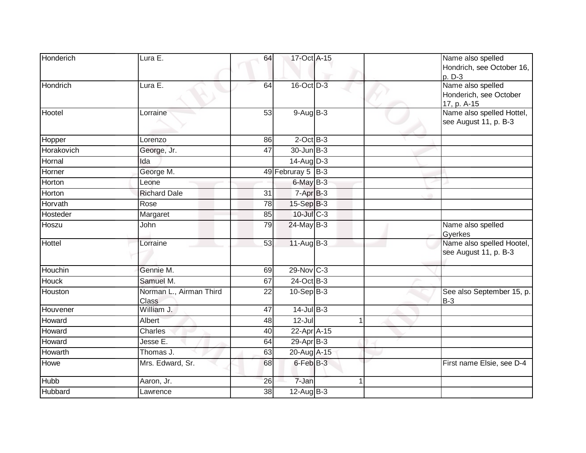| Honderich    | Lura E.                          | 64 | 17-Oct A-15       |  | Name also spelled<br>Hondrich, see October 16,<br>p. D-3          |
|--------------|----------------------------------|----|-------------------|--|-------------------------------------------------------------------|
| Hondrich     | Lura E.                          | 64 | 16-Oct D-3        |  | Name also spelled<br>Honderich, see October                       |
| Hootel       | Lorraine                         | 53 | $9-AugB-3$        |  | 17, p. A-15<br>Name also spelled Hottel,<br>see August 11, p. B-3 |
| Hopper       | Lorenzo                          | 86 | $2$ -Oct $B-3$    |  |                                                                   |
| Horakovich   | George, Jr.                      | 47 | 30-Jun B-3        |  |                                                                   |
| Hornal       | Ida                              |    | $14$ -Aug $D-3$   |  |                                                                   |
| Horner       | George M.                        |    | 49 Februray 5 B-3 |  |                                                                   |
| Horton       | Leone                            |    | $6$ -May $B-3$    |  |                                                                   |
| Horton       | <b>Richard Dale</b>              | 31 | $7-AprB-3$        |  |                                                                   |
| Horvath      | Rose                             | 78 | $15-Sep$ B-3      |  |                                                                   |
| Hosteder     | Margaret                         | 85 | 10-Jul C-3        |  |                                                                   |
| Hoszu        | John                             | 79 | $24$ -May B-3     |  | Name also spelled<br>Gyerkes                                      |
| Hottel       | Lorraine                         | 53 | $11-Aug$ B-3      |  | Name also spelled Hootel,<br>see August 11, p. B-3                |
| Houchin      | Gennie M.                        | 69 | $29-Nov$ C-3      |  |                                                                   |
| <b>Houck</b> | Samuel M.                        | 67 | $24-Oct$ B-3      |  |                                                                   |
| Houston      | Norman L., Airman Third<br>Class | 22 | $10-Sep$ B-3      |  | See also September 15, p.<br>$B-3$                                |
| Houvener     | William J.                       | 47 | $14$ -Jul $B-3$   |  |                                                                   |
| Howard       | Albert                           | 48 | $12$ -Jul         |  |                                                                   |
| Howard       | Charles                          | 40 | $22$ -Apr $A$ -15 |  |                                                                   |
| Howard       | Jesse E.                         | 64 | 29-Apr B-3        |  |                                                                   |
| Howarth      | Thomas J.                        | 63 | 20-Aug A-15       |  |                                                                   |
| Howe         | Mrs. Edward, Sr.                 | 68 | $6$ -Feb $B-3$    |  | First name Elsie, see D-4                                         |
| Hubb         | Aaron, Jr.                       | 26 | 7-Jan             |  |                                                                   |
| Hubbard      | Lawrence                         | 38 | $12$ -Aug $B-3$   |  |                                                                   |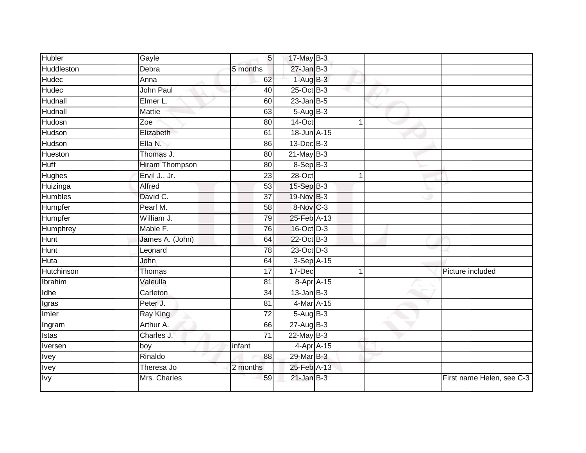| <b>Hubler</b>  | Gayle                 | 5 <sub>1</sub>  | 17-May B-3      |   |                           |
|----------------|-----------------------|-----------------|-----------------|---|---------------------------|
| Huddleston     | Debra                 | 5 months        | $27$ -Jan $B-3$ |   |                           |
| Hudec          | Anna                  | 62              | $1-AugB-3$      |   |                           |
| Hudec          | John Paul             | 40              | $25$ -Oct B-3   |   |                           |
| Hudnall        | Elmer L.              | 60              | $23$ -Jan B-5   |   |                           |
| Hudnall        | <b>Mattie</b>         | 63              | $5-AugB-3$      |   |                           |
| Hudosn         | Zoe                   | 80              | 14-Oct          |   |                           |
| Hudson         | Elizabeth             | 61              | 18-Jun A-15     |   |                           |
| Hudson         | Ella N.               | 86              | $13$ -Dec $B-3$ |   |                           |
| Hueston        | Thomas J.             | $\overline{80}$ | $21$ -May B-3   |   |                           |
| <b>Huff</b>    | <b>Hiram Thompson</b> | 80              | 8-Sep B-3       |   |                           |
| Hughes         | Ervil J., Jr.         | 23              | 28-Oct          |   |                           |
| Huizinga       | Alfred                | 53              | 15-Sep B-3      |   |                           |
| <b>Humbles</b> | David C.              | 37              | 19-Nov B-3      |   |                           |
| Humpfer        | Pearl M.              | $\overline{58}$ | 8-Nov C-3       |   |                           |
| Humpfer        | William J.            | 79              | 25-Feb A-13     |   |                           |
| Humphrey       | Mable F.              | 76              | 16-Oct D-3      |   |                           |
| Hunt           | James A. (John)       | 64              | 22-Oct B-3      |   |                           |
| Hunt           | Leonard               | 78              | 23-Oct D-3      |   |                           |
| Huta           | <b>John</b>           | 64              | 3-Sep A-15      |   |                           |
| Hutchinson     | <b>Thomas</b>         | 17              | 17-Dec          | 1 | Picture included          |
| Ibrahim        | Valeulla              | 81              | 8-Apr A-15      |   |                           |
| Idhe           | Carleton              | 34              | $13$ -Jan B-3   |   |                           |
| Igras          | Peter J.              | 81              | 4-Mar A-15      |   |                           |
| Imler          | Ray King              | 72              | $5-AugB-3$      |   |                           |
| Ingram         | Arthur A.             | 66              | $27$ -Aug $B-3$ |   |                           |
| Istas          | Charles J.            | $\overline{71}$ | $22$ -May B-3   |   |                           |
| Iversen        | boy                   | infant          | $4-AprA-15$     |   |                           |
| <b>Ivey</b>    | Rinaldo               | 88              | 29-Mar B-3      |   |                           |
| Ivey           | Theresa Jo            | 2 months        | 25-Feb A-13     |   |                           |
| <b>Ivy</b>     | Mrs. Charles          | 59              | $21$ -Jan B-3   |   | First name Helen, see C-3 |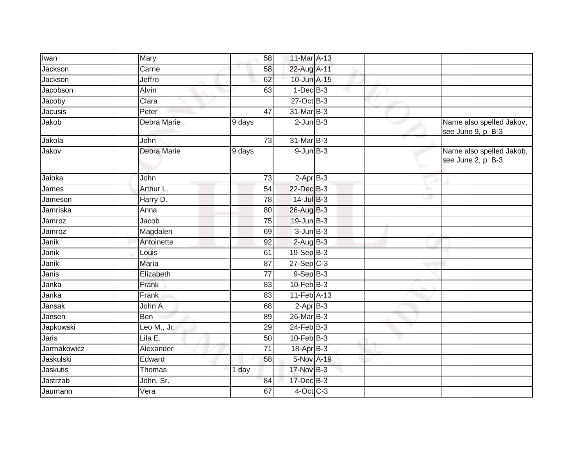| Iwan               | Mary               | 58              | 11-Mar A-13             |  |                                                |
|--------------------|--------------------|-----------------|-------------------------|--|------------------------------------------------|
| Jackson            | Carrie             | 58              | 22-Aug A-11             |  |                                                |
| Jackson            | Jeffro             | 62              | 10-Jun A-15             |  |                                                |
| Jacobson           | Alvin              | 63              | $1-Dec$ B-3             |  |                                                |
| Jacoby             | Clara              |                 | 27-Oct B-3              |  |                                                |
| Jacusis            | Peter              | 47              | 31-Mar B-3              |  |                                                |
| Jakob              | Debra Marie        | 9 days          | $2$ -Jun $B-3$          |  | Name also spelled Jakov,<br>see June 9, p. B-3 |
| Jakola             | John               | 73              | 31-Mar B-3              |  |                                                |
| Jakov              | <b>Debra Marie</b> | 9 days          | $9$ -Jun $B-3$          |  | Name also spelled Jakob,<br>see June 2, p. B-3 |
| Jaloka             | John               | 73              | $2-Apr$ B-3             |  |                                                |
| James              | Arthur L.          | 54              | 22-Dec B-3              |  |                                                |
| Jameson            | Harry D.           | 78              | $14$ -Jul $B-3$         |  |                                                |
| Jamriska           | Anna               | 80              | 26-Aug B-3              |  |                                                |
| Jamroz             | Jacob              | $\overline{75}$ | $19$ -Jun $B-3$         |  |                                                |
| Jamroz             | Magdalen           | 69              | $3$ -Jun $B-3$          |  |                                                |
| Janik              | Antoinette         | $\overline{92}$ | $2-AugB-3$              |  |                                                |
| Janik              | Louis              | 61              | $19-Sep$ B-3            |  |                                                |
| Janik              | <b>Maria</b>       | 87              | $27-Sep$ <sub>C-3</sub> |  |                                                |
| Janis              | Elizabeth          | 77              | $9-Sep B-3$             |  |                                                |
| Janka              | Frank              | 83              | $10$ -Feb $B-3$         |  |                                                |
| Janka              | Frank              | 83              | 11-Feb A-13             |  |                                                |
| Jansak             | John A.            | 68              | $2-Apr$ B-3             |  |                                                |
| Jansen             | Ben                | 89              | 26-Mar B-3              |  |                                                |
| Japkowski          | Leo M., Jr.        | 29              | $24$ -Feb $B-3$         |  |                                                |
| <b>Jaris</b>       | Lila E.            | 50              | $10$ -Feb $B-3$         |  |                                                |
| <b>Jarmakowicz</b> | Alexander          | $\overline{71}$ | $18-Apr$ B-3            |  |                                                |
| Jaskulski          | Edward             | 58              | 5-Nov A-19              |  |                                                |
| Jaskutis           | Thomas             | 1 day           | 17-Nov B-3              |  |                                                |
| Jastrzab           | John, Sr.          | 84              | 17-Dec B-3              |  |                                                |
| Jaumann            | Vera               | 67              | $4$ -Oct C-3            |  |                                                |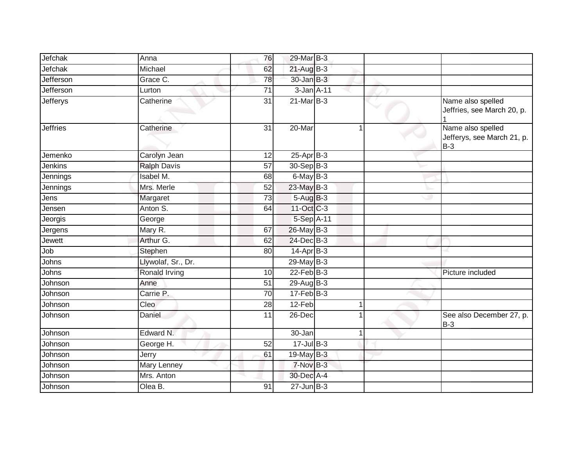| Jefchak          | Anna                 | 76              | 29-Mar B-3       |              |                                                          |
|------------------|----------------------|-----------------|------------------|--------------|----------------------------------------------------------|
| Jefchak          | Michael              | 62              | $21$ -Aug $B-3$  |              |                                                          |
| <b>Jefferson</b> | Grace C.             | 78              | $30 - Jan$ $B-3$ |              |                                                          |
| Jefferson        | Lurton               | 71              | 3-Jan A-11       |              |                                                          |
| <b>Jefferys</b>  | Catherine            | $\overline{31}$ | $21$ -Mar $B-3$  |              | Name also spelled<br>Jeffries, see March 20, p.          |
| <b>Jeffries</b>  | Catherine            | 31              | 20-Mar           | 1            | Name also spelled<br>Jefferys, see March 21, p.<br>$B-3$ |
| Jemenko          | Carolyn Jean         | 12              | $25$ -Apr $B-3$  |              |                                                          |
| <b>Jenkins</b>   | <b>Ralph Davis</b>   | 57              | 30-Sep B-3       |              |                                                          |
| Jennings         | Isabel M.            | 68              | 6-May B-3        |              |                                                          |
| Jennings         | Mrs. Merle           | 52              | 23-May B-3       |              |                                                          |
| Jens             | Margaret             | 73              | $5-AugB-3$       |              |                                                          |
| Jensen           | Anton S.             | 64              | 11-Oct C-3       |              |                                                          |
| Jeorgis          | George               |                 | 5-Sep A-11       |              |                                                          |
| Jergens          | Mary R.              | 67              | $26$ -May B-3    |              |                                                          |
| Jewett           | Arthur G.            | 62              | 24-Dec B-3       |              |                                                          |
| Job              | Stephen              | 80              | $14$ -Apr $B-3$  |              |                                                          |
| Johns            | Llywolaf, Sr., Dr.   |                 | 29-May B-3       |              |                                                          |
| Johns            | <b>Ronald Irving</b> | 10              | $22$ -Feb $B-3$  |              | Picture included                                         |
| Johnson          | Anne                 | 51              | 29-Aug B-3       |              |                                                          |
| Johnson          | Carrie P.            | 70              | $17 - Feb$ B-3   |              |                                                          |
| Johnson          | Cleo                 | 28              | 12-Feb           | 1            |                                                          |
| Johnson          | Daniel               | 11              | 26-Dec           | $\mathbf{1}$ | See also December 27, p.<br>$B-3$                        |
| Johnson          | Edward N.            |                 | 30-Jan           | $\mathbf{1}$ |                                                          |
| Johnson          | George H.            | 52              | $17 -$ Jul B-3   |              |                                                          |
| Johnson          | Jerry                | 61              | 19-May $B-3$     |              |                                                          |
| Johnson          | <b>Mary Lenney</b>   |                 | 7-Nov B-3        |              |                                                          |
| Johnson          | Mrs. Anton           |                 | 30-Dec A-4       |              |                                                          |
| Johnson          | Olea B.              | 91              | $27$ -Jun $B-3$  |              |                                                          |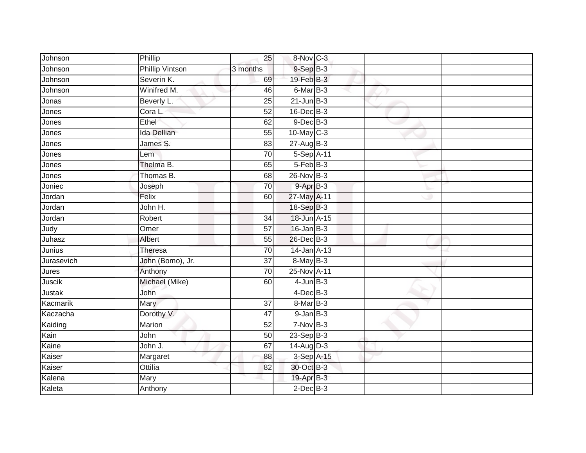| Johnson       | Phillip                | 25              | 8-Nov C-3       |  |  |
|---------------|------------------------|-----------------|-----------------|--|--|
| Johnson       | <b>Phillip Vintson</b> | 3 months        | $9-Sep$ $B-3$   |  |  |
| Johnson       | Severin K.             | 69              | 19-Feb B-3      |  |  |
| Johnson       | Winifred M.            | 46              | 6-Mar B-3       |  |  |
| Jonas         | Beverly L.             | $\overline{25}$ | $21$ -Jun $B-3$ |  |  |
| Jones         | Cora L.                | $\overline{52}$ | $16$ -Dec $B-3$ |  |  |
| Jones         | Ethel                  | 62              | $9$ -Dec $B$ -3 |  |  |
| Jones         | Ida Dellian            | 55              | 10-May C-3      |  |  |
| Jones         | James S.               | 83              | $27 - Aug$ B-3  |  |  |
| Jones         | Lem                    | 70              | 5-Sep A-11      |  |  |
| Jones         | Thelma B.              | 65              | $5-Feb$ B-3     |  |  |
| Jones         | Thomas B.              | 68              | 26-Nov B-3      |  |  |
| Joniec        | Joseph                 | 70              | $9 - Apr$ $B-3$ |  |  |
| Jordan        | Felix                  | 60              | 27-May A-11     |  |  |
| Jordan        | John H.                |                 | 18-Sep B-3      |  |  |
| Jordan        | Robert                 | 34              | 18-Jun A-15     |  |  |
| Judy          | Omer                   | $\overline{57}$ | $16$ -Jan B-3   |  |  |
| Juhasz        | Albert                 | 55              | 26-Dec B-3      |  |  |
| Junius        | Theresa                | 70              | 14-Jan A-13     |  |  |
| Jurasevich    | John (Bomo), Jr.       | $\overline{37}$ | 8-May B-3       |  |  |
| Jures         | Anthony                | 70              | 25-Nov A-11     |  |  |
| <b>Juscik</b> | Michael (Mike)         | 60              | $4$ -Jun $B-3$  |  |  |
| <b>Justak</b> | John                   |                 | $4$ -Dec $B-3$  |  |  |
| Kacmarik      | Mary                   | 37              | 8-Mar B-3       |  |  |
| Kaczacha      | Dorothy V.             | 47              | $9$ -Jan $B$ -3 |  |  |
| Kaiding       | Marion                 | $\overline{52}$ | $7-NovB-3$      |  |  |
| Kain          | John                   | 50              | $23-Sep$ B-3    |  |  |
| Kaine         | John J.                | 67              | $14$ -Aug D-3   |  |  |
| Kaiser        | Margaret               | 88              | 3-Sep A-15      |  |  |
| Kaiser        | Ottilia                | 82              | 30-Oct B-3      |  |  |
| Kalena        | Mary                   |                 | 19-Apr B-3      |  |  |
| Kaleta        | Anthony                |                 | $2$ -Dec $B-3$  |  |  |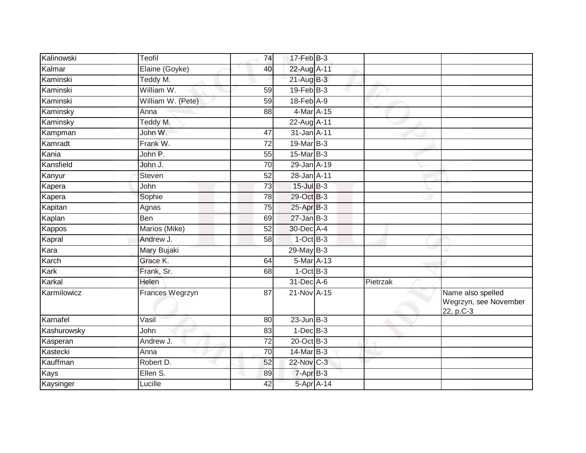| Kalinowski  | Teofil            | 74              | 17-Feb B-3       |          |                                                         |
|-------------|-------------------|-----------------|------------------|----------|---------------------------------------------------------|
| Kalmar      | Elaine (Goyke)    | 40              | 22-Aug A-11      |          |                                                         |
| Kaminski    | Teddy M.          |                 | $21$ -Aug $B-3$  |          |                                                         |
| Kaminski    | William W.        | 59              | $19$ -Feb $B-3$  |          |                                                         |
| Kaminski    | William W. (Pete) | 59              | $18$ -Feb $A-9$  |          |                                                         |
| Kaminsky    | Anna              | 88              | 4-Mar A-15       |          |                                                         |
| Kaminsky    | Teddy M.          |                 | 22-Aug A-11      |          |                                                         |
| Kampman     | John W.           | 47              | 31-Jan A-11      |          |                                                         |
| Kamradt     | Frank W.          | 72              | 19-Mar B-3       |          |                                                         |
| Kania       | John P.           | 55              | $15$ -Mar $B-3$  |          |                                                         |
| Kansfield   | John J.           | 70              | 29-Jan A-19      |          |                                                         |
| Kanyur      | Steven            | 52              | 28-Jan A-11      |          |                                                         |
| Kapera      | John              | 73              | $15$ -Jul B-3    |          |                                                         |
| Kapera      | Sophie            | 78              | 29-Oct B-3       |          |                                                         |
| Kapitan     | Agnas             | $\overline{75}$ | 25-Apr B-3       |          |                                                         |
| Kaplan      | Ben               | 69              | $27 - Jan$ $B-3$ |          |                                                         |
| Kappos      | Marios (Mike)     | $\overline{52}$ | 30-Dec A-4       |          |                                                         |
| Kapral      | Andrew J.         | 58              | $1-OctB-3$       |          |                                                         |
| Kara        | Mary Bujaki       |                 | 29-May B-3       |          |                                                         |
| Karch       | Grace K.          | 64              | 5-Mar A-13       |          |                                                         |
| Kark        | Frank, Sr.        | 68              | $1-OctB-3$       |          |                                                         |
| Karkal      | Helen             |                 | 31-Dec A-6       | Pietrzak |                                                         |
| Karmilowicz | Frances Wegrzyn   | 87              | 21-Nov A-15      |          | Name also spelled<br>Wegrzyn, see November<br>22, p.C-3 |
| Karnafel    | Vasil             | 80              | $23$ -Jun $B-3$  |          |                                                         |
| Kashurowsky | John              | 83              | $1-Dec$ B-3      |          |                                                         |
| Kasperan    | Andrew J.         | 72              | $20$ -Oct B-3    |          |                                                         |
| Kastecki    | Anna              | 70              | 14-Mar B-3       |          |                                                         |
| Kauffman    | Robert D.         | 52              | 22-Nov C-3       |          |                                                         |
| Kays        | Ellen S.          | 89              | 7-Apr B-3        |          |                                                         |
| Kaysinger   | Lucille           | 42              | 5-Apr A-14       |          |                                                         |
|             |                   |                 |                  |          |                                                         |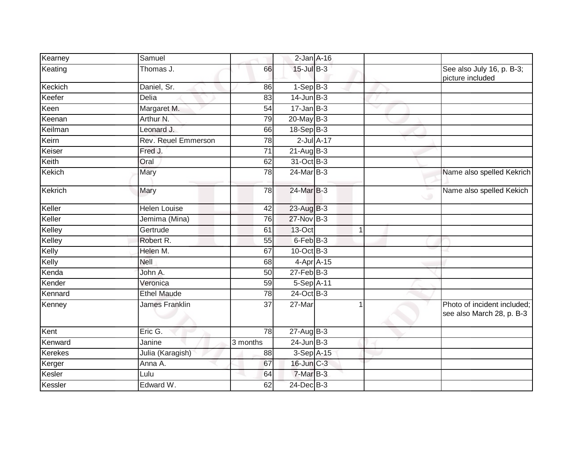| Kearney | Samuel                     |                 | $2$ -Jan $A-16$      |  |                                                          |
|---------|----------------------------|-----------------|----------------------|--|----------------------------------------------------------|
| Keating | Thomas J.                  | 66              | 15-Jul B-3           |  | See also July 16, p. B-3;<br>picture included            |
| Keckich | Daniel, Sr.                | 86              | $1-Sep B-3$          |  |                                                          |
| Keefer  | Delia                      | 83              | $14$ -Jun $B-3$      |  |                                                          |
| Keen    | Margaret M.                | 54              | $17 - Jan$ B-3       |  |                                                          |
| Keenan  | Arthur N.                  | 79              | 20-May B-3           |  |                                                          |
| Keilman | Leonard J.                 | 66              | $18-SepB-3$          |  |                                                          |
| Keirn   | <b>Rev. Reuel Emmerson</b> | 78              | $2$ -Jul $A-17$      |  |                                                          |
| Keiser  | Fred J.                    | 71              | $21$ -Aug $B-3$      |  |                                                          |
| Keith   | Oral                       | 62              | 31-Oct B-3           |  |                                                          |
| Kekich  | Mary                       | 78              | 24-Mar B-3           |  | Name also spelled Kekrich                                |
| Kekrich | Mary                       | 78              | 24-Mar B-3           |  | Name also spelled Kekich                                 |
| Keller  | <b>Helen Louise</b>        | 42              | $23$ -Aug $B-3$      |  |                                                          |
| Keller  | Jemima (Mina)              | 76              | 27-Nov B-3           |  |                                                          |
| Kelley  | Gertrude                   | 61              | 13-Oct               |  |                                                          |
| Kelley  | Robert R.                  | 55              | 6-Feb <sup>B-3</sup> |  |                                                          |
| Kelly   | Helen M.                   | 67              | 10-Oct B-3           |  |                                                          |
| Kelly   | Nell                       | 68              | 4-Apr A-15           |  |                                                          |
| Kenda   | John A.                    | $\overline{50}$ | $27$ -Feb $B-3$      |  |                                                          |
| Kender  | Veronica                   | 59              | 5-Sep A-11           |  |                                                          |
| Kennard | <b>Ethel Maude</b>         | 78              | 24-Oct B-3           |  |                                                          |
| Kenney  | <b>James Franklin</b>      | 37              | 27-Mar               |  | Photo of incident included;<br>see also March 28, p. B-3 |
| Kent    | Eric G.                    | 78              | $27 - Aug$ B-3       |  |                                                          |
| Kenward | Janine                     | 3 months        | $24$ -Jun $B-3$      |  |                                                          |
| Kerekes | Julia (Karagish)           | 88              | 3-Sep A-15           |  |                                                          |
| Kerger  | Anna A.                    | 67              | 16-Jun C-3           |  |                                                          |
| Kesler  | Lulu                       | 64              | 7-Mar B-3            |  |                                                          |
| Kessler | Edward W.                  | 62              | 24-Dec B-3           |  |                                                          |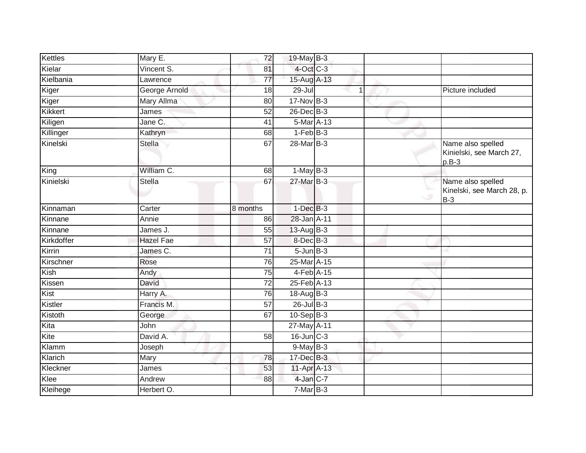| Kettles    | Mary E.           | 72              | 19-May B-3       |   |                                                          |
|------------|-------------------|-----------------|------------------|---|----------------------------------------------------------|
| Kielar     | Vincent S.        | 81              | $4$ -Oct C-3     |   |                                                          |
| Kielbania  | Lawrence          | 77              | 15-Aug A-13      |   |                                                          |
| Kiger      | George Arnold     | 18              | $29 -$ Jul       | 1 | Picture included                                         |
| Kiger      | <b>Mary Allma</b> | 80              | 17-Nov B-3       |   |                                                          |
| Kikkert    | James             | $\overline{52}$ | 26-Dec B-3       |   |                                                          |
| Kiligen    | Jane C.           | 41              | 5-Mar A-13       |   |                                                          |
| Killinger  | Kathryn           | 68              | $1-FebB-3$       |   |                                                          |
| Kinelski   | <b>Stella</b>     | 67              | 28-Mar B-3       |   | Name also spelled<br>Kinielski, see March 27,<br>$p.B-3$ |
| King       | William C.        | 68              | $1-May$ B-3      |   |                                                          |
| Kinielski  | <b>Stella</b>     | 67              | 27-Mar B-3       |   | Name also spelled<br>Kinelski, see March 28, p.<br>$B-3$ |
| Kinnaman   | Carter            | 8 months        | $1-Dec$ $B-3$    |   |                                                          |
| Kinnane    | Annie             | 86              | 28-Jan A-11      |   |                                                          |
| Kinnane    | James J.          | 55              | $13-AugB-3$      |   |                                                          |
| Kirkdoffer | <b>Hazel Fae</b>  | 57              | $8$ -Dec $B-3$   |   |                                                          |
| Kirrin     | James C.          | 71              | $5 - Jun$ $B-3$  |   |                                                          |
| Kirschner  | Rose              | 76              | 25-Mar A-15      |   |                                                          |
| Kish       | Andy              | 75              | $4$ -Feb $A$ -15 |   |                                                          |
| Kissen     | David             | 72              | 25-Feb A-13      |   |                                                          |
| Kist       | Harry A.          | 76              | $18-AugB-3$      |   |                                                          |
| Kistler    | Francis M.        | $\overline{57}$ | $26$ -Jul B-3    |   |                                                          |
| Kistoth    | George            | 67              | $10-Sep$ B-3     |   |                                                          |
| Kita       | John              |                 | 27-May A-11      |   |                                                          |
| Kite       | David A.          | 58              | $16$ -Jun $C-3$  |   |                                                          |
| Klamm      | Joseph            |                 | 9-May B-3        |   |                                                          |
| Klarich    | Mary              | 78              | 17-Dec B-3       |   |                                                          |
| Kleckner   | James             | 53              | 11-Apr A-13      |   |                                                          |
| Klee       | Andrew            | 88              | 4-Jan C-7        |   |                                                          |
| Kleihege   | Herbert O.        |                 | $7-MarB-3$       |   |                                                          |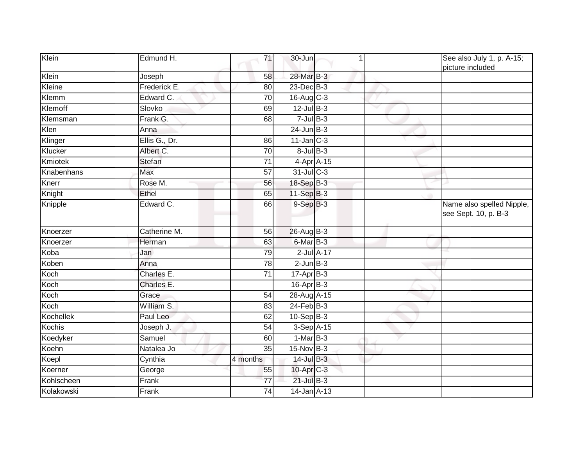| Klein      | Edmund H.     | 71              | 30-Jun           |              | See also July 1, p. A-15;<br>picture included     |
|------------|---------------|-----------------|------------------|--------------|---------------------------------------------------|
| Klein      | Joseph        | 58              | 28-Mar B-3       |              |                                                   |
| Kleine     | Frederick E.  | 80              | 23-Dec B-3       |              |                                                   |
| Klemm      | Edward C.     | 70              | $16$ -Aug C-3    |              |                                                   |
| Klemoff    | Slovko        | 69              | $12$ -Jul $B-3$  | $\checkmark$ |                                                   |
| Klemsman   | Frank G.      | 68              | $7$ -Jul $B-3$   |              |                                                   |
| Klen       | Anna          |                 | $24$ -Jun $B-3$  |              |                                                   |
| Klinger    | Ellis G., Dr. | 86              | $11$ -Jan $C-3$  |              |                                                   |
| Klucker    | Albert C.     | 70              | $8$ -Jul $B$ -3  |              |                                                   |
| Kmiotek    | <b>Stefan</b> | 71              | 4-Apr A-15       |              |                                                   |
| Knabenhans | Max           | 57              | 31-Jul C-3       |              |                                                   |
| Knerr      | Rose M.       | 56              | 18-Sep B-3       |              |                                                   |
| Knight     | Ethel         | 65              | $11-Sep$ B-3     |              |                                                   |
| Knipple    | Edward C.     | 66              | $9-Sep$ $B-3$    |              | Name also spelled Nipple,<br>see Sept. 10, p. B-3 |
| Knoerzer   | Catherine M.  | 56              | 26-Aug B-3       |              |                                                   |
| Knoerzer   | Herman        | 63              | 6-Mar B-3        |              |                                                   |
| Koba       | Jan           | 79              | $2$ -Jul $A-17$  |              |                                                   |
| Koben      | Anna          | 78              | $2$ -Jun $B-3$   |              |                                                   |
| Koch       | Charles E.    | 71              | $17-Apr$ B-3     |              |                                                   |
| Koch       | Charles E.    |                 | $16$ -Apr $B$ -3 |              |                                                   |
| Koch       | Grace         | $\overline{54}$ | 28-Aug A-15      |              |                                                   |
| Koch       | William S.    | 83              | $24$ -Feb $B-3$  |              |                                                   |
| Kochellek  | Paul Leo      | 62              | $10-Sep$ B-3     |              |                                                   |
| Kochis     | Joseph J.     | 54              | 3-Sep A-15       |              |                                                   |
| Koedyker   | Samuel        | 60              | $1-MarB-3$       |              |                                                   |
| Koehn      | Natalea Jo    | $\overline{35}$ | 15-Nov B-3       |              |                                                   |
| Koepl      | Cynthia       | 4 months        | $14$ -Jul B-3    |              |                                                   |
| Koerner    | George        | 55              | 10-Apr C-3       |              |                                                   |
| Kohlscheen | Frank         | 77              | $21$ -Jul $B-3$  |              |                                                   |
| Kolakowski | Frank         | 74              | 14-Jan A-13      |              |                                                   |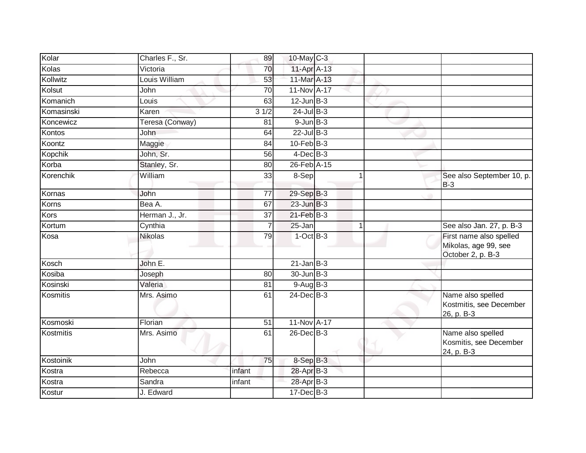| Kolar      | Charles F., Sr. | 89                 | 10-May C-3                   |                      |                                                                      |
|------------|-----------------|--------------------|------------------------------|----------------------|----------------------------------------------------------------------|
| Kolas      | Victoria        | 70                 | 11-Apr A-13                  |                      |                                                                      |
| Kollwitz   | Louis William   | 53                 | 11-Mar A-13                  |                      |                                                                      |
| Kolsut     | John            | 70                 | 11-Nov A-17                  |                      |                                                                      |
| Komanich   | Louis           | 63                 | $12$ -Jun $B-3$              |                      |                                                                      |
| Komasinski | Karen           | $\overline{3}$ 1/2 | $24$ -Jul B-3                |                      |                                                                      |
| Koncewicz  | Teresa (Conway) | 81                 | $9$ -Jun $B$ -3              |                      |                                                                      |
| Kontos     | John            | 64                 | $22$ -Jul B-3                |                      |                                                                      |
| Koontz     | Maggie          | 84                 | $10$ -Feb $B-3$              |                      |                                                                      |
| Kopchik    | John, Sr.       | 56                 | $4$ -Dec $B$ -3              |                      |                                                                      |
| Korba      | Stanley, Sr.    | 80                 | $26$ -Feb $\overline{A}$ -15 |                      |                                                                      |
| Korenchik  | William         | 33                 | 8-Sep                        |                      | See also September 10, p.<br>$B-3$                                   |
| Kornas     | John            | 77                 | 29-Sep B-3                   |                      |                                                                      |
| Korns      | Bea A.          | 67                 | $23$ -Jun $B-3$              |                      |                                                                      |
| Kors       | Herman J., Jr.  | 37                 | $21$ -Feb $B-3$              |                      |                                                                      |
| Kortum     | Cynthia         | 7                  | 25-Jan                       | $\blacktriangleleft$ | See also Jan. 27, p. B-3                                             |
| Kosa       | <b>Nikolas</b>  | 79                 | $1$ -Oct $B-3$               |                      | First name also spelled<br>Mikolas, age 99, see<br>October 2, p. B-3 |
| Kosch      | John E.         |                    | $21$ -Jan B-3                |                      |                                                                      |
| Kosiba     | Joseph          | 80                 | 30-Jun B-3                   |                      |                                                                      |
| Kosinski   | Valeria         | 81                 | $9-Aug$ B-3                  |                      |                                                                      |
| Kosmitis   | Mrs. Asimo      | 61                 | 24-Dec B-3                   |                      | Name also spelled<br>Kostmitis, see December<br>26, p. B-3           |
| Kosmoski   | Florian         | $\overline{51}$    | 11-Nov A-17                  |                      |                                                                      |
| Kostmitis  | Mrs. Asimo      | 61                 | 26-Dec B-3                   |                      | Name also spelled<br>Kosmitis, see December<br>24, p. B-3            |
| Kostoinik  | John            | 75                 | $8-SepB-3$                   |                      |                                                                      |
| Kostra     | Rebecca         | infant             | 28-Apr B-3                   |                      |                                                                      |
| Kostra     | Sandra          | infant             | 28-Apr B-3                   |                      |                                                                      |
| Kostur     | J. Edward       |                    | $17 - Dec$ B-3               |                      |                                                                      |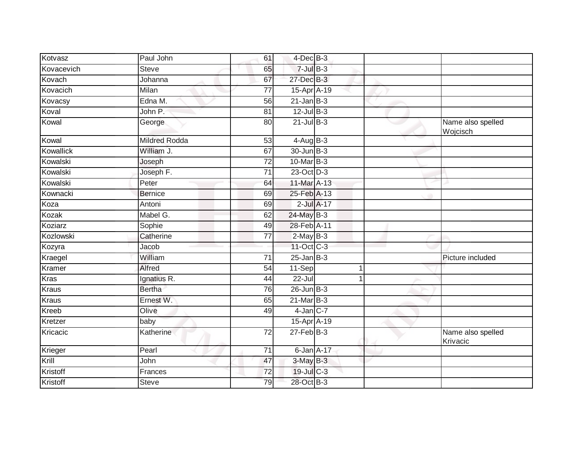| Kotvasz          | Paul John            | 61              | $4$ -Dec $B-3$    |   |                               |
|------------------|----------------------|-----------------|-------------------|---|-------------------------------|
| Kovacevich       | <b>Steve</b>         | 65              | $7$ -Jul $B-3$    |   |                               |
| Kovach           | Johanna              | 67              | 27-Dec B-3        |   |                               |
| Kovacich         | Milan                | 77              | 15-Apr A-19       |   |                               |
| Kovacsy          | Edna M.              | $\overline{56}$ | $21$ -Jan $B-3$   |   |                               |
| Koval            | John P.              | 81              | $12$ -Jul B-3     |   |                               |
| Kowal            | George               | 80              | $21$ -Jul $B-3$   |   | Name also spelled<br>Wojcisch |
| Kowal            | <b>Mildred Rodda</b> | $\overline{53}$ | $4 - Aug$ B-3     |   |                               |
| <b>Kowallick</b> | William J.           | 67              | 30-Jun B-3        |   |                               |
| Kowalski         | Joseph               | 72              | $10$ -Mar $ B-3 $ |   |                               |
| Kowalski         | Joseph F.            | $\overline{71}$ | 23-Oct D-3        |   |                               |
| Kowalski         | Peter                | 64              | 11-Mar A-13       |   |                               |
| Kownacki         | <b>Bernice</b>       | 69              | 25-Feb A-13       |   |                               |
| Koza             | Antoni               | 69              | $2$ -Jul $A-17$   |   |                               |
| Kozak            | Mabel G.             | 62              | 24-May B-3        |   |                               |
| Koziarz          | Sophie               | 49              | 28-Feb A-11       |   |                               |
| Kozlowski        | Catherine            | 77              | $2-MayB-3$        |   |                               |
| Kozyra           | Jacob                |                 | 11-Oct C-3        |   |                               |
| Kraegel          | William              | $\overline{71}$ | $25$ -Jan B-3     |   | Picture included              |
| Kramer           | Alfred               | 54              | 11-Sep            | 1 |                               |
| <b>Kras</b>      | Ignatius R.          | 44              | $22$ -Jul         |   |                               |
| Kraus            | <b>Bertha</b>        | 76              | $26$ -Jun $B-3$   |   |                               |
| <b>Kraus</b>     | Ernest W.            | 65              | $21$ -Mar $B-3$   |   |                               |
| <b>Kreeb</b>     | Olive                | 49              | $4$ -Jan $C$ -7   |   |                               |
| Kretzer          | baby                 |                 | 15-Apr A-19       |   |                               |
| Kricacic         | Katherine            | 72              | $27$ -Feb $B-3$   |   | Name also spelled<br>Krivacic |
| Krieger          | Pearl                | 71              | 6-Jan A-17        |   |                               |
| Krill            | John                 | 47              | 3-May B-3         |   |                               |
| Kristoff         | Frances              | 72              | $19$ -Jul C-3     |   |                               |
| Kristoff         | <b>Steve</b>         | 79              | 28-Oct B-3        |   |                               |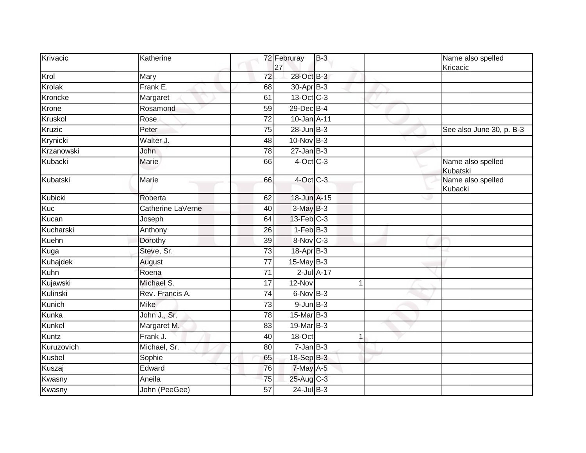| Krivacic      | Katherine         |                 | 72 Februray<br>27 | $B-3$           |  | Name also spelled<br>Kricacic |
|---------------|-------------------|-----------------|-------------------|-----------------|--|-------------------------------|
| Krol          | Mary              | 72              | 28-Oct B-3        |                 |  |                               |
| Krolak        | Frank E.          | 68              | 30-Apr B-3        |                 |  |                               |
| Kroncke       | Margaret          | 61              | 13-Oct C-3        |                 |  |                               |
| Krone         | Rosamond          | 59              | 29-Dec B-4        |                 |  |                               |
| Kruskol       | Rose              | 72              | 10-Jan A-11       |                 |  |                               |
| <b>Kruzic</b> | Peter             | 75              | $28$ -Jun $B-3$   |                 |  | See also June 30, p. B-3      |
| Krynicki      | Walter J.         | 48              | 10-Nov B-3        |                 |  |                               |
| Krzanowski    | John              | 78              | $27$ -Jan B-3     |                 |  |                               |
| Kubacki       | Marie             | 66              | $4$ -Oct C-3      |                 |  | Name also spelled<br>Kubatski |
| Kubatski      | Marie             | 66              | 4-Oct C-3         |                 |  | Name also spelled<br>Kubacki  |
| Kubicki       | Roberta           | 62              | 18-Jun A-15       |                 |  |                               |
| Kuc           | Catherine LaVerne | 40              | $3-MayB-3$        |                 |  |                               |
| Kucan         | Joseph            | 64              | $13$ -Feb $C-3$   |                 |  |                               |
| Kucharski     | Anthony           | 26              | $1-FebB-3$        |                 |  |                               |
| Kuehn         | Dorothy           | 39              | 8-Nov C-3         |                 |  |                               |
| Kuga          | Steve, Sr.        | 73              | $18$ -Apr $B$ -3  |                 |  |                               |
| Kuhajdek      | August            | $\overline{77}$ | $15$ -May B-3     |                 |  |                               |
| Kuhn          | Roena             | 71              |                   | $2$ -Jul $A-17$ |  |                               |
| Kujawski      | Michael S.        | 17              | 12-Nov            |                 |  |                               |
| Kulinski      | Rev. Francis A.   | 74              | 6-Nov B-3         |                 |  |                               |
| Kunich        | <b>Mike</b>       | 73              | $9$ -Jun $B-3$    |                 |  |                               |
| Kunka         | John J., Sr.      | 78              | 15-Mar B-3        |                 |  |                               |
| Kunkel        | Margaret M.       | 83              | 19-Mar B-3        |                 |  |                               |
| Kuntz         | Frank J.          | 40              | 18-Oct            |                 |  |                               |
| Kuruzovich    | Michael, Sr.      | 80              | $7 - Jan$ $B-3$   |                 |  |                               |
| Kusbel        | Sophie            | 65              | 18-Sep B-3        |                 |  |                               |
| Kuszaj        | Edward            | 76              | 7-May A-5         |                 |  |                               |
| Kwasny        | Aneila            | 75              | 25-Aug C-3        |                 |  |                               |
| Kwasny        | John (PeeGee)     | $\overline{57}$ | $24$ -Jul $B-3$   |                 |  |                               |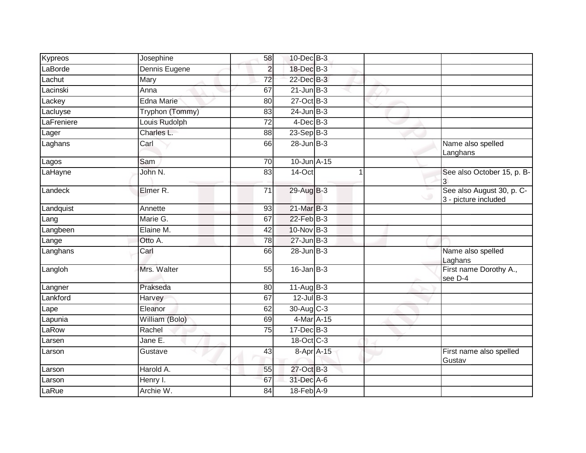| Kypreos    | Josephine         | 58              | 10-Dec B-3      |                                                   |
|------------|-------------------|-----------------|-----------------|---------------------------------------------------|
| LaBorde    | Dennis Eugene     | $\overline{2}$  | 18-Dec B-3      |                                                   |
| Lachut     | Mary              | 72              | $22$ -Dec $B-3$ |                                                   |
| Lacinski   | Anna              | 67              | $21$ -Jun $B-3$ |                                                   |
| Lackey     | <b>Edna Marie</b> | $\overline{80}$ | $27$ -Oct B-3   |                                                   |
| Lacluyse   | Tryphon (Tommy)   | 83              | $24$ -Jun $B-3$ |                                                   |
| LaFreniere | Louis Rudolph     | 72              | $4$ -Dec $B-3$  |                                                   |
| Lager      | Charles L.        | 88              | $23-Sep$ B-3    |                                                   |
| Laghans    | Carl              | 66              | $28$ -Jun $B-3$ | Name also spelled<br>Langhans                     |
| Lagos      | Sam               | $\overline{70}$ | 10-Jun A-15     |                                                   |
| LaHayne    | John N.           | 83              | 14-Oct          | See also October 15, p. B-                        |
| Landeck    | Elmer R.          | 71              | 29-Aug B-3      | See also August 30, p. C-<br>3 - picture included |
| Landquist  | Annette           | 93              | 21-Mar B-3      |                                                   |
| Lang       | Marie G.          | 67              | $22$ -Feb $B-3$ |                                                   |
| Langbeen   | Elaine M.         | 42              | 10-Nov B-3      |                                                   |
| Lange      | Otto A.           | 78              | $27 - Jun$ B-3  |                                                   |
| Langhans   | Carl              | 66              | $28$ -Jun $B-3$ | Name also spelled<br>Laghans                      |
| Langloh    | Mrs. Walter       | $\overline{55}$ | $16$ -Jan $B-3$ | First name Dorothy A.,<br>see D-4                 |
| Langner    | Prakseda          | 80              | $11-Aug$ B-3    |                                                   |
| Lankford   | Harvey            | 67              | $12$ -Jul B-3   |                                                   |
| Lape       | Eleanor           | 62              | 30-Aug C-3      |                                                   |
| Lapunia    | William (Bolo)    | 69              | 4-Mar A-15      |                                                   |
| LaRow      | Rachel            | 75              | $17 - Dec$ B-3  |                                                   |
| Larsen     | Jane E.           |                 | 18-Oct C-3      |                                                   |
| Larson     | Gustave           | 43              | 8-Apr A-15      | First name also spelled<br>Gustav                 |
| Larson     | Harold A.         | 55              | 27-Oct B-3      |                                                   |
| Larson     | Henry I.          | 67              | 31-Dec A-6      |                                                   |
| LaRue      | Archie W.         | 84              | 18-Feb A-9      |                                                   |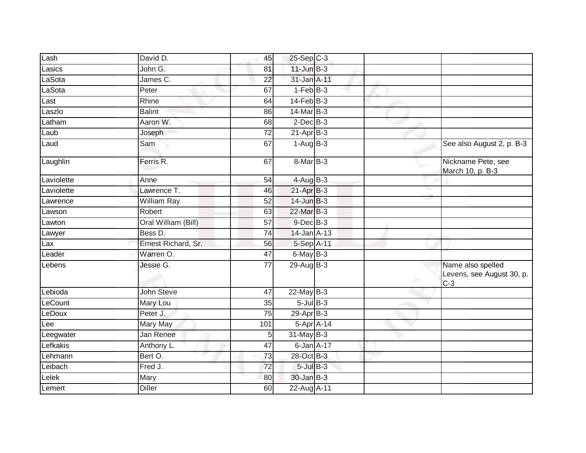| Lash       | David D.            | 45              | $25-Sep$ C-3        |  |                                                         |
|------------|---------------------|-----------------|---------------------|--|---------------------------------------------------------|
| Lasics     | John G.             | 81              | $11$ -Jun $B-3$     |  |                                                         |
| LaSota     | James C.            | 22              | 31-Jan A-11         |  |                                                         |
| LaSota     | Peter               | 67              | $1-FebB-3$          |  |                                                         |
| Last       | Rhine               | 64              | $14$ -Feb $B-3$     |  |                                                         |
| Laszlo     | <b>Balint</b>       | 86              | 14-Mar B-3          |  |                                                         |
| Latham     | Aaron W.            | 68              | $2$ -Dec $B-3$      |  |                                                         |
| Laub       | Joseph              | $\overline{72}$ | $21$ -Apr $B-3$     |  |                                                         |
| Laud       | Sam                 | 67              | $1-AugB-3$          |  | See also August 2, p. B-3                               |
| Laughlin   | Ferris R.           | 67              | $8-MarB-3$          |  | Nickname Pete, see<br>March 10, p. B-3                  |
| Laviolette | Anne                | 54              | $4 - \text{AugB-3}$ |  |                                                         |
| Laviolette | Lawrence T.         | 46              | $21-AprB-3$         |  |                                                         |
| Lawrence   | <b>William Ray</b>  | 52              | $14$ -Jun $B-3$     |  |                                                         |
| Lawson     | Robert              | 63              | 22-Mar B-3          |  |                                                         |
| Lawton     | Oral William (Bill) | $\overline{57}$ | $9$ -Dec $B$ -3     |  |                                                         |
| Lawyer     | Bess D.             | 74              | 14-Jan A-13         |  |                                                         |
| Lax        | Ernest Richard, Sr. | 56              | 5-Sep A-11          |  |                                                         |
| Leader     | Warren O.           | 47              | $6$ -May $B-3$      |  |                                                         |
| Lebens     | Jessie G.           | 77              | $29$ -Aug B-3       |  | Name also spelled<br>Levens, see August 30, p.<br>$C-3$ |
| Lebioda    | John Steve          | $\overline{47}$ | $22$ -May B-3       |  |                                                         |
| LeCount    | Mary Lou            | 35              | $5$ -Jul $B$ -3     |  |                                                         |
| LeDoux     | Peter J.            | 75              | $29-Apr$ B-3        |  |                                                         |
| Lee        | Mary May            | 101             | 5-Apr A-14          |  |                                                         |
| Leegwater  | Jan Renee           | 5               | 31-May B-3          |  |                                                         |
| Lefkakis   | Anthony L.          | 47              | 6-Jan A-17          |  |                                                         |
| Lehmann    | Bert O.             | 73              | 28-Oct B-3          |  |                                                         |
| Leibach    | Fred J.             | 72              | $5$ -Jul $B-3$      |  |                                                         |
| Lelek      | Mary                | 80              | 30-Jan B-3          |  |                                                         |
| Lemert     | <b>Diller</b>       | 60              | 22-Aug A-11         |  |                                                         |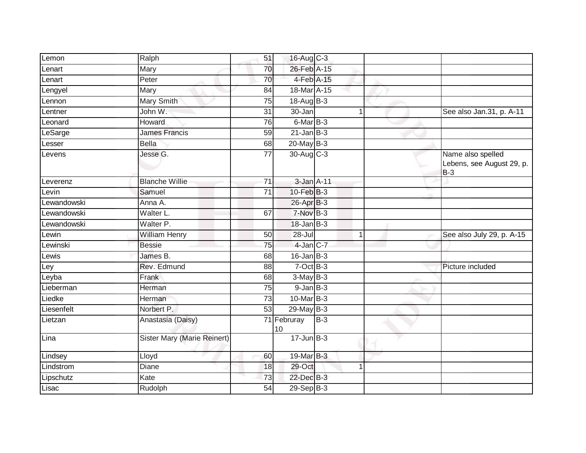| Lemon       | Ralph                       | 51              | 16-Aug C-3        |       |              |                                                         |
|-------------|-----------------------------|-----------------|-------------------|-------|--------------|---------------------------------------------------------|
| Lenart      | Mary                        | 70              | 26-Feb A-15       |       |              |                                                         |
| Lenart      | Peter                       | 70              | 4-Feb A-15        |       |              |                                                         |
| Lengyel     | Mary                        | 84              | 18-Mar A-15       |       |              |                                                         |
| Lennon      | Mary Smith                  | $\overline{75}$ | 18-Aug B-3        |       |              |                                                         |
| Lentner     | John W.                     | 31              | 30-Jan            |       | 1            | See also Jan.31, p. A-11                                |
| Leonard     | Howard                      | 76              | 6-Mar B-3         |       |              |                                                         |
| LeSarge     | <b>James Francis</b>        | 59              | $21$ -Jan B-3     |       |              |                                                         |
| _esser      | <b>Bella</b>                | 68              | $20$ -May $B-3$   |       |              |                                                         |
| Levens      | Jesse G.                    | $\overline{77}$ | 30-Aug C-3        |       |              | Name also spelled<br>Lebens, see August 29, p.<br>$B-3$ |
| Leverenz    | <b>Blanche Willie</b>       | $\overline{71}$ | 3-Jan A-11        |       |              |                                                         |
| Levin       | Samuel                      | 71              | 10-Feb B-3        |       |              |                                                         |
| Lewandowski | Anna A.                     |                 | 26-Apr B-3        |       |              |                                                         |
| Lewandowski | Walter L.                   | 67              | 7-Nov B-3         |       |              |                                                         |
| Lewandowski | Walter P.                   |                 | $18$ -Jan $B-3$   |       |              |                                                         |
| Lewin       | <b>William Henry</b>        | 50              | $28 -$ Jul        |       | $\mathbf{1}$ | See also July 29, p. A-15                               |
| _ewinski    | <b>Bessie</b>               | $\overline{75}$ | 4-Jan C-7         |       |              |                                                         |
| Lewis       | James B.                    | 68              | $16$ -Jan $B-3$   |       |              |                                                         |
| Ley         | Rev. Edmund                 | 88              | $7-Oct$ B-3       |       |              | Picture included                                        |
| Leyba       | Frank                       | 68              | $3-MayB-3$        |       |              |                                                         |
| Lieberman   | Herman                      | 75              | $9$ -Jan $B-3$    |       |              |                                                         |
| Liedke      | Herman                      | 73              | 10-Mar B-3        |       |              |                                                         |
| Liesenfelt  | Norbert P.                  | 53              | 29-May B-3        |       |              |                                                         |
| Lietzan     | Anastasia (Daisy)           |                 | 71 Februray<br>10 | $B-3$ |              |                                                         |
| Lina        | Sister Mary (Marie Reinert) |                 | $17 - Jun$ B-3    |       |              |                                                         |
| Lindsey     | Lloyd                       | 60              | 19-Mar B-3        |       |              |                                                         |
| Lindstrom   | Diane                       | 18              | 29-Oct            |       | 1            |                                                         |
| Lipschutz   | Kate                        | 73              | 22-Dec B-3        |       |              |                                                         |
| Lisac       | Rudolph                     | 54              | $29-Sep$ B-3      |       |              |                                                         |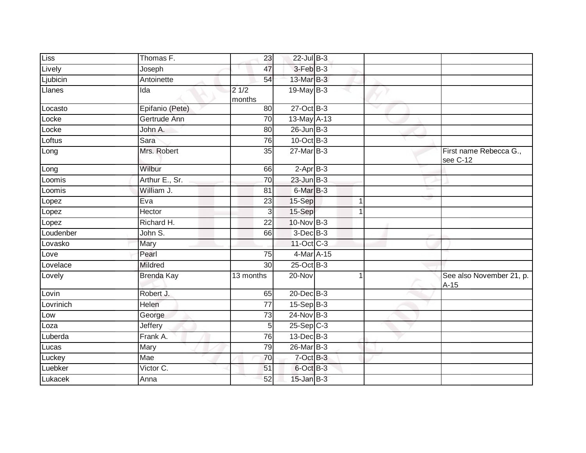| Liss      | Thomas F.         | 23              | 22-Jul B-3      |             |              |                                    |
|-----------|-------------------|-----------------|-----------------|-------------|--------------|------------------------------------|
| Lively    | Joseph            | 47              | $3-FebB-3$      |             |              |                                    |
| Ljubicin  | Antoinette        | 54              | 13-Mar B-3      |             |              |                                    |
| Llanes    | Ida               | 21/2<br>months  | $19$ -May B-3   |             |              |                                    |
| Locasto   | Epifanio (Pete)   | 80              | $27$ -Oct B-3   |             | $\checkmark$ |                                    |
| Locke     | Gertrude Ann      | 70              | 13-May A-13     |             |              |                                    |
| Locke     | John A.           | 80              | $26$ -Jun $B-3$ |             |              |                                    |
| Loftus    | Sara              | 76              | 10-Oct B-3      |             |              |                                    |
| Long      | Mrs. Robert       | 35              | 27-Mar B-3      |             |              | First name Rebecca G.,<br>see C-12 |
| Long      | Wilbur            | 66              | $2-AprB-3$      |             |              |                                    |
| Loomis    | Arthur E., Sr.    | $\overline{70}$ | $23$ -Jun $B-3$ |             |              |                                    |
| Loomis    | William J.        | 81              | 6-Mar B-3       |             |              |                                    |
| Lopez     | Eva               | 23              | 15-Sep          | 1           |              |                                    |
| Lopez     | Hector            | 3               | 15-Sep          | $\mathbf 1$ |              |                                    |
| Lopez     | Richard H.        | $\overline{22}$ | 10-Nov B-3      |             |              |                                    |
| Loudenber | John S.           | 66              | $3$ -Dec $B-3$  |             |              |                                    |
| Lovasko   | Mary              |                 | 11-Oct C-3      |             |              |                                    |
| Love      | Pearl             | $\overline{75}$ | 4-Mar A-15      |             |              |                                    |
| Lovelace  | Mildred           | 30              | $25$ -Oct $B-3$ |             |              |                                    |
| Lovely    | <b>Brenda Kay</b> | 13 months       | 20-Nov          |             |              | See also November 21, p.<br>$A-15$ |
| Lovin     | Robert J.         | 65              | 20-Dec B-3      |             |              |                                    |
| Lovrinich | Helen             | $\overline{77}$ | $15-Sep$ B-3    |             |              |                                    |
| Low       | George            | $\overline{73}$ | $24$ -Nov $B-3$ |             |              |                                    |
| Loza      | Jeffery           | 5               | $25-Sep$ C-3    |             |              |                                    |
| Luberda   | Frank A.          | 76              | 13-Dec B-3      |             |              |                                    |
| Lucas     | Mary              | 79              | 26-Mar B-3      |             |              |                                    |
| Luckey    | Mae               | 70              | 7-Oct B-3       |             |              |                                    |
| Luebker   | Victor C.         | 51              | 6-Oct B-3       |             |              |                                    |
| Lukacek   | Anna              | 52              | $15$ -Jan $B-3$ |             |              |                                    |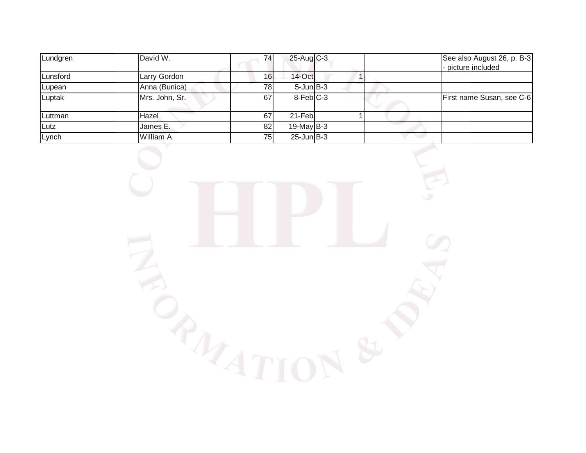| Lundgren | David W.       | 74              | 25-Aug C-3      |  | See also August 26, p. B-3<br>- picture included |
|----------|----------------|-----------------|-----------------|--|--------------------------------------------------|
| Lunsford | Larry Gordon   | 16 <sub>l</sub> | $14$ -Oct       |  |                                                  |
| Lupean   | Anna (Bunica)  | 78              | $5$ -Jun $B-3$  |  |                                                  |
| Luptak   | Mrs. John, Sr. | 67              | 8-FebIC-3       |  | First name Susan, see C-6                        |
| Luttman  | Hazel          | 67              | 21-Feb          |  |                                                  |
| Lutz     | James E.       | 82              | $19$ -May B-3   |  |                                                  |
| Lynch    | William A.     | 75              | $25$ -Jun $B-3$ |  |                                                  |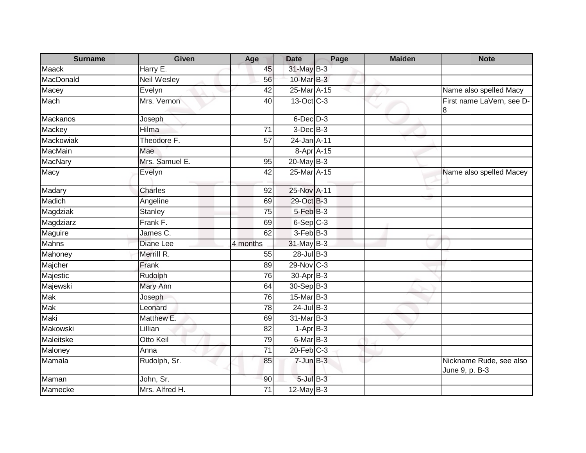| <b>Surname</b>  | <b>Given</b>       | Age             | <b>Date</b>           | Page | <b>Maiden</b> | <b>Note</b>                               |
|-----------------|--------------------|-----------------|-----------------------|------|---------------|-------------------------------------------|
| Maack           | Harry E.           | 45              | 31-May B-3            |      |               |                                           |
| MacDonald       | <b>Neil Wesley</b> | 56              | 10-Mar B-3            |      |               |                                           |
| Macey           | Evelyn             | 42              | 25-Mar A-15           |      |               | Name also spelled Macy                    |
| Mach            | Mrs. Vernon        | 40              | 13-Oct C-3            |      |               | First name LaVern, see D-<br>8            |
| <b>Mackanos</b> | Joseph             |                 | $6$ -Dec $D-3$        |      |               |                                           |
| Mackey          | Hilma              | 71              | $3$ -Dec $B-3$        |      |               |                                           |
| Mackowiak       | Theodore F.        | 57              | 24-Jan A-11           |      |               |                                           |
| MacMain         | Mae                |                 | 8-Apr A-15            |      |               |                                           |
| <b>MacNary</b>  | Mrs. Samuel E.     | 95              | 20-May B-3            |      |               |                                           |
| Macy            | Evelyn             | 42              | 25-Mar A-15           |      |               | Name also spelled Macey                   |
| Madary          | <b>Charles</b>     | 92              | 25-Nov A-11           |      |               |                                           |
| Madich          | Angeline           | 69              | 29-Oct B-3            |      |               |                                           |
| Magdziak        | <b>Stanley</b>     | 75              | $5$ -Feb $B$ -3       |      |               |                                           |
| Magdziarz       | Frank F.           | 69              | $6-Sep$ $C-3$         |      |               |                                           |
| Maguire         | James C.           | 62              | 3-Feb B-3             |      |               |                                           |
| Mahns           | Diane Lee          | 4 months        | 31-May B-3            |      |               |                                           |
| Mahoney         | Merrill R.         | 55              | 28-Jul B-3            |      |               |                                           |
| Majcher         | Frank              | 89              | $29$ -Nov C-3         |      |               |                                           |
| Majestic        | Rudolph            | 76              | 30-Apr <sub>B-3</sub> |      |               |                                           |
| Majewski        | Mary Ann           | 64              | 30-Sep B-3            |      |               |                                           |
| Mak             | Joseph             | 76              | $15$ -Mar $B-3$       |      |               |                                           |
| Mak             | Leonard            | 78              | $24$ -Jul B-3         |      |               |                                           |
| Maki            | Matthew E.         | 69              | 31-Mar B-3            |      |               |                                           |
| Makowski        | Lillian            | 82              | $1-AprB-3$            |      |               |                                           |
| Maleitske       | Otto Keil          | 79              | 6-Mar B-3             |      |               |                                           |
| Maloney         | Anna               | $\overline{71}$ | $20$ -Feb $C-3$       |      |               |                                           |
| Mamala          | Rudolph, Sr.       | 85              | $7$ -Jun $B-3$        |      |               | Nickname Rude, see also<br>June 9, p. B-3 |
| Maman           | John, Sr.          | 90              | $5$ -Jul $B-3$        |      |               |                                           |
| Mamecke         | Mrs. Alfred H.     | $\overline{71}$ | $12$ -May B-3         |      |               |                                           |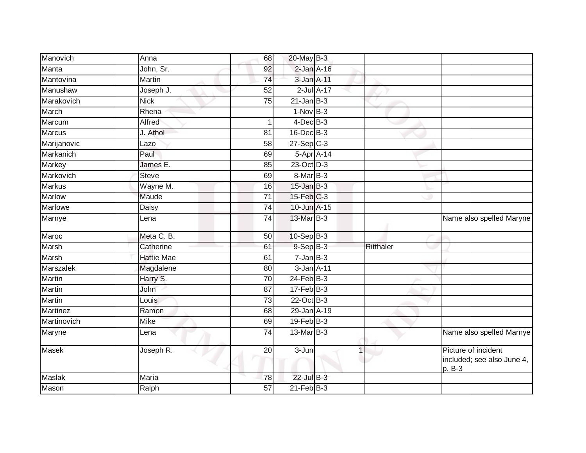| Manovich       | Anna              | 68              | 20-May B-3              |           |                                                             |
|----------------|-------------------|-----------------|-------------------------|-----------|-------------------------------------------------------------|
| Manta          | John, Sr.         | 92              | $2$ -Jan $A-16$         |           |                                                             |
| Mantovina      | Martin            | 74              | 3-Jan A-11              |           |                                                             |
| Manushaw       | Joseph J.         | 52              | $2$ -Jul $A-17$         |           |                                                             |
| Marakovich     | <b>Nick</b>       | $\overline{75}$ | $21$ -Jan $B-3$         |           |                                                             |
| March          | Rhena             |                 | $1-Nov$ B-3             |           |                                                             |
| Marcum         | Alfred            |                 | $4$ -Dec $B-3$          |           |                                                             |
| <b>Marcus</b>  | J. Athol          | 81              | 16-Dec B-3              |           |                                                             |
| Marijanovic    | Lazo              | 58              | $27-Sep$ <sub>C-3</sub> |           |                                                             |
| Markanich      | Paul              | 69              | 5-Apr A-14              |           |                                                             |
| Markey         | James E.          | 85              | 23-Oct D-3              |           |                                                             |
| Markovich      | <b>Steve</b>      | 69              | 8-Mar B-3               |           |                                                             |
| <b>Markus</b>  | Wayne M.          | 16              | $15$ -Jan $B-3$         |           |                                                             |
| <b>Marlow</b>  | Maude             | 71              | $15$ -Feb $C-3$         |           |                                                             |
| <b>Marlowe</b> | <b>Daisy</b>      | 74              | 10-Jun A-15             |           |                                                             |
| Marnye         | Lena              | $\overline{74}$ | 13-Mar B-3              |           | Name also spelled Maryne                                    |
| Maroc          | Meta C. B.        | 50              | 10-Sep B-3              |           |                                                             |
| <b>Marsh</b>   | Catherine         | 61              | 9-Sep B-3               | Ritthaler |                                                             |
| Marsh          | <b>Hattie Mae</b> | 61              | $7 - Jan$ $B-3$         |           |                                                             |
| Marszalek      | Magdalene         | 80              | $3$ -Jan $A-11$         |           |                                                             |
| Martin         | Harry S.          | 70              | $24$ -Feb $B-3$         |           |                                                             |
| Martin         | John              | 87              | $17 - Feb$ $B-3$        |           |                                                             |
| Martin         | Louis             | $\overline{73}$ | $22$ -Oct B-3           |           |                                                             |
| Martinez       | Ramon             | 68              | 29-Jan A-19             |           |                                                             |
| Martinovich    | <b>Mike</b>       | 69              | $19$ -Feb $B-3$         |           |                                                             |
| Maryne         | Lena              | 74              | 13-Mar B-3              |           | Name also spelled Marnye                                    |
| Masek          | Joseph R.         | 20              | 3-Jun                   |           | Picture of incident<br>included; see also June 4,<br>p. B-3 |
| <b>Maslak</b>  | Maria             | 78              | $22$ -Jul B-3           |           |                                                             |
| Mason          | Ralph             | $\overline{57}$ | $21$ -Feb $B-3$         |           |                                                             |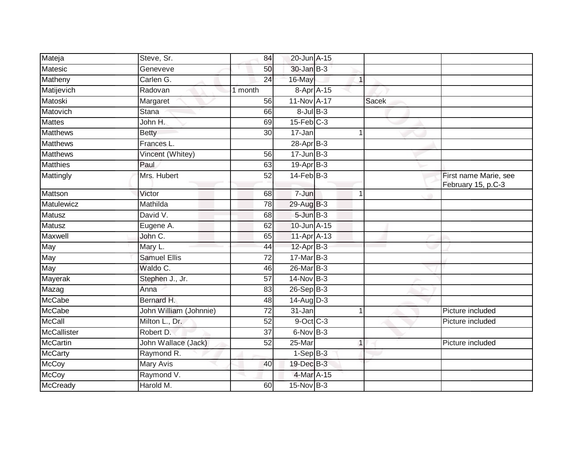| Mateja             | Steve, Sr.             | 84      | 20-Jun A-15       |              |                                             |
|--------------------|------------------------|---------|-------------------|--------------|---------------------------------------------|
| Matesic            | Geneveve               | 50      | 30-Jan B-3        |              |                                             |
| Matheny            | Carlen G.              | 24      | 16-May            | 1            |                                             |
| Matijevich         | Radovan                | 1 month | 8-Apr A-15        |              |                                             |
| Matoski            | Margaret               | 56      | 11-Nov A-17       | <b>Sacek</b> |                                             |
| Matovich           | Stana                  | 66      | $8$ -Jul $B$ -3   |              |                                             |
| <b>Mattes</b>      | John H.                | 69      | $15$ -Feb $C-3$   |              |                                             |
| <b>Matthews</b>    | <b>Betty</b>           | 30      | 17-Jan            |              |                                             |
| <b>Matthews</b>    | Frances L.             |         | $28-Apr$ B-3      |              |                                             |
| <b>Matthews</b>    | Vincent (Whitey)       | 56      | $17 - Jun$ $B-3$  |              |                                             |
| <b>Matthies</b>    | Paul                   | 63      | 19-Apr B-3        |              |                                             |
| Mattingly          | Mrs. Hubert            | 52      | $14$ -Feb $B-3$   |              | First name Marie, see<br>February 15, p.C-3 |
| Mattson            | Victor                 | 68      | 7-Jun             |              |                                             |
| Matulewicz         | Mathilda               | 78      | 29-Aug B-3        |              |                                             |
| <b>Matusz</b>      | David V.               | 68      | $5 - Jun$ $B - 3$ |              |                                             |
| Matusz             | Eugene A.              | 62      | 10-Jun A-15       |              |                                             |
| Maxwell            | John C.                | 65      | 11-Apr A-13       |              |                                             |
| May                | Mary L.                | 44      | $12-AprB-3$       |              |                                             |
| May                | <b>Samuel Ellis</b>    | 72      | $17$ -Mar $B-3$   |              |                                             |
| May                | Waldo C.               | 46      | 26-Mar B-3        |              |                                             |
| Mayerak            | Stephen J., Jr.        | 57      | 14-Nov B-3        |              |                                             |
| Mazag              | Anna                   | 83      | 26-Sep B-3        |              |                                             |
| <b>McCabe</b>      | Bernard H.             | 48      | $14$ -Aug $D-3$   |              |                                             |
| McCabe             | John William (Johnnie) | 72      | 31-Jan            | 1            | Picture included                            |
| <b>McCall</b>      | Milton L., Dr.         | 52      | $9$ -Oct C-3      |              | Picture included                            |
| <b>McCallister</b> | Robert D.              | 37      | 6-Nov B-3         |              |                                             |
| <b>McCartin</b>    | John Wallace (Jack)    | 52      | 25-Mar            | 1            | Picture included                            |
| <b>McCarty</b>     | Raymond R.             |         | $1-Sep$ $B-3$     |              |                                             |
| <b>McCoy</b>       | <b>Mary Avis</b>       | 40      | 19-Dec B-3        |              |                                             |
| <b>McCoy</b>       | Raymond V.             |         | 4-Mar A-15        |              |                                             |
| <b>McCready</b>    | Harold M.              | 60      | 15-Nov B-3        |              |                                             |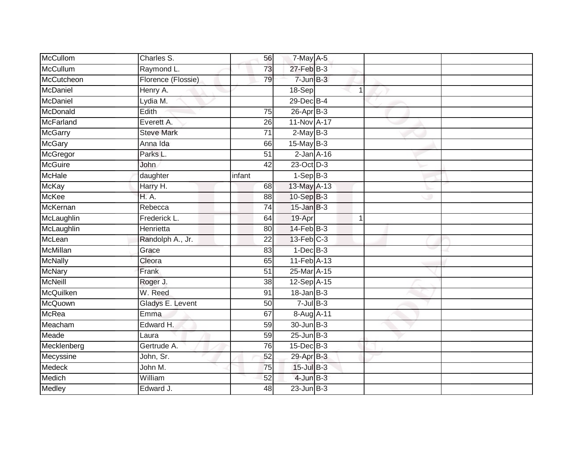| McCullom        | Charles S.         | 56              | 7-May A-5         |   |  |
|-----------------|--------------------|-----------------|-------------------|---|--|
| McCullum        | Raymond L.         | 73              | $27$ -Feb $B-3$   |   |  |
| McCutcheon      | Florence (Flossie) | 79              | $7$ -Jun $B-3$    |   |  |
| McDaniel        | Henry A.           |                 | 18-Sep            | 1 |  |
| McDaniel        | Lydia M.           |                 | 29-Dec B-4        |   |  |
| McDonald        | Edith              | 75              | 26-Apr B-3        |   |  |
| McFarland       | Everett A.         | 26              | 11-Nov A-17       |   |  |
| McGarry         | <b>Steve Mark</b>  | 71              | $2-MayB-3$        |   |  |
| McGary          | Anna Ida           | 66              | $15$ -May B-3     |   |  |
| McGregor        | Parks L.           | 51              | $2$ -Jan $A-16$   |   |  |
| McGuire         | <b>John</b>        | 42              | 23-Oct D-3        |   |  |
| McHale          | daughter           | infant          | $1-SepB-3$        |   |  |
| McKay           | Harry H.           | 68              | $13$ -May $A-13$  |   |  |
| McKee           | <b>H.A.</b>        | 88              | 10-Sep B-3        |   |  |
| McKernan        | Rebecca            | 74              | $15$ -Jan $B-3$   |   |  |
| McLaughlin      | Frederick L.       | 64              | 19-Apr            | 1 |  |
| McLaughlin      | Henrietta          | $\overline{80}$ | $14$ -Feb $B-3$   |   |  |
| McLean          | Randolph A., Jr.   | 22              | $13$ -Feb $C-3$   |   |  |
| <b>McMillan</b> | Grace              | 83              | $1-Dec$ B-3       |   |  |
| <b>McNally</b>  | Cleora             | 65              | 11-Feb A-13       |   |  |
| <b>McNary</b>   | Frank              | $\overline{51}$ | 25-Mar A-15       |   |  |
| McNeill         | Roger J.           | 38              | 12-Sep A-15       |   |  |
| McQuilken       | W. Reed            | 91              | $18 - Jan$ $B-3$  |   |  |
| McQuown         | Gladys E. Levent   | 50              | $7 -$ Jul $B - 3$ |   |  |
| McRea           | Emma               | 67              | 8-Aug A-11        |   |  |
| Meacham         | Edward H.          | 59              | 30-Jun B-3        |   |  |
| Meade           | Laura              | 59              | $25$ -Jun $B-3$   |   |  |
| Mecklenberg     | Gertrude A.        | 76              | 15-Dec B-3        |   |  |
| Mecyssine       | John, Sr.          | 52              | 29-Apr B-3        |   |  |
| Medeck          | John M.            | 75              | 15-Jul B-3        |   |  |
| Medich          | William            | 52              | $4$ -Jun $B-3$    |   |  |
| Medley          | Edward J.          | $\overline{48}$ | $23$ -Jun $B-3$   |   |  |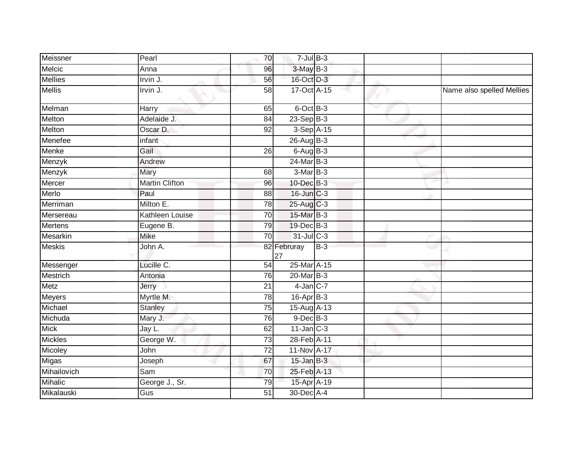| Meissner       | Pearl                  | 70              | $7$ -Jul $B-3$    |       |   |                           |
|----------------|------------------------|-----------------|-------------------|-------|---|---------------------------|
| Melcic         | Anna                   | 96              | 3-May B-3         |       |   |                           |
| <b>Mellies</b> | Irvin J.               | 56              | 16-Oct D-3        |       |   |                           |
| <b>Mellis</b>  | Irvin J.               | 58              | 17-Oct A-15       |       |   | Name also spelled Mellies |
| Melman         | Harry                  | 65              | $6$ -Oct $B-3$    |       | v |                           |
| Melton         | Adelaide J.            | 84              | $23-Sep$ B-3      |       |   |                           |
| Melton         | Oscar D.               | 92              | 3-Sep A-15        |       |   |                           |
| Menefee        | infant                 |                 | 26-Aug B-3        |       |   |                           |
| Menke          | Gail                   | 26              | $6$ -Aug $B$ -3   |       |   |                           |
| Menzyk         | Andrew                 |                 | $24$ -Mar $B-3$   |       |   |                           |
| Menzyk         | Mary                   | 68              | $3-MarB-3$        |       |   |                           |
| Mercer         | <b>Martin Clifton</b>  | 96              | 10-Dec B-3        |       |   |                           |
| Merlo          | Paul                   | 88              | 16-Jun C-3        |       |   |                           |
| Merriman       | Milton E.              | 78              | 25-Aug C-3        |       |   |                           |
| Mersereau      | <b>Kathleen Louise</b> | $\overline{70}$ | 15-Mar B-3        |       |   |                           |
| <b>Mertens</b> | Eugene B.              | 79              | 19-Dec B-3        |       |   |                           |
| Mesarkin       | <b>Mike</b>            | $\overline{70}$ | 31-Jul C-3        |       |   |                           |
| <b>Meskis</b>  | John A.                |                 | 82 Februray<br>27 | $B-3$ |   |                           |
| Messenger      | Lucille C.             | $\overline{54}$ | 25-Mar A-15       |       |   |                           |
| Mestrich       | Antonia                | 76              | 20-Mar B-3        |       |   |                           |
| Metz           | Jerry                  | 21              | $4$ -Jan $C$ -7   |       |   |                           |
| Meyers         | Myrtle M.              | $\overline{78}$ | $16$ -Apr $B-3$   |       |   |                           |
| Michael        | Stanley                | 75              | 15-Aug A-13       |       |   |                           |
| Michuda        | Mary J.                | 76              | $9$ -Dec $B$ -3   |       |   |                           |
| <b>Mick</b>    | Jay L.                 | 62              | $11$ -Jan $C-3$   |       |   |                           |
| <b>Mickles</b> | George W.              | 73              | 28-Feb A-11       |       |   |                           |
| Micoley        | John                   | $\overline{72}$ | 11-Nov A-17       |       |   |                           |
| Migas          | Joseph                 | 67              | $15$ -Jan $B-3$   |       |   |                           |
| Mihailovich    | Sam                    | 70              | 25-Feb A-13       |       |   |                           |
| <b>Mihalic</b> | George J., Sr.         | 79              | 15-Apr A-19       |       |   |                           |
| Mikalauski     | Gus                    | 51              | 30-Dec A-4        |       |   |                           |
|                |                        |                 |                   |       |   |                           |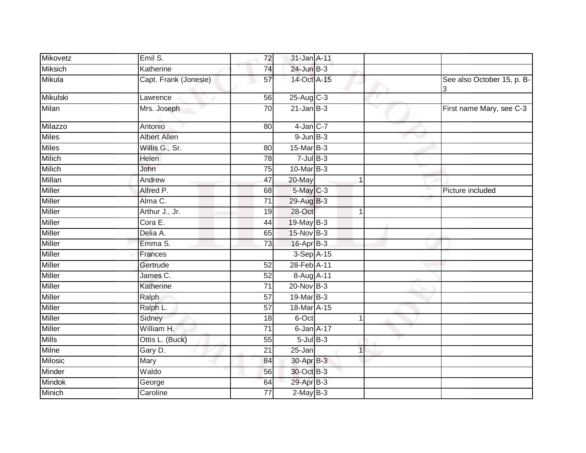| Mikovetz        | Emil S.               | $\overline{72}$ | 31-Jan A-11             |    |              |                            |
|-----------------|-----------------------|-----------------|-------------------------|----|--------------|----------------------------|
| <b>Miksich</b>  | Katherine             | 74              | $24$ -Jun $B-3$         |    |              |                            |
| Mikula          | Capt. Frank (Jonesie) | 57              | 14-Oct A-15             |    |              | See also October 15, p. B- |
| <b>Mikulski</b> | Lawrence              | 56              | $25-Aug$ <sub>C-3</sub> |    |              |                            |
| Milan           | Mrs. Joseph           | 70              | $21$ -Jan $B-3$         |    | $\checkmark$ | First name Mary, see C-3   |
| Milazzo         | Antonio               | 80              | $4$ -Jan $C$ -7         |    |              |                            |
| <b>Miles</b>    | <b>Albert Allen</b>   |                 | $9$ -Jun $B-3$          |    |              |                            |
| <b>Miles</b>    | Willis G., Sr.        | 80              | 15-Mar B-3              |    |              |                            |
| <b>Milich</b>   | Helen                 | 78              | $7$ -Jul $B-3$          |    |              |                            |
| <b>Milich</b>   | John                  | $\overline{75}$ | 10-Mar B-3              |    |              |                            |
| Millan          | Andrew                | 47              | 20-May                  |    |              |                            |
| <b>Miller</b>   | Alfred P.             | 68              | 5-May C-3               |    |              | Picture included           |
| <b>Miller</b>   | Alma C.               | $\overline{71}$ | 29-Aug B-3              |    |              |                            |
| <b>Miller</b>   | Arthur J., Jr.        | 19              | 28-Oct                  | -1 |              |                            |
| Miller          | Cora E.               | 44              | 19-May B-3              |    |              |                            |
| <b>Miller</b>   | Delia A.              | 65              | 15-Nov B-3              |    |              |                            |
| <b>Miller</b>   | Emma S.               | $\overline{73}$ | 16-Apr B-3              |    |              |                            |
| <b>Miller</b>   | Frances               |                 | 3-Sep A-15              |    |              |                            |
| <b>Miller</b>   | Gertrude              | 52              | 28-Feb A-11             |    |              |                            |
| <b>Miller</b>   | James C.              | 52              | 8-Aug A-11              |    |              |                            |
| Miller          | Katherine             | 71              | $20$ -Nov $B-3$         |    |              |                            |
| Miller          | Ralph                 | 57              | 19-Mar B-3              |    |              |                            |
| <b>Miller</b>   | Ralph L.              | 57              | 18-Mar A-15             |    |              |                            |
| <b>Miller</b>   | Sidney                | 18              | 6-Oct                   |    |              |                            |
| <b>Miller</b>   | William H.            | 71              | 6-Jan A-17              |    |              |                            |
| <b>Mills</b>    | Ottis L. (Buck)       | 55              | $5$ -Jul $B-3$          |    |              |                            |
| Milne           | Gary D.               | 21              | 25-Jan                  |    |              |                            |
| Milosic         | Mary                  | 84              | 30-Apr B-3              |    |              |                            |
| Minder          | Waldo                 | 56              | 30-Oct B-3              |    |              |                            |
| <b>Mindok</b>   | George                | 64              | 29-Apr B-3              |    |              |                            |
| Minich          | Caroline              | 77              | $2$ -May B-3            |    |              |                            |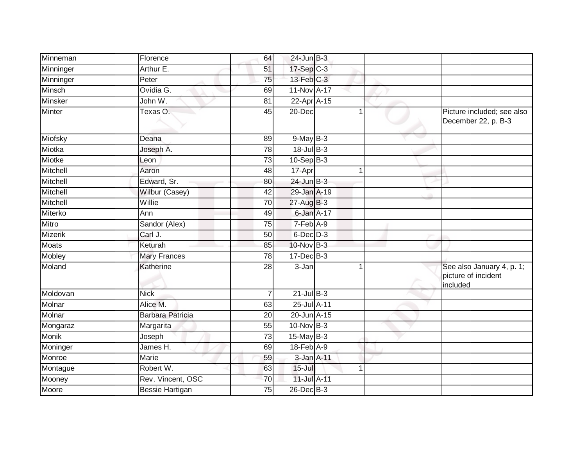| Minneman       | Florence                | 64              | $24$ -Jun $B-3$   |   |                                                              |
|----------------|-------------------------|-----------------|-------------------|---|--------------------------------------------------------------|
| Minninger      | Arthur E.               | 51              | 17-Sep C-3        |   |                                                              |
| Minninger      | Peter                   | 75              | $13$ -Feb $C-3$   |   |                                                              |
| Minsch         | Ovidia G.               | 69              | 11-Nov A-17       |   |                                                              |
| Minsker        | John W.                 | 81              | 22-Apr A-15       |   |                                                              |
| Minter         | Texas O.                | 45              | 20-Dec            | 1 | Picture included; see also<br>December 22, p. B-3            |
| Miofsky        | Deana                   | 89              | $9$ -May $B-3$    |   |                                                              |
| Miotka         | Joseph A.               | $\overline{78}$ | 18-Jul B-3        |   |                                                              |
| Miotke         | Leon                    | 73              | 10-Sep B-3        |   |                                                              |
| Mitchell       | Aaron                   | 48              | 17-Apr            | 4 |                                                              |
| Mitchell       | Edward, Sr.             | 80              | $24$ -Jun B-3     |   |                                                              |
| Mitchell       | Wilbur (Casey)          | 42              | 29-Jan A-19       |   |                                                              |
| Mitchell       | Willie                  | 70              | $27$ -Aug $B-3$   |   |                                                              |
| Miterko        | Ann                     | 49              | 6-Jan A-17        |   |                                                              |
| Mitro          | Sandor (Alex)           | 75              | $7-Feb$ A-9       |   |                                                              |
| <b>Mizerik</b> | Carl J.                 | 50              | $6$ -Dec $D-3$    |   |                                                              |
| <b>Moats</b>   | Keturah                 | 85              | 10-Nov B-3        |   |                                                              |
| Mobley         | <b>Mary Frances</b>     | 78              | $17 - Dec$ B-3    |   |                                                              |
| Moland         | Katherine               | 28              | 3-Jan             |   | See also January 4, p. 1;<br>picture of incident<br>included |
| Moldovan       | <b>Nick</b>             | $\overline{7}$  | $21$ -Jul $B-3$   |   |                                                              |
| Molnar         | Alice M.                | 63              | 25-Jul A-11       |   |                                                              |
| Molnar         | <b>Barbara Patricia</b> | $\overline{20}$ | 20-Jun A-15       |   |                                                              |
| Mongaraz       | Margarita               | 55              | 10-Nov B-3        |   |                                                              |
| Monik          | Joseph                  | $\overline{73}$ | 15-May B-3        |   |                                                              |
| Moninger       | James H.                | 69              | $18$ -Feb $A - 9$ |   |                                                              |
| Monroe         | Marie                   | 59              | 3-Jan A-11        |   |                                                              |
| Montague       | Robert W.               | 63              | $15 -$ Jul        | 1 |                                                              |
| Mooney         | Rev. Vincent, OSC       | $\overline{70}$ | 11-Jul A-11       |   |                                                              |
| Moore          | <b>Bessie Hartigan</b>  | $\overline{75}$ | $26$ -Dec $B-3$   |   |                                                              |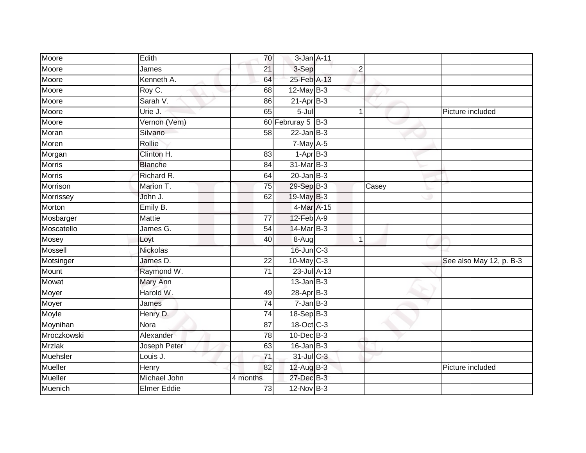| Moore          | Edith              | 70              | 3-Jan A-11            |                |       |                         |
|----------------|--------------------|-----------------|-----------------------|----------------|-------|-------------------------|
| Moore          | James              | 21              | 3-Sep                 | $\overline{2}$ |       |                         |
| Moore          | Kenneth A.         | 64              | 25-Feb A-13           |                |       |                         |
| Moore          | Roy C.             | 68              | $12$ -May B-3         |                |       |                         |
| Moore          | Sarah V.           | 86              | $21-AprB-3$           |                |       |                         |
| Moore          | Urie J.            | 65              | $5 -$ Jul             | 1              |       | Picture included        |
| Moore          | Vernon (Vern)      |                 | 60 Februray 5 $ B-3 $ |                |       |                         |
| Moran          | Silvano            | 58              | $22$ -Jan B-3         |                |       |                         |
| Moren          | Rollie             |                 | $7$ -May A-5          |                |       |                         |
| Morgan         | Clinton H.         | 83              | $1-AprB-3$            |                |       |                         |
| <b>Morris</b>  | <b>Blanche</b>     | 84              | 31-Mar B-3            |                |       |                         |
| <b>Morris</b>  | Richard R.         | 64              | $20$ -Jan $B-3$       |                |       |                         |
| Morrison       | Marion T.          | 75              | 29-Sep B-3            |                | Casey |                         |
| Morrissey      | John J.            | 62              | 19-May B-3            |                |       |                         |
| Morton         | Emily B.           |                 | 4-Mar A-15            |                |       |                         |
| Mosbarger      | Mattie             | 77              | 12-Feb A-9            |                |       |                         |
| Moscatello     | James G.           | $\overline{54}$ | 14-Mar B-3            |                |       |                         |
| Mosey          | Loyt               | 40              | $8-Aug$               | $\mathbf{1}$   |       |                         |
| Mossell        | Nickolas           |                 | 16-Jun C-3            |                |       |                         |
| Motsinger      | James D.           | $\overline{22}$ | 10-May C-3            |                |       | See also May 12, p. B-3 |
| Mount          | Raymond W.         | 71              | 23-Jul A-13           |                |       |                         |
| Mowat          | Mary Ann           |                 | $13$ -Jan B-3         |                |       |                         |
| Moyer          | Harold W.          | 49              | 28-Apr B-3            |                |       |                         |
| Moyer          | James              | $\overline{74}$ | $7 - Jan$ $B-3$       |                |       |                         |
| Moyle          | Henry D.           | $\overline{74}$ | 18-Sep B-3            |                |       |                         |
| Moynihan       | Nora               | 87              | 18-Oct C-3            |                |       |                         |
| Mroczkowski    | Alexander          | 78              | $10$ -Dec $B-3$       |                |       |                         |
| <b>Mrzlak</b>  | Joseph Peter       | 63              | $16$ -Jan $B-3$       |                |       |                         |
| Muehsler       | Louis J.           | 71              | 31-Jul C-3            |                |       |                         |
| <b>Mueller</b> | Henry              | 82              | 12-Aug B-3            |                |       | Picture included        |
| Mueller        | Michael John       | 4 months        | 27-Dec B-3            |                |       |                         |
| Muenich        | <b>Elmer Eddie</b> | 73              | $12$ -Nov $B-3$       |                |       |                         |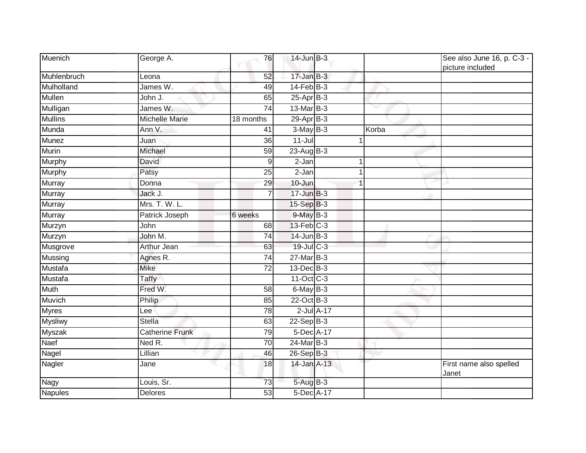| Muenich        | George A.              | 76              | 14-Jun B-3       |              | See also June 16, p. C-3 -<br>picture included |
|----------------|------------------------|-----------------|------------------|--------------|------------------------------------------------|
| Muhlenbruch    | Leona                  | 52              | $17 - Jan$ $B-3$ |              |                                                |
| Mulholland     | James W.               | 49              | $14$ -Feb $B-3$  |              |                                                |
| Mullen         | John J.                | 65              | 25-Apr B-3       |              |                                                |
| Mulligan       | James W.               | 74              | 13-Mar B-3       |              |                                                |
| <b>Mullins</b> | <b>Michelle Marie</b>  | 18 months       | $29$ -Apr $B$ -3 |              |                                                |
| Munda          | Ann V.                 | 41              | $3-May$ B-3      | Korba        |                                                |
| <b>Munez</b>   | Juan                   | $\overline{36}$ | $11 -$ Jul       | $\mathbf{1}$ |                                                |
| Murin          | Michael                | 59              | $23-AugB-3$      |              |                                                |
| <b>Murphy</b>  | <b>David</b>           | 9               | 2-Jan            |              |                                                |
| Murphy         | Patsy                  | 25              | $2-Jan$          | 1            |                                                |
| Murray         | Donna                  | 29              | $10 -$ Jun       |              |                                                |
| <b>Murray</b>  | Jack J.                | $\overline{7}$  | $17 - Jun$ $B-3$ |              |                                                |
| Murray         | Mrs. T. W. L.          |                 | 15-Sep B-3       |              |                                                |
| <b>Murray</b>  | Patrick Joseph         | 6 weeks         | 9-May B-3        |              |                                                |
| Murzyn         | John                   | 68              | $13$ -Feb $C-3$  |              |                                                |
| Murzyn         | John M.                | $\overline{74}$ | $14$ -Jun $B-3$  |              |                                                |
| Musgrove       | <b>Arthur Jean</b>     | 63              | 19-Jul C-3       |              |                                                |
| Mussing        | Agnes R.               | 74              | $27$ -Mar $B-3$  |              |                                                |
| Mustafa        | <b>Mike</b>            | $\overline{72}$ | 13-Dec B-3       |              |                                                |
| Mustafa        | Taffy                  |                 | 11-Oct C-3       |              |                                                |
| <b>Muth</b>    | Fred W.                | $\overline{58}$ | $6$ -May $B-3$   |              |                                                |
| Muvich         | Philip                 | 85              | 22-Oct B-3       |              |                                                |
| <b>Myres</b>   | Lee                    | 78              | $2$ -Jul $A-17$  |              |                                                |
| <b>Mysliwy</b> | <b>Stella</b>          | 63              | $22-Sep$ B-3     |              |                                                |
| Myszak         | <b>Catherine Frunk</b> | 79              | 5-Dec A-17       |              |                                                |
| Naef           | Ned R.                 | $\overline{70}$ | 24-Mar B-3       |              |                                                |
| Nagel          | Lillian                | 46              | 26-Sep B-3       |              |                                                |
| Nagler         | Jane                   | 18              | 14-Jan A-13      |              | First name also spelled<br>Janet               |
| Nagy           | Louis, Sr.             | 73              | 5-Aug B-3        |              |                                                |
| <b>Napules</b> | <b>Delores</b>         | 53              | 5-Dec A-17       |              |                                                |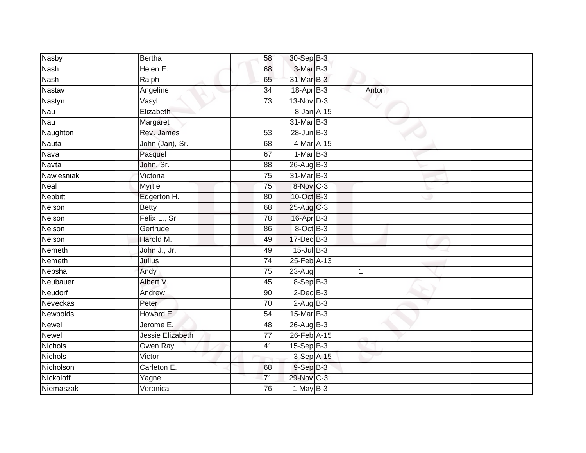| <b>Nasby</b>   | <b>Bertha</b>    | 58              | 30-Sep B-3       |       |  |
|----------------|------------------|-----------------|------------------|-------|--|
| <b>Nash</b>    | Helen E.         | 68              | 3-Mar B-3        |       |  |
| <b>Nash</b>    | Ralph            | 65              | 31-Mar B-3       |       |  |
| Nastav         | Angeline         | 34              | $18$ -Apr $B$ -3 | Anton |  |
| Nastyn         | Vasyl            | $\overline{73}$ | 13-Nov D-3       |       |  |
| Nau            | Elizabeth        |                 | 8-Jan A-15       |       |  |
| Nau            | Margaret         |                 | 31-Mar B-3       |       |  |
| Naughton       | Rev. James       | 53              | $28$ -Jun $B-3$  |       |  |
| <b>Nauta</b>   | John (Jan), Sr.  | 68              | 4-Mar A-15       |       |  |
| Nava           | Pasquel          | 67              | $1-MarB-3$       |       |  |
| Navta          | John, Sr.        | 88              | 26-Aug B-3       |       |  |
| Nawiesniak     | Victoria         | $\overline{75}$ | 31-Mar B-3       |       |  |
| Neal           | Myrtle           | 75              | 8-Nov C-3        |       |  |
| <b>Nebbitt</b> | Edgerton H.      | 80              | 10-Oct B-3       |       |  |
| Nelson         | <b>Betty</b>     | $\overline{68}$ | 25-Aug C-3       |       |  |
| Nelson         | Felix L., Sr.    | 78              | 16-Apr B-3       |       |  |
| Nelson         | Gertrude         | 86              | 8-Oct B-3        |       |  |
| Nelson         | Harold M.        | 49              | 17-Dec B-3       |       |  |
| Nemeth         | John J., Jr.     | 49              | $15$ -Jul B-3    |       |  |
| Nemeth         | Julius           | 74              | 25-Feb A-13      |       |  |
| Nepsha         | Andy             | 75              | 23-Aug           | 1     |  |
| Neubauer       | Albert V.        | 45              | $8-$ Sep $B-3$   |       |  |
| Neudorf        | Andrew           | 90              | $2$ -Dec $B-3$   |       |  |
| Neveckas       | Peter            | $\overline{70}$ | $2-AugB-3$       |       |  |
| Newbolds       | Howard E.        | 54              | $15$ -Mar $B-3$  |       |  |
| Newell         | Jerome E.        | 48              | $26$ -Aug $B-3$  |       |  |
| <b>Newell</b>  | Jessie Elizabeth | $\overline{77}$ | 26-Feb A-15      |       |  |
| <b>Nichols</b> | Owen Ray         | 41              | $15-Sep B-3$     |       |  |
| <b>Nichols</b> | Victor           |                 | 3-Sep A-15       |       |  |
| Nicholson      | Carleton E.      | 68              | $9-$ Sep $B-3$   |       |  |
| Nickoloff      | Yagne            | 71              | 29-Nov C-3       |       |  |
| Niemaszak      | Veronica         | 76              | $1$ -May $B-3$   |       |  |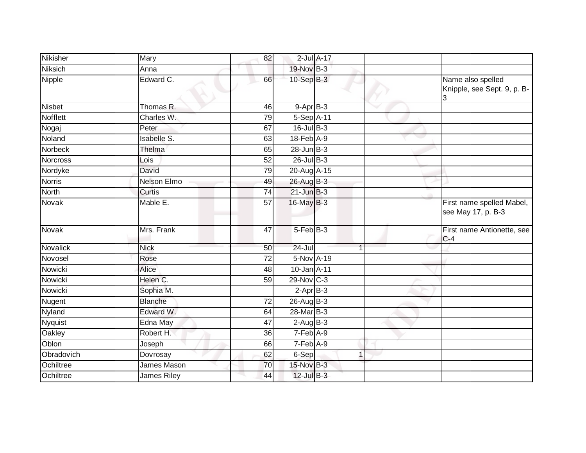| Nikisher        | Mary               | 82              |                   | $2$ -Jul $A-17$ |                                                       |
|-----------------|--------------------|-----------------|-------------------|-----------------|-------------------------------------------------------|
| <b>Niksich</b>  | Anna               |                 | 19-Nov B-3        |                 |                                                       |
| <b>Nipple</b>   | Edward C.          | 66              | 10-Sep B-3        |                 | Name also spelled<br>Knipple, see Sept. 9, p. B-<br>3 |
| <b>Nisbet</b>   | Thomas R.          | 46              | $9-$ Apr $B-3$    |                 |                                                       |
| Nofflett        | Charles W.         | 79              | 5-Sep A-11        |                 |                                                       |
| Nogaj           | Peter              | 67              | $16$ -Jul B-3     |                 |                                                       |
| Noland          | Isabelle S.        | 63              | 18-Feb A-9        |                 |                                                       |
| Norbeck         | Thelma             | 65              | $28$ -Jun $B-3$   |                 |                                                       |
| <b>Norcross</b> | Lois               | $\overline{52}$ | $26$ -Jul B-3     |                 |                                                       |
| Nordyke         | David              | 79              | 20-Aug A-15       |                 |                                                       |
| <b>Norris</b>   | <b>Nelson Elmo</b> | 49              | 26-Aug B-3        |                 |                                                       |
| North           | Curtis             | 74              | $21$ -Jun $B-3$   |                 |                                                       |
| Novak           | Mable E.           | 57              | 16-May B-3        |                 | First name spelled Mabel,<br>see May 17, p. B-3       |
| Novak           | Mrs. Frank         | 47              | $5-FebB-3$        |                 | First name Antionette, see<br>$C-4$                   |
| <b>Novalick</b> | <b>Nick</b>        | 50              | $24 -$ Jul        |                 |                                                       |
| Novosel         | Rose               | 72              | 5-Nov A-19        |                 |                                                       |
| Nowicki         | Alice              | 48              | $10$ -Jan $A$ -11 |                 |                                                       |
| Nowicki         | Helen C.           | $\overline{59}$ | 29-Nov C-3        |                 |                                                       |
| Nowicki         | Sophia M.          |                 | $2-Apr$ B-3       |                 |                                                       |
| <b>Nugent</b>   | Blanche            | $\overline{72}$ | $26$ -Aug B-3     |                 |                                                       |
| Nyland          | Edward W.          | 64              | 28-Mar B-3        |                 |                                                       |
| <b>Nyquist</b>  | Edna May           | 47              | $2-AugB-3$        |                 |                                                       |
| Oakley          | Robert H.          | 36              | 7-Feb A-9         |                 |                                                       |
| Oblon           | Joseph             | 66              | 7-Feb A-9         |                 |                                                       |
| Obradovich      | Dovrosay           | 62              | 6-Sep             |                 |                                                       |
| Ochiltree       | James Mason        | 70              | 15-Nov B-3        |                 |                                                       |
| Ochiltree       | <b>James Riley</b> | 44              | $12$ -Jul $B-3$   |                 |                                                       |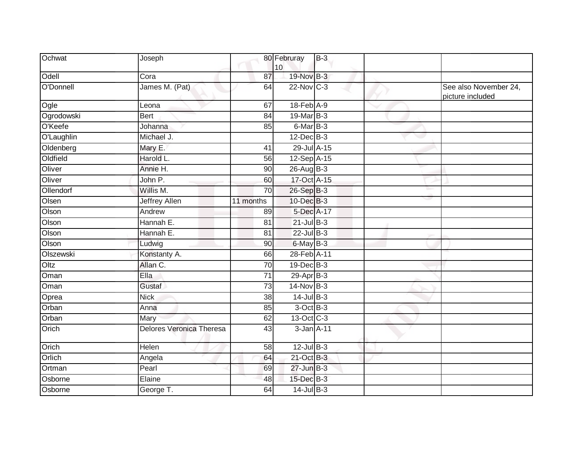| Ochwat     | Joseph                          |                 | 80 Februray<br>10 | $B-3$ |     |                                           |
|------------|---------------------------------|-----------------|-------------------|-------|-----|-------------------------------------------|
| Odell      | Cora                            | 87              | 19-Nov B-3        |       |     |                                           |
| O'Donnell  | James M. (Pat)                  | 64              | 22-Nov C-3        |       |     | See also November 24,<br>picture included |
| Ogle       | Leona                           | 67              | 18-Feb A-9        |       |     |                                           |
| Ogrodowski | <b>Bert</b>                     | 84              | 19-Mar B-3        |       |     |                                           |
| O'Keefe    | Johanna                         | 85              | 6-Mar B-3         |       |     |                                           |
| O'Laughlin | Michael J.                      |                 | $12$ -Dec $B-3$   |       | e s |                                           |
| Oldenberg  | Mary E.                         | $\overline{41}$ | 29-Jul A-15       |       |     |                                           |
| Oldfield   | Harold L.                       | 56              | 12-Sep A-15       |       |     |                                           |
| Oliver     | Annie H.                        | 90              | 26-Aug B-3        |       |     |                                           |
| Oliver     | John P.                         | 60              | 17-Oct A-15       |       |     |                                           |
| Ollendorf  | Willis M.                       | 70              | 26-Sep B-3        |       |     |                                           |
| Olsen      | <b>Jeffrey Allen</b>            | 11 months       | $10$ -Dec $B-3$   |       |     |                                           |
| Olson      | Andrew                          | 89              | 5-Dec A-17        |       |     |                                           |
| Olson      | Hannah E.                       | 81              | $21$ -Jul B-3     |       |     |                                           |
| Olson      | Hannah E.                       | 81              | $22$ -Jul B-3     |       |     |                                           |
| Olson      | Ludwig                          | 90              | 6-May B-3         |       |     |                                           |
| Olszewski  | Konstanty A.                    | 66              | 28-Feb A-11       |       |     |                                           |
| Oltz       | Allan C.                        | $\overline{70}$ | 19-Dec B-3        |       |     |                                           |
| Oman       | Ella                            | $\overline{71}$ | $29-AprB-3$       |       |     |                                           |
| Oman       | <b>Gustaf</b>                   | 73              | 14-Nov B-3        |       |     |                                           |
| Oprea      | <b>Nick</b>                     | 38              | $14$ -Jul $B-3$   |       |     |                                           |
| Orban      | Anna                            | 85              | $3$ -Oct $B-3$    |       |     |                                           |
| Orban      | Mary                            | 62              | 13-Oct C-3        |       |     |                                           |
| Orich      | <b>Delores Veronica Theresa</b> | $\overline{43}$ | 3-Jan A-11        |       |     |                                           |
| Orich      | Helen                           | 58              | $12$ -Jul $B-3$   |       |     |                                           |
| Orlich     | Angela                          | 64              | 21-Oct B-3        |       |     |                                           |
| Ortman     | Pearl                           | 69              | $27$ -Jun $B-3$   |       |     |                                           |
| Osborne    | Elaine                          | 48              | 15-Dec B-3        |       |     |                                           |
| Osborne    | George T.                       | 64              | $14$ -Jul $B-3$   |       |     |                                           |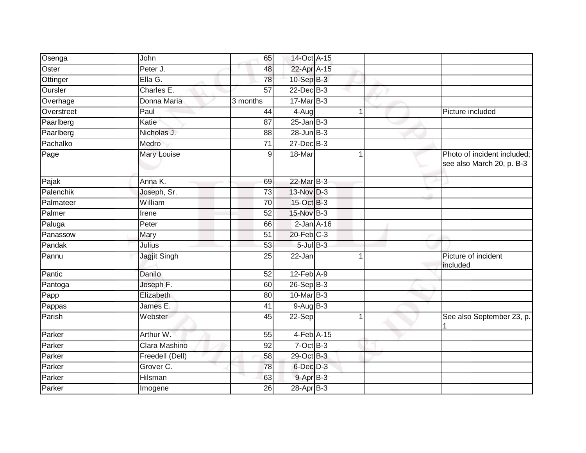| Osenga     | John                | 65              | 14-Oct A-15      |    |                                                          |
|------------|---------------------|-----------------|------------------|----|----------------------------------------------------------|
| Oster      | Peter J.            | 48              | 22-Apr A-15      |    |                                                          |
| Ottinger   | Ella G.             | 78              | $10 - SepB-3$    |    |                                                          |
| Oursler    | Charles E.          | $\overline{57}$ | 22-Dec B-3       |    |                                                          |
| Overhage   | Donna Maria         | 3 months        | $17$ -Mar $B-3$  |    |                                                          |
| Overstreet | Paul                | 44              | 4-Aug            | 1  | Picture included                                         |
| Paarlberg  | Katie               | 87              | $25$ -Jan $B-3$  |    |                                                          |
| Paarlberg  | Nicholas J.         | 88              | $28$ -Jun $B-3$  |    |                                                          |
| Pachalko   | Medro               | 71              | $27 - Dec$ B-3   |    |                                                          |
| Page       | Mary Louise         | 9               | 18-Mar           |    | Photo of incident included;<br>see also March 20, p. B-3 |
| Pajak      | Anna K.             | 69              | 22-Mar B-3       |    |                                                          |
| Palenchik  | Joseph, Sr.         | 73              | 13-Nov D-3       |    |                                                          |
| Palmateer  | William             | 70              | 15-Oct B-3       |    |                                                          |
| Palmer     | Irene               | 52              | 15-Nov B-3       |    |                                                          |
| Paluga     | Peter               | 66              | $2$ -Jan $A-16$  |    |                                                          |
| Panassow   | Mary                | $\overline{51}$ | 20-Feb C-3       |    |                                                          |
| Pandak     | Julius              | 53              | $5$ -Jul $B$ -3  |    |                                                          |
| Pannu      | <b>Jagjit Singh</b> | $\overline{25}$ | 22-Jan           | -1 | Picture of incident<br>included                          |
| Pantic     | Danilo              | 52              | $12$ -Feb $A-9$  |    |                                                          |
| Pantoga    | Joseph F.           | 60              | $26 - Sep$ $B-3$ |    |                                                          |
| Papp       | Elizabeth           | 80              | $10$ -Mar $B-3$  |    |                                                          |
| Pappas     | James E.            | 41              | $9-AugB-3$       |    |                                                          |
| Parish     | Webster             | 45              | 22-Sep           | 1  | See also September 23, p.                                |
| Parker     | Arthur W.           | 55              | 4-Feb A-15       |    |                                                          |
| Parker     | Clara Mashino       | 92              | $7$ -Oct $B-3$   |    |                                                          |
| Parker     | Freedell (Dell)     | 58              | 29-Oct B-3       |    |                                                          |
| Parker     | Grover C.           | 78              | 6-Dec D-3        |    |                                                          |
| Parker     | Hilsman             | 63              | 9-Apr B-3        |    |                                                          |
| Parker     | Imogene             | 26              | 28-Apr B-3       |    |                                                          |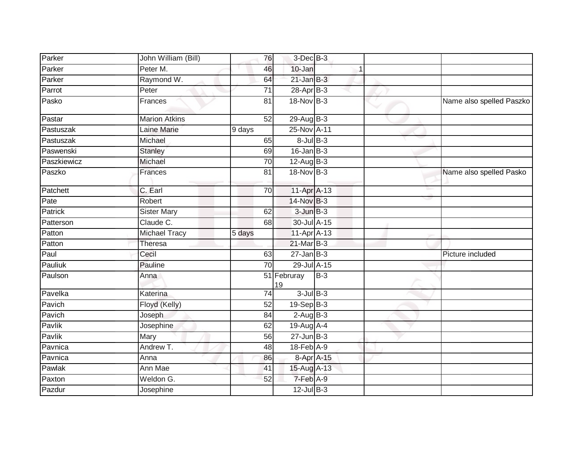| Parker      | John William (Bill)  | 76              | $3$ -Dec $B-3$    |       |                          |
|-------------|----------------------|-----------------|-------------------|-------|--------------------------|
| Parker      | Peter M.             | 46              | 10-Jan            |       |                          |
| Parker      | Raymond W.           | 64              | $21$ -Jan $B-3$   |       |                          |
| Parrot      | Peter                | 71              | $28$ -Apr $B-3$   |       |                          |
| Pasko       | Frances              | 81              | $18-Nov$ B-3      |       | Name also spelled Paszko |
| Pastar      | <b>Marion Atkins</b> | $\overline{52}$ | 29-Aug B-3        |       |                          |
| Pastuszak   | Laine Marie          | 9 days          | 25-Nov A-11       |       |                          |
| Pastuszak   | Michael              | 65              | $8$ -Jul $B$ -3   |       |                          |
| Paswenski   | <b>Stanley</b>       | 69              | $16$ -Jan $B-3$   |       |                          |
| Paszkiewicz | Michael              | 70              | $12$ -Aug B-3     |       |                          |
| Paszko      | Frances              | 81              | 18-Nov B-3        |       | Name also spelled Pasko  |
| Patchett    | C. Earl              | 70              | 11-Apr A-13       |       |                          |
| Pate        | Robert               |                 | 14-Nov B-3        |       |                          |
| Patrick     | <b>Sister Mary</b>   | 62              | $3$ -Jun $B-3$    |       |                          |
| Patterson   | Claude C.            | 68              | 30-Jul A-15       |       |                          |
| Patton      | <b>Michael Tracy</b> | 5 days          | 11-Apr A-13       |       |                          |
| Patton      | Theresa              |                 | 21-Mar B-3        |       |                          |
| Paul        | Cecil                | 63              | $27$ -Jan B-3     |       | Picture included         |
| Pauliuk     | Pauline              | 70              | $29$ -Jul $A-15$  |       |                          |
| Paulson     | Anna                 |                 | 51 Februray<br>19 | $B-3$ |                          |
| Pavelka     | Katerina             | 74              | $3$ -Jul $B-3$    |       |                          |
| Pavich      | Floyd (Kelly)        | 52              | $19-Sep$ $B-3$    |       |                          |
| Pavich      | Joseph               | 84              | $2-AugB-3$        |       |                          |
| Pavlik      | Josephine            | 62              | 19-Aug A-4        |       |                          |
| Pavlik      | Mary                 | 56              | $27 - Jun$ $B-3$  |       |                          |
| Pavnica     | Andrew T.            | 48              | $18-Feb$ A-9      |       |                          |
| Pavnica     | Anna                 | 86              | 8-Apr A-15        |       |                          |
| Pawlak      | Ann Mae              | 41              | 15-Aug A-13       |       |                          |
| Paxton      | Weldon G.            | 52              | 7-Feb A-9         |       |                          |
| Pazdur      | Josephine            |                 | $12$ -Jul $B-3$   |       |                          |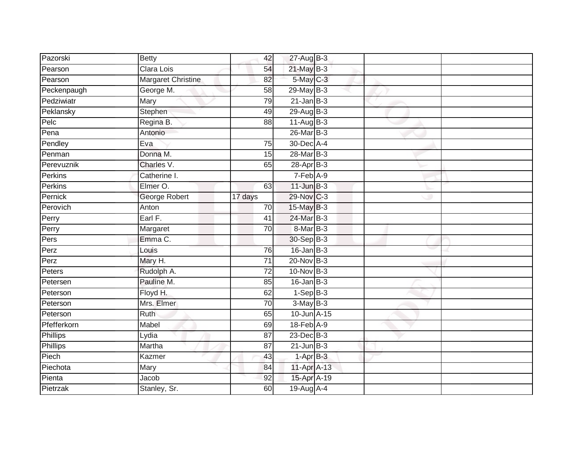| Pazorski        | <b>Betty</b>       | 42              | 27-Aug B-3      |  |  |
|-----------------|--------------------|-----------------|-----------------|--|--|
| Pearson         | Clara Lois         | 54              | 21-May B-3      |  |  |
| Pearson         | Margaret Christine | 82              | 5-May C-3       |  |  |
| Peckenpaugh     | George M.          | 58              | $29$ -May B-3   |  |  |
| Pedziwiatr      | <b>Mary</b>        | 79              | $21$ -Jan B-3   |  |  |
| Peklansky       | Stephen            | 49              | $29$ -Aug $B-3$ |  |  |
| Pelc            | Regina B.          | 88              | $11-Aug$ B-3    |  |  |
| Pena            | Antonio            |                 | 26-Mar B-3      |  |  |
| Pendley         | Eva                | 75              | 30-Dec A-4      |  |  |
| Penman          | Donna M.           | $\overline{15}$ | 28-Mar B-3      |  |  |
| Perevuznik      | Charles V.         | 65              | 28-Apr B-3      |  |  |
| Perkins         | Catherine I.       |                 | 7-Feb A-9       |  |  |
| Perkins         | Elmer O.           | 63              | $11$ -Jun $B-3$ |  |  |
| Pernick         | George Robert      | 17 days         | 29-Nov C-3      |  |  |
| Perovich        | Anton              | 70              | 15-May B-3      |  |  |
| Perry           | Earl F.            | 41              | 24-Mar B-3      |  |  |
| Perry           | Margaret           | $\overline{70}$ | 8-Mar B-3       |  |  |
| Pers            | Emma C.            |                 | 30-Sep B-3      |  |  |
| Perz            | Louis              | 76              | $16$ -Jan $B-3$ |  |  |
| Perz            | Mary H.            | 71              | $20$ -Nov $B-3$ |  |  |
| Peters          | Rudolph A.         | 72              | 10-Nov B-3      |  |  |
| Petersen        | Pauline M.         | 85              | $16$ -Jan B-3   |  |  |
| Peterson        | Floyd H.           | 62              | $1-Sep$ B-3     |  |  |
| Peterson        | Mrs. Elmer         | 70              | $3-MayB-3$      |  |  |
| Peterson        | <b>Ruth</b>        | 65              | 10-Jun A-15     |  |  |
| Pfefferkorn     | Mabel              | 69              | 18-Feb A-9      |  |  |
| <b>Phillips</b> | Lydia              | 87              | $23$ -Dec $B-3$ |  |  |
| Phillips        | Martha             | 87              | $21$ -Jun $B-3$ |  |  |
| Piech           | Kazmer             | 43              | $1-AprB-3$      |  |  |
| Piechota        | Mary               | 84              | 11-Apr A-13     |  |  |
| Pienta          | Jacob              | 92              | 15-Apr A-19     |  |  |
| Pietrzak        | Stanley, Sr.       | 60              | 19-Aug A-4      |  |  |
|                 |                    |                 |                 |  |  |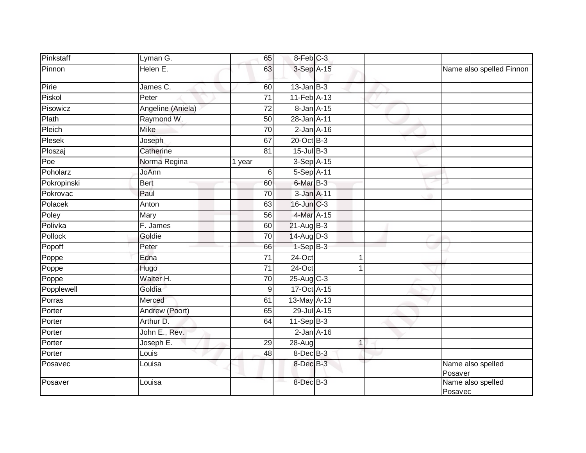| Pinkstaff   | Lyman G.               | 65              | 8-Feb C-3                  |              |                              |
|-------------|------------------------|-----------------|----------------------------|--------------|------------------------------|
| Pinnon      | Helen E.               | 63              | 3-Sep A-15                 |              | Name also spelled Finnon     |
| Pirie       | James C.               | 60              | $13$ -Jan B-3              |              |                              |
| Piskol      | Peter                  | $\overline{71}$ | 11-Feb A-13                |              |                              |
| Pisowicz    | Angeline (Aniela)      | 72              | 8-Jan A-15                 | $\checkmark$ |                              |
| Plath       | Raymond W.             | 50              | 28-Jan A-11                |              |                              |
| Pleich      | <b>Mike</b>            | 70              | $2$ -Jan $A-16$            |              |                              |
| Plesek      | Joseph                 | 67              | 20-Oct B-3                 |              |                              |
| Ploszaj     | Catherine              | 81              | $15$ -Jul $B-3$            |              |                              |
| Poe         | Norma Regina           | 1 year          | $3-Sep$ A-15               |              |                              |
| Poholarz    | JoAnn                  | 6               | 5-Sep A-11                 |              |                              |
| Pokropinski | <b>Bert</b>            | 60              | $6$ -Mar $\overline{B}$ -3 |              |                              |
| Pokrovac    | Paul                   | $\overline{70}$ | 3-Jan A-11                 |              |                              |
| Polacek     | Anton                  | 63              | 16-Jun C-3                 |              |                              |
| Poley       | Mary                   | 56              | 4-Mar A-15                 |              |                              |
| Polivka     | $\overline{F}$ . James | 60              | $21-Aug$ B-3               |              |                              |
| Pollock     | Goldie                 | 70              | 14-Aug D-3                 |              |                              |
| Popoff      | Peter                  | 66              | $1-SepB-3$                 |              |                              |
| Poppe       | Edna                   | $\overline{71}$ | $24$ -Oct                  | -1           |                              |
| Poppe       | Hugo                   | $\overline{71}$ | 24-Oct                     | -1           |                              |
| Poppe       | Walter H.              | 70              | 25-Aug C-3                 |              |                              |
| Popplewell  | Goldia                 | 9               | 17-Oct A-15                |              |                              |
| Porras      | Merced                 | 61              | $13$ -May $A-13$           |              |                              |
| Porter      | Andrew (Poort)         | 65              | 29-Jul A-15                |              |                              |
| Porter      | Arthur D.              | 64              | $11-SepB-3$                |              |                              |
| Porter      | John E., Rev.          |                 | $2$ -Jan $A-16$            |              |                              |
| Porter      | Joseph E.              | 29              | $28-Auq$                   | $\mathbf{1}$ |                              |
| Porter      | Louis                  | 48              | 8-Dec B-3                  |              |                              |
| Posavec     | Louisa                 |                 | $8$ -Dec $B-3$             |              | Name also spelled<br>Posaver |
| Posaver     | Louisa                 |                 | 8-Dec B-3                  |              | Name also spelled<br>Posavec |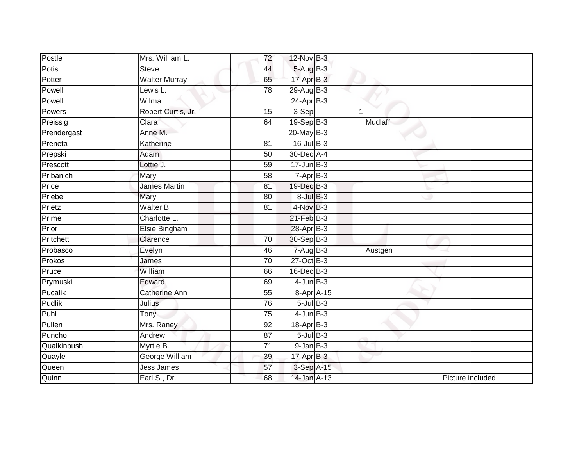| Postle       | Mrs. William L.       | $\overline{72}$ | 12-Nov B-3       |         |                  |
|--------------|-----------------------|-----------------|------------------|---------|------------------|
| <b>Potis</b> | <b>Steve</b>          | 44              | 5-Aug B-3        |         |                  |
| Potter       | <b>Walter Murray</b>  | 65              | $17$ -Apr $B-3$  |         |                  |
| Powell       | Lewis L.              | 78              | 29-Aug B-3       |         |                  |
| Powell       | Wilma                 |                 | $24$ -Apr $B-3$  |         |                  |
| Powers       | Robert Curtis, Jr.    | 15              | 3-Sep            |         |                  |
| Preissig     | Clara                 | 64              | 19-Sep B-3       | Mudlaff |                  |
| Prendergast  | Anne M.               |                 | $20$ -May B-3    |         |                  |
| Preneta      | Katherine             | 81              | $16$ -Jul $B-3$  |         |                  |
| Prepski      | Adam                  | 50              | 30-Dec A-4       |         |                  |
| Prescott     | Lottie J.             | 59              | $17 - Jun$ $B-3$ |         |                  |
| Pribanich    | Mary                  | 58              | $7-AprB-3$       |         |                  |
| Price        | <b>James Martin</b>   | 81              | 19-Dec B-3       |         |                  |
| Priebe       | Mary                  | 80              | $8$ -Jul $B-3$   |         |                  |
| Prietz       | Walter B.             | $\overline{81}$ | $4-Nov$ B-3      |         |                  |
| Prime        | Charlotte L.          |                 | $21$ -Feb $B-3$  |         |                  |
| Prior        | Elsie Bingham         |                 | 28-Apr B-3       |         |                  |
| Pritchett    | Clarence              | 70              | $30-Sep$ B-3     |         |                  |
| Probasco     | Evelyn                | 46              | $7 - Aug$ B-3    | Austgen |                  |
| Prokos       | James                 | $\overline{70}$ | $27$ -Oct B-3    |         |                  |
| Pruce        | William               | 66              | $16$ -Dec $B-3$  |         |                  |
| Prymuski     | Edward                | 69              | $4$ -Jun $B-3$   |         |                  |
| Pucalik      | Catherine Ann         | 55              | 8-Apr A-15       |         |                  |
| Pudlik       | Julius                | 76              | $5$ -Jul B-3     |         |                  |
| Puhl         | Tony                  | 75              | $4$ -Jun $B-3$   |         |                  |
| Pullen       | Mrs. Raney            | 92              | 18-Apr B-3       |         |                  |
| Puncho       | Andrew                | 87              | $5$ -Jul $B$ -3  |         |                  |
| Qualkinbush  | Myrtle B.             | $\overline{71}$ | $9$ -Jan $B$ -3  |         |                  |
| Quayle       | <b>George William</b> | 39              | $17$ -Apr $B-3$  |         |                  |
| Queen        | <b>Jess James</b>     | 57              | 3-Sep A-15       |         |                  |
| Quinn        | Earl S., Dr.          | 68              | 14-Jan A-13      |         | Picture included |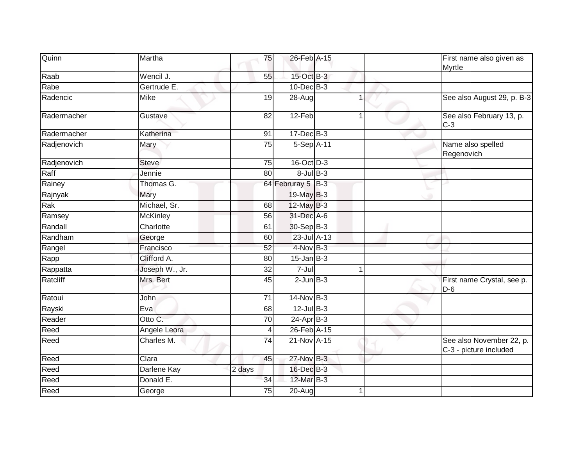| Quinn       | Martha          | 75              | 26-Feb A-15       |                      | First name also given as<br>Myrtle                 |
|-------------|-----------------|-----------------|-------------------|----------------------|----------------------------------------------------|
| Raab        | Wencil J.       | 55              | 15-Oct B-3        |                      |                                                    |
| Rabe        | Gertrude E.     |                 | 10-Dec B-3        |                      |                                                    |
| Radencic    | Mike            | 19              | 28-Aug            | 1                    | See also August 29, p. B-3                         |
| Radermacher | Gustave         | 82              | 12-Feb            | $\blacktriangleleft$ | See also February 13, p.<br>$C-3$                  |
| Radermacher | Katherina       | 91              | $17 - Dec$ B-3    |                      |                                                    |
| Radjenovich | Mary            | 75              | 5-Sep A-11        |                      | Name also spelled<br>Regenovich                    |
| Radjenovich | <b>Steve</b>    | 75              | 16-Oct D-3        |                      |                                                    |
| Raff        | Jennie          | 80              | $8$ -Jul $B-3$    |                      |                                                    |
| Rainey      | Thomas G.       |                 | 64 Februray 5 B-3 |                      |                                                    |
| Rajnyak     | Mary            |                 | 19-May B-3        |                      |                                                    |
| Rak         | Michael, Sr.    | 68              | 12-May B-3        |                      |                                                    |
| Ramsey      | <b>McKinley</b> | 56              | 31-Dec A-6        |                      |                                                    |
| Randall     | Charlotte       | 61              | 30-Sep B-3        |                      |                                                    |
| Randham     | George          | 60              | 23-Jul A-13       |                      |                                                    |
| Rangel      | Francisco       | $\overline{52}$ | $4$ -Nov $B-3$    |                      |                                                    |
| Rapp        | Clifford A.     | 80              | $15$ -Jan B-3     |                      |                                                    |
| Rappatta    | Joseph W., Jr.  | 32              | $7 -$ Jul         |                      |                                                    |
| Ratcliff    | Mrs. Bert       | 45              | $2$ -Jun $B-3$    |                      | First name Crystal, see p.<br>$D-6$                |
| Ratoui      | John            | 71              | 14-Nov B-3        |                      |                                                    |
| Rayski      | Eva             | 68              | $12$ -Jul B-3     |                      |                                                    |
| Reader      | Otto C.         | 70              | 24-Apr B-3        |                      |                                                    |
| Reed        | Angele Leora    | 4               | 26-Feb A-15       |                      |                                                    |
| Reed        | Charles M.      | $\overline{74}$ | 21-Nov A-15       |                      | See also November 22, p.<br>C-3 - picture included |
| Reed        | Clara           | 45              | 27-Nov B-3        |                      |                                                    |
| Reed        | Darlene Kay     | 2 days          | 16-Dec B-3        |                      |                                                    |
| Reed        | Donald E.       | 34              | 12-Mar B-3        |                      |                                                    |
| Reed        | George          | 75              | $20-Aug$          |                      |                                                    |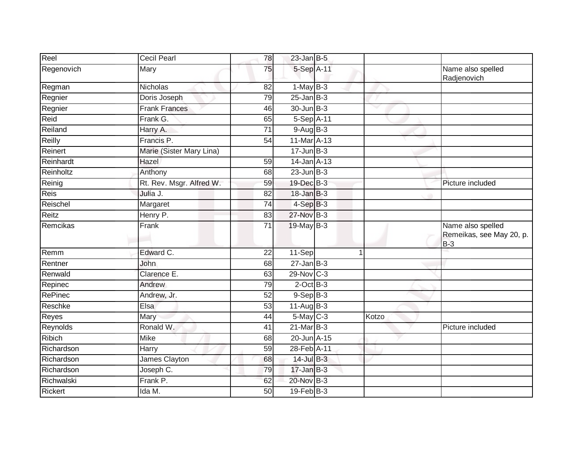| Reel           | <b>Cecil Pearl</b>       | 78              | $23$ -Jan B-5           |       |                                                        |
|----------------|--------------------------|-----------------|-------------------------|-------|--------------------------------------------------------|
| Regenovich     | Mary                     | 75              | 5-Sep A-11              |       | Name also spelled<br>Radjenovich                       |
| Regman         | <b>Nicholas</b>          | 82              | $1-May$ B-3             |       |                                                        |
| Regnier        | Doris Joseph             | 79              | $25$ -Jan $B-3$         |       |                                                        |
| Regnier        | <b>Frank Frances</b>     | 46              | 30-Jun B-3              | v     |                                                        |
| Reid           | Frank G.                 | 65              | $5-Sep$ A-11            |       |                                                        |
| Reiland        | Harry A.                 | $\overline{71}$ | $9-AugB-3$              |       |                                                        |
| Reilly         | Francis P.               | 54              | 11-Mar A-13             |       |                                                        |
| Reinert        | Marie (Sister Mary Lina) |                 | $17 - Jun$ $B-3$        |       |                                                        |
| Reinhardt      | Hazel                    | 59              | 14-Jan A-13             |       |                                                        |
| Reinholtz      | Anthony                  | 68              | $23$ -Jun $B-3$         |       |                                                        |
| Reinig         | Rt. Rev. Msgr. Alfred W. | 59              | 19-Dec B-3              |       | Picture included                                       |
| <b>Reis</b>    | Julia J.                 | 82              | $18$ -Jan $B-3$         |       |                                                        |
| Reischel       | Margaret                 | 74              | $4-SepB-3$              |       |                                                        |
| Reitz          | Henry P.                 | 83              | 27-Nov B-3              |       |                                                        |
| Remcikas       | Frank                    | 71              | 19-May B-3              |       | Name also spelled<br>Remeikas, see May 20, p.<br>$B-3$ |
| Remm           | Edward C.                | 22              | 11-Sep                  |       |                                                        |
| Rentner        | John                     | 68              | $27$ -Jan B-3           |       |                                                        |
| Renwald        | Clarence E.              | 63              | $29-Nov$ <sub>C-3</sub> |       |                                                        |
| Repinec        | Andrew                   | 79              | $2$ -Oct B-3            |       |                                                        |
| <b>RePinec</b> | Andrew, Jr.              | 52              | $9-$ Sep $B-3$          |       |                                                        |
| Reschke        | Elsa                     | 53              | $11-AugB-3$             |       |                                                        |
| Reyes          | Mary                     | 44              | 5-May C-3               | Kotzo |                                                        |
| Reynolds       | Ronald W.                | 41              | 21-Mar B-3              |       | Picture included                                       |
| Ribich         | Mike                     | 68              | 20-Jun A-15             |       |                                                        |
| Richardson     | Harry                    | 59              | 28-Feb A-11             |       |                                                        |
| Richardson     | James Clayton            | 68              | 14-Jul B-3              |       |                                                        |
| Richardson     | Joseph C.                | 79              | $17 - Jan$ $B-3$        |       |                                                        |
| Richwalski     | Frank P.                 | 62              | 20-Nov B-3              |       |                                                        |
| <b>Rickert</b> | Ida M.                   | 50              | 19-Feb B-3              |       |                                                        |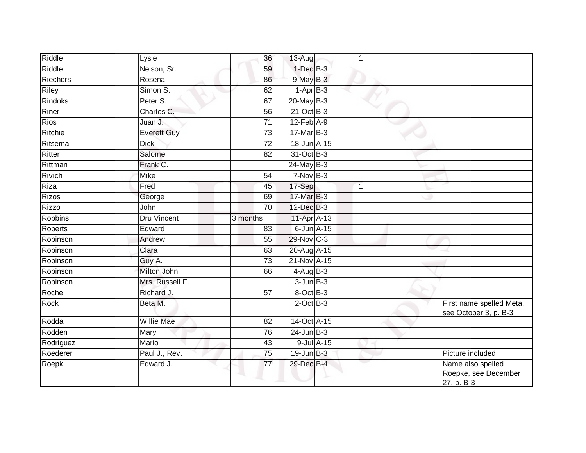| Riddle          | Lysle              | 36              | $13-Aug$         | 1          |                                                         |
|-----------------|--------------------|-----------------|------------------|------------|---------------------------------------------------------|
| Riddle          | Nelson, Sr.        | 59              | $1$ -Dec $B-3$   |            |                                                         |
| <b>Riechers</b> | Rosena             | 86              | $9$ -May $B-3$   |            |                                                         |
| Riley           | Simon S.           | 62              | $1-AprB-3$       |            |                                                         |
| <b>Rindoks</b>  | Peter S.           | 67              | $20$ -May $B-3$  |            |                                                         |
| Riner           | Charles C.         | 56              | $21-Oct$ B-3     |            |                                                         |
| <b>Rios</b>     | Juan J.            | 71              | $12$ -Feb $A-9$  |            |                                                         |
| Ritchie         | <b>Everett Guy</b> | 73              | 17-Mar B-3       |            |                                                         |
| Ritsema         | <b>Dick</b>        | 72              | 18-Jun A-15      |            |                                                         |
| Ritter          | Salome             | $\overline{82}$ | 31-Oct B-3       |            |                                                         |
| Rittman         | Frank C.           |                 | $24$ -May B-3    |            |                                                         |
| Rivich          | <b>Mike</b>        | 54              | $7-Nov$ B-3      |            |                                                         |
| Riza            | Fred               | 45              | 17-Sep           | 1          |                                                         |
| <b>Rizos</b>    | George             | 69              | 17-Mar B-3       |            |                                                         |
| Rizzo           | John               | $\overline{70}$ | 12-Dec B-3       |            |                                                         |
| <b>Robbins</b>  | Dru Vincent        | 3 months        | 11-Apr A-13      |            |                                                         |
| <b>Roberts</b>  | Edward             | 83              | $6$ -Jun $A$ -15 |            |                                                         |
| Robinson        | Andrew             | 55              | 29-Nov C-3       |            |                                                         |
| Robinson        | Clara              | 63              | 20-Aug A-15      |            |                                                         |
| Robinson        | Guy A.             | $\overline{73}$ | 21-Nov A-15      |            |                                                         |
| Robinson        | Milton John        | 66              | $4$ -Aug B-3     |            |                                                         |
| Robinson        | Mrs. Russell F.    |                 | $3$ -Jun $B-3$   |            |                                                         |
| Roche           | Richard J.         | $\overline{57}$ | 8-Oct B-3        |            |                                                         |
| Rock            | Beta M.            |                 | $2$ -Oct B-3     |            | First name spelled Meta,<br>see October 3, p. B-3       |
| Rodda           | <b>Willie Mae</b>  | 82              | 14-Oct A-15      |            |                                                         |
| Rodden          | Mary               | 76              | $24$ -Jun $B-3$  |            |                                                         |
| Rodriguez       | <b>Mario</b>       | 43              |                  | 9-Jul A-15 |                                                         |
| Roederer        | Paul J., Rev.      | 75              | $19$ -Jun $B-3$  |            | Picture included                                        |
| Roepk           | Edward J.          | 77              | 29-Dec B-4       |            | Name also spelled<br>Roepke, see December<br>27, p. B-3 |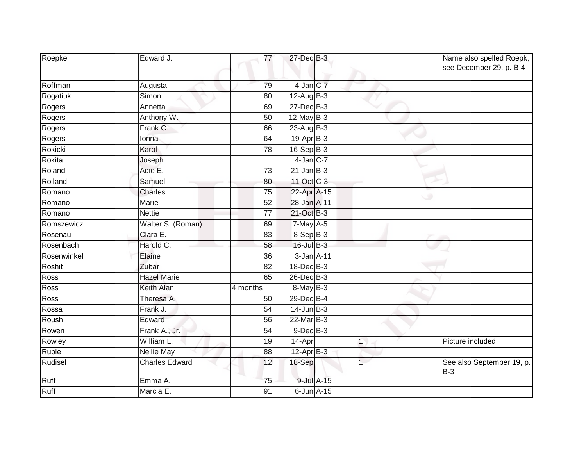| Roepke      | Edward J.             | 77              | 27-Dec B-3       |            |   | Name also spelled Roepk,<br>see December 29, p. B-4 |
|-------------|-----------------------|-----------------|------------------|------------|---|-----------------------------------------------------|
| Roffman     | Augusta               | 79              | $4$ -Jan $C$ -7  |            |   |                                                     |
| Rogatiuk    | Simon                 | 80              | 12-Aug B-3       |            |   |                                                     |
| Rogers      | Annetta               | 69              | $27$ -Dec $B-3$  |            |   |                                                     |
| Rogers      | Anthony W.            | 50              | $12$ -May B-3    |            |   |                                                     |
| Rogers      | Frank C.              | 66              | $23-Aug$ B-3     |            |   |                                                     |
| Rogers      | Ionna                 | 64              | $19-Apr$ B-3     |            |   |                                                     |
| Rokicki     | Karol                 | 78              | $16-SepB-3$      |            |   |                                                     |
| Rokita      | Joseph                |                 | $4$ -Jan C-7     |            |   |                                                     |
| Roland      | Adie E.               | 73              | $21$ -Jan B-3    |            |   |                                                     |
| Rolland     | Samuel                | 80              | 11-Oct C-3       |            |   |                                                     |
| Romano      | Charles               | 75              | 22-Apr A-15      |            |   |                                                     |
| Romano      | <b>Marie</b>          | $\overline{52}$ | 28-Jan A-11      |            |   |                                                     |
| Romano      | <b>Nettie</b>         | 77              | 21-Oct B-3       |            |   |                                                     |
| Romszewicz  | Walter S. (Roman)     | 69              | 7-May A-5        |            |   |                                                     |
| Rosenau     | Clara E.              | 83              | $8-Sep$ B-3      |            |   |                                                     |
| Rosenbach   | Harold C.             | 58              | $16$ -Jul $B-3$  |            |   |                                                     |
| Rosenwinkel | Elaine                | 36              | 3-Jan A-11       |            |   |                                                     |
| Roshit      | Zubar                 | 82              | 18-Dec B-3       |            |   |                                                     |
| Ross        | <b>Hazel Marie</b>    | 65              | $26$ -Dec $B$ -3 |            |   |                                                     |
| Ross        | <b>Keith Alan</b>     | 4 months        | $8-MayB-3$       |            |   |                                                     |
| Ross        | Theresa A.            | 50              | 29-Dec B-4       |            |   |                                                     |
| Rossa       | Frank J.              | $\overline{54}$ | $14$ -Jun B-3    |            |   |                                                     |
| Roush       | Edward                | 56              | 22-Mar B-3       |            |   |                                                     |
| Rowen       | Frank A., Jr.         | 54              | $9$ -Dec $B$ -3  |            |   |                                                     |
| Rowley      | William L.            | 19              | 14-Apr           |            | 1 | Picture included                                    |
| Ruble       | Nellie May            | 88              | 12-Apr B-3       |            |   |                                                     |
| Rudisel     | <b>Charles Edward</b> | 12              | 18-Sep           |            |   | See also September 19, p.<br>$B-3$                  |
| Ruff        | Emma A.               | 75              |                  | 9-Jul A-15 |   |                                                     |
| Ruff        | Marcia E.             | 91              | $6$ -Jun $A$ -15 |            |   |                                                     |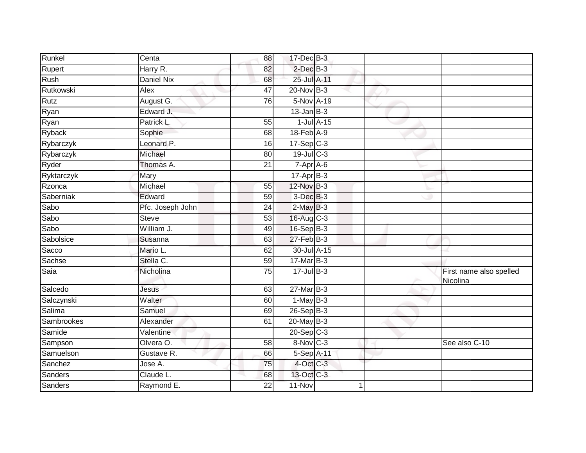| Runkel     | Centa            | 88              | 17-Dec B-3        |                  |                                     |
|------------|------------------|-----------------|-------------------|------------------|-------------------------------------|
| Rupert     | Harry R.         | 82              | $2$ -Dec $B-3$    |                  |                                     |
| Rush       | Daniel Nix       | 68              | 25-Jul A-11       |                  |                                     |
| Rutkowski  | Alex             | 47              | 20-Nov B-3        |                  |                                     |
| Rutz       | August G.        | 76              | 5-Nov A-19        |                  |                                     |
| Ryan       | Edward J.        |                 | $13$ -Jan B-3     |                  |                                     |
| Ryan       | Patrick L.       | 55              |                   | $1$ -Jul $A$ -15 |                                     |
| Ryback     | Sophie           | 68              | 18-Feb A-9        |                  |                                     |
| Rybarczyk  | Leonard P.       | 16              | $17-Sep$ C-3      |                  |                                     |
| Rybarczyk  | Michael          | 80              | $19$ -Jul $C-3$   |                  |                                     |
| Ryder      | Thomas A.        | 21              | $7-Apr$ A-6       |                  |                                     |
| Ryktarczyk | Mary             |                 | $17-Apr$ B-3      |                  |                                     |
| Rzonca     | Michael          | 55              | 12-Nov B-3        |                  |                                     |
| Saberniak  | Edward           | 59              | 3-Dec B-3         |                  |                                     |
| Sabo       | Pfc. Joseph John | 24              | $2$ -May $B-3$    |                  |                                     |
| Sabo       | <b>Steve</b>     | 53              | 16-Aug C-3        |                  |                                     |
| Sabo       | William J.       | 49              | $16-Sep$ B-3      |                  |                                     |
| Sabolsice  | Susanna          | 63              | $27$ -Feb $ B-3 $ |                  |                                     |
| Sacco      | Mario L.         | 62              | 30-Jul A-15       |                  |                                     |
| Sachse     | Stella C.        | 59              | 17-Mar B-3        |                  |                                     |
| Saia       | Nicholina        | 75              | $17$ -Jul $B-3$   |                  | First name also spelled<br>Nicolina |
| Salcedo    | Jesus            | 63              | $27$ -Mar $B-3$   |                  |                                     |
| Salczynski | Walter           | 60              | $1-MayB-3$        |                  |                                     |
| Salima     | Samuel           | 69              | 26-Sep B-3        |                  |                                     |
| Sambrookes | Alexander        | 61              | $20$ -May B-3     |                  |                                     |
| Samide     | Valentine        |                 | $20-Sep$ $C-3$    |                  |                                     |
| Sampson    | Olvera O.        | $\overline{58}$ | 8-Nov C-3         |                  | See also C-10                       |
| Samuelson  | Gustave R.       | 66              | 5-Sep A-11        |                  |                                     |
| Sanchez    | Jose A.          | 75              | $4$ -Oct C-3      |                  |                                     |
| Sanders    | Claude L.        | 68              | 13-Oct C-3        |                  |                                     |
| Sanders    | Raymond E.       | 22              | 11-Nov            |                  |                                     |
|            |                  |                 |                   |                  |                                     |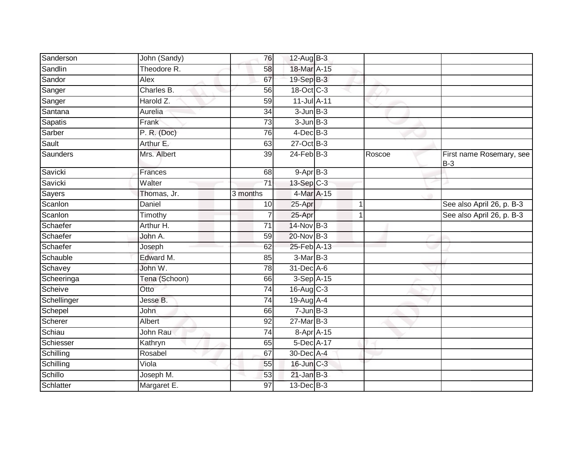| Sanderson       | John (Sandy)  | 76              | $12$ -Aug B-3            |             |        |                                   |
|-----------------|---------------|-----------------|--------------------------|-------------|--------|-----------------------------------|
| Sandlin         | Theodore R.   | 58              | 18-Mar A-15              |             |        |                                   |
| Sandor          | Alex          | 67              | 19-Sep B-3               |             |        |                                   |
| Sanger          | Charles B.    | 56              | $18-Oct$ <sub>C</sub> -3 |             |        |                                   |
| Sanger          | Harold Z.     | 59              | 11-Jul A-11              |             |        |                                   |
| Santana         | Aurelia       | 34              | $3$ -Jun $B-3$           |             |        |                                   |
| Sapatis         | Frank         | 73              | $3$ -Jun $B-3$           |             |        |                                   |
| Sarber          | P. R. (Doc)   | 76              | $4$ -Dec $B$ -3          |             |        |                                   |
| Sault           | Arthur E.     | 63              | $27$ -Oct B-3            |             |        |                                   |
| <b>Saunders</b> | Mrs. Albert   | $\overline{39}$ | $24$ -Feb $B-3$          |             | Roscoe | First name Rosemary, see<br>$B-3$ |
| Savicki         | Frances       | 68              | $9-AprB-3$               |             |        |                                   |
| Savicki         | Walter        | 71              | $13-Sep$ C-3             |             |        |                                   |
| Sayers          | Thomas, Jr.   | 3 months        | 4-Mar A-15               |             |        |                                   |
| Scanlon         | Daniel        | 10              | 25-Apr                   |             |        | See also April 26, p. B-3         |
| Scanlon         | Timothy       | 7               | 25-Apr                   | $\mathbf 1$ |        | See also April 26, p. B-3         |
| Schaefer        | Arthur H.     | 71              | 14-Nov B-3               |             |        |                                   |
| Schaefer        | John A.       | 59              | 20-Nov B-3               |             |        |                                   |
| Schaefer        | Joseph        | 62              | 25-Feb A-13              |             |        |                                   |
| Schauble        | Edward M.     | 85              | $3-Mar$ B-3              |             |        |                                   |
| Schavey         | John W.       | 78              | 31-Dec A-6               |             |        |                                   |
| Scheeringa      | Tena (Schoon) | 66              | 3-Sep A-15               |             |        |                                   |
| Scheive         | Otto          | 74              | $16$ -Aug $C-3$          |             |        |                                   |
| Schellinger     | Jesse B.      | 74              | $19$ -Aug $A$ -4         |             |        |                                   |
| Schepel         | <b>John</b>   | 66              | $7 - Jun$ B-3            |             |        |                                   |
| Scherer         | Albert        | 92              | $27$ -Mar $B-3$          |             |        |                                   |
| Schiau          | John Rau      | 74              | 8-Apr A-15               |             |        |                                   |
| Schiesser       | Kathryn       | 65              | 5-Dec A-17               |             |        |                                   |
| Schilling       | Rosabel       | 67              | 30-Dec A-4               |             |        |                                   |
| Schilling       | Viola         | 55              | 16-Jun C-3               |             |        |                                   |
| Schillo         | Joseph M.     | 53              | $21$ -Jan $B-3$          |             |        |                                   |
| Schlatter       | Margaret E.   | 97              | 13-Dec B-3               |             |        |                                   |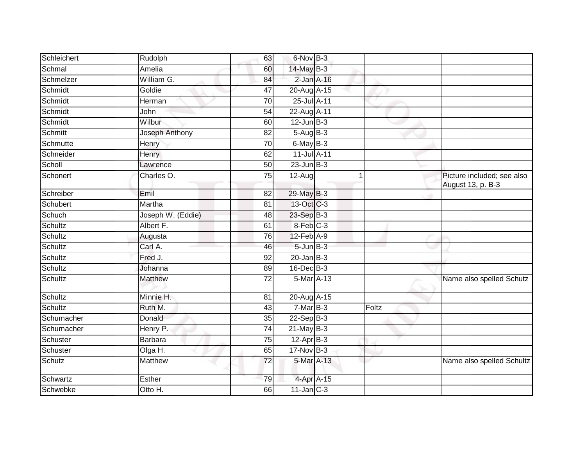| Schleichert | Rudolph           | 63              | 6-Nov B-3              |       |                                                 |
|-------------|-------------------|-----------------|------------------------|-------|-------------------------------------------------|
| Schmal      | Amelia            | 60              | 14-May B-3             |       |                                                 |
| Schmelzer   | William G.        | 84              | $2$ -Jan $A-16$        |       |                                                 |
| Schmidt     | Goldie            | 47              | 20-Aug A-15            |       |                                                 |
| Schmidt     | Herman            | $\overline{70}$ | 25-Jul A-11            |       |                                                 |
| Schmidt     | John              | 54              | 22-Aug A-11            |       |                                                 |
| Schmidt     | Wilbur            | 60              | $12$ -Jun $B-3$        |       |                                                 |
| Schmitt     | Joseph Anthony    | 82              | $5 - \text{Aug}$ B-3   |       |                                                 |
| Schmutte    | Henry             | 70              | $6$ -May $B-3$         |       |                                                 |
| Schneider   | Henry             | 62              | 11-Jul A-11            |       |                                                 |
| Scholl      | Lawrence          | 50              | $23$ -Jun $B-3$        |       |                                                 |
| Schonert    | Charles O.        | 75              | $12-Auq$               | 1     | Picture included; see also<br>August 13, p. B-3 |
| Schreiber   | Emil              | $\overline{82}$ | 29-May B-3             |       |                                                 |
| Schubert    | Martha            | 81              | 13-Oct C-3             |       |                                                 |
| Schuch      | Joseph W. (Eddie) | 48              | 23-Sep B-3             |       |                                                 |
| Schultz     | Albert F.         | 61              | $8-Feb$ <sub>C-3</sub> |       |                                                 |
| Schultz     | Augusta           | 76              | 12-Feb A-9             |       |                                                 |
| Schultz     | Carl A.           | 46              | $5 - Jun$ $B-3$        |       |                                                 |
| Schultz     | Fred J.           | 92              | $20$ -Jan $B-3$        |       |                                                 |
| Schultz     | Johanna           | 89              | 16-Dec B-3             |       |                                                 |
| Schultz     | Matthew           | 72              | 5-Mar A-13             |       | Name also spelled Schutz                        |
| Schultz     | Minnie H.         | 81              | 20-Aug A-15            |       |                                                 |
| Schultz     | Ruth M.           | 43              | $7-MarB-3$             | Foltz |                                                 |
| Schumacher  | Donald            | 35              | $22-SepB-3$            |       |                                                 |
| Schumacher  | Henry P.          | $\overline{74}$ | $21$ -May B-3          |       |                                                 |
| Schuster    | <b>Barbara</b>    | 75              | $12-Apr$ B-3           |       |                                                 |
| Schuster    | Olga H.           | 65              | 17-Nov B-3             |       |                                                 |
| Schutz      | Matthew           | 72              | 5-Mar A-13             |       | Name also spelled Schultz                       |
| Schwartz    | Esther            | 79              | 4-Apr A-15             |       |                                                 |
| Schwebke    | Otto H.           | 66              | $11$ -Jan $C-3$        |       |                                                 |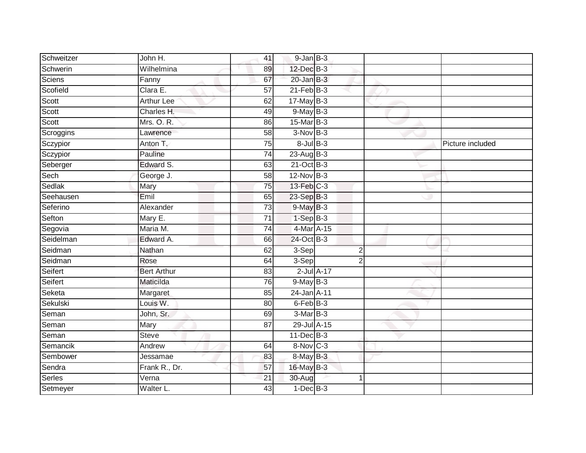| Schweitzer | John H.            | 41              | 9-Jan B-3       |                |                  |
|------------|--------------------|-----------------|-----------------|----------------|------------------|
| Schwerin   | Wilhelmina         | 89              | 12-Dec B-3      |                |                  |
| Sciens     | Fanny              | 67              | $20$ -Jan $B-3$ |                |                  |
| Scofield   | Clara E.           | 57              | $21$ -Feb $B-3$ |                |                  |
| Scott      | <b>Arthur Lee</b>  | 62              | $17$ -May B-3   |                |                  |
| Scott      | Charles H.         | 49              | $9$ -May $B-3$  |                |                  |
| Scott      | Mrs. O. R.         | 86              | 15-Mar B-3      |                |                  |
| Scroggins  | Lawrence           | 58              | $3-Nov$ B-3     |                |                  |
| Sczypior   | Anton T.           | 75              | $8$ -Jul $B$ -3 |                | Picture included |
| Sczypior   | Pauline            | $\overline{74}$ | 23-Aug B-3      |                |                  |
| Seberger   | Edward S.          | 63              | 21-Oct B-3      |                |                  |
| Sech       | George J.          | 58              | 12-Nov B-3      |                |                  |
| Sedlak     | Mary               | 75              | 13-Feb C-3      |                |                  |
| Seehausen  | Emil               | 65              | 23-Sep B-3      |                |                  |
| Seferino   | Alexander          | $\overline{73}$ | $9$ -May $B-3$  |                |                  |
| Sefton     | Mary E.            | 71              | $1-Sep$ B-3     |                |                  |
| Segovia    | Maria M.           | 74              | 4-Mar A-15      |                |                  |
| Seidelman  | Edward A.          | 66              | 24-Oct B-3      |                |                  |
| Seidman    | Nathan             | 62              | 3-Sep           | $\overline{2}$ |                  |
| Seidman    | Rose               | 64              | 3-Sep           | $\overline{2}$ |                  |
| Seifert    | <b>Bert Arthur</b> | 83              | $2$ -Jul $A-17$ |                |                  |
| Seifert    | Maticilda          | 76              | $9$ -May $B-3$  |                |                  |
| Seketa     | Margaret           | 85              | 24-Jan A-11     |                |                  |
| Sekulski   | Louis W.           | 80              | 6-Feb B-3       |                |                  |
| Seman      | John, Sr.          | 69              | $3-Mar$ B-3     |                |                  |
| Seman      | Mary               | 87              | 29-Jul A-15     |                |                  |
| Seman      | <b>Steve</b>       |                 | $11$ -Dec $B-3$ |                |                  |
| Semancik   | Andrew             | 64              | 8-Nov C-3       |                |                  |
| Sembower   | Jessamae           | 83              | 8-May B-3       |                |                  |
| Sendra     | Frank R., Dr.      | 57              | 16-May B-3      |                |                  |
| Serles     | Verna              | 21              | 30-Aug          | 1              |                  |
| Setmeyer   | Walter L.          | 43              | $1-Dec$ B-3     |                |                  |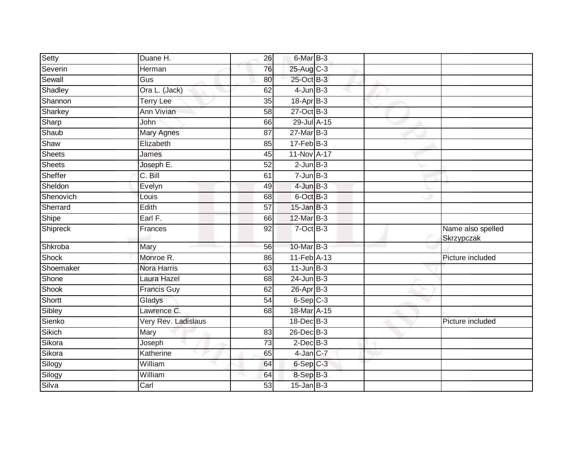| Setty         | Duane H.            | 26              | 6-Mar B-3        |  |                                 |
|---------------|---------------------|-----------------|------------------|--|---------------------------------|
| Severin       | Herman              | 76              | 25-Aug C-3       |  |                                 |
| Sewall        | Gus                 | 80              | 25-Oct B-3       |  |                                 |
| Shadley       | Ora L. (Jack)       | 62              | $4$ -Jun $B-3$   |  |                                 |
| Shannon       | <b>Terry Lee</b>    | 35              | $18-Apr$ B-3     |  |                                 |
| Sharkey       | <b>Ann Vivian</b>   | 58              | $27$ -Oct $B-3$  |  |                                 |
| Sharp         | John                | 66              | 29-Jul A-15      |  |                                 |
| Shaub         | <b>Mary Agnes</b>   | 87              | $27$ -Mar $B-3$  |  |                                 |
| Shaw          | Elizabeth           | 85              | $17$ -Feb $B-3$  |  |                                 |
| Sheets        | James               | 45              | 11-Nov A-17      |  |                                 |
| <b>Sheets</b> | Joseph E.           | 52              | $2$ -Jun $B-3$   |  |                                 |
| Sheffer       | C. Bill             | 61              | $7$ -Jun $B-3$   |  |                                 |
| Sheldon       | Evelyn              | 49              | $4$ -Jun $B-3$   |  |                                 |
| Shenovich     | Louis               | 68              | 6-Oct B-3        |  |                                 |
| Sherrard      | Edith               | $\overline{57}$ | $15$ -Jan B-3    |  |                                 |
| Shipe         | Earl F.             | 66              | 12-Mar B-3       |  |                                 |
| Shipreck      | Frances             | 92              | $7$ -Oct $B-3$   |  | Name also spelled<br>Skrzypczak |
| Shkroba       | Mary                | 56              | 10-Mar B-3       |  |                                 |
| Shock         | Monroe R.           | 86              | 11-Feb A-13      |  | Picture included                |
| Shoemaker     | <b>Nora Harris</b>  | 63              | $11$ -Jun $B-3$  |  |                                 |
| Shone         | Laura Hazel         | 68              | $24$ -Jun $B-3$  |  |                                 |
| Shook         | <b>Francis Guy</b>  | 62              | $26$ -Apr $B$ -3 |  |                                 |
| Shortt        | Gladys              | 54              | $6-Sep$ $C-3$    |  |                                 |
| Sibley        | Lawrence C.         | 68              | 18-Mar A-15      |  |                                 |
| Sienko        | Very Rev. Ladislaus |                 | 18-Dec B-3       |  | Picture included                |
| Sikich        | Mary                | 83              | $26$ -Dec $B-3$  |  |                                 |
| Sikora        | Joseph              | $\overline{73}$ | $2$ -Dec $B-3$   |  |                                 |
| Sikora        | Katherine           | 65              | 4-Jan C-7        |  |                                 |
| Silogy        | William             | 64              | $6-SepC-3$       |  |                                 |
| Silogy        | William             | 64              | 8-Sep B-3        |  |                                 |
| Silva         | Carl                | 53              | $15$ -Jan $B-3$  |  |                                 |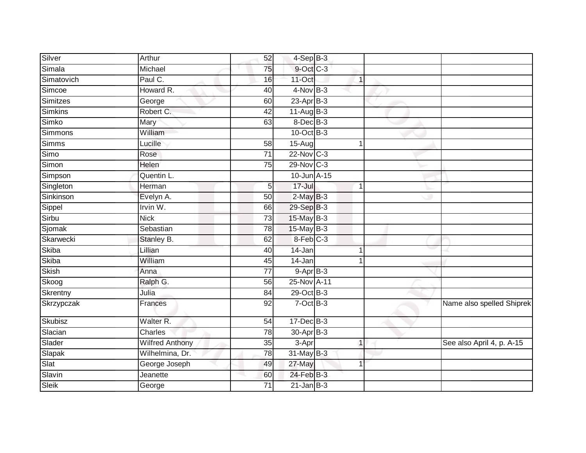| Silver       | Arthur                 | 52              | $4-Sep$ $B-3$   |              |                           |
|--------------|------------------------|-----------------|-----------------|--------------|---------------------------|
| Simala       | Michael                | 75              | 9-Oct C-3       |              |                           |
| Simatovich   | Paul C.                | 16              | 11-Oct          | $\mathbf{1}$ |                           |
| Simcoe       | Howard R.              | 40              | $4$ -Nov B-3    |              |                           |
| Simitzes     | George                 | 60              | $23$ -Apr $B-3$ |              |                           |
| Simkins      | Robert C.              | 42              | $11-AugB-3$     |              |                           |
| Simko        | Mary                   | 63              | 8-Dec B-3       |              |                           |
| Simmons      | William                |                 | $10$ -Oct B-3   |              |                           |
| Simms        | Lucille                | 58              | $15-Aug$        |              |                           |
| Simo         | Rose                   | $\overline{71}$ | $22$ -Nov C-3   |              |                           |
| Simon        | Helen                  | 75              | 29-Nov C-3      |              |                           |
| Simpson      | Quentin L.             |                 | 10-Jun A-15     |              |                           |
| Singleton    | Herman                 | 5               | $17 -$ Jul      | 1            |                           |
| Sinkinson    | Evelyn A.              | 50              | $2-MayB-3$      |              |                           |
| Sippel       | Irvin W.               | 66              | 29-Sep B-3      |              |                           |
| Sirbu        | <b>Nick</b>            | 73              | 15-May B-3      |              |                           |
| Sjomak       | Sebastian              | 78              | $15$ -May B-3   |              |                           |
| Skarwecki    | Stanley B.             | 62              | 8-Feb C-3       |              |                           |
| <b>Skiba</b> | Lillian                | 40              | 14-Jan          |              |                           |
| Skiba        | William                | 45              | 14-Jan          |              |                           |
| <b>Skish</b> | Anna                   | 77              | $9-Apr$ B-3     |              |                           |
| Skoog        | Ralph G.               | 56              | 25-Nov A-11     |              |                           |
| Skrentny     | Julia                  | 84              | 29-Oct B-3      |              |                           |
| Skrzypczak   | <b>Frances</b>         | 92              | $7$ -Oct $B-3$  |              | Name also spelled Shiprek |
| Skubisz      | Walter <sub>R.</sub>   | 54              | $17 - Dec$ B-3  |              |                           |
| Slacian      | Charles                | 78              | 30-Apr B-3      |              |                           |
| Slader       | <b>Wilfred Anthony</b> | 35              | $3-Apr$         | $\mathbf{1}$ | See also April 4, p. A-15 |
| Slapak       | Wilhelmina, Dr.        | 78              | $31$ -May B-3   |              |                           |
| Slat         | George Joseph          | 49              | 27-May          |              |                           |
| Slavin       | Jeanette               | 60              | 24-Feb B-3      |              |                           |
| Sleik        | George                 | 71              | $21$ -Jan $B-3$ |              |                           |
|              |                        |                 |                 |              |                           |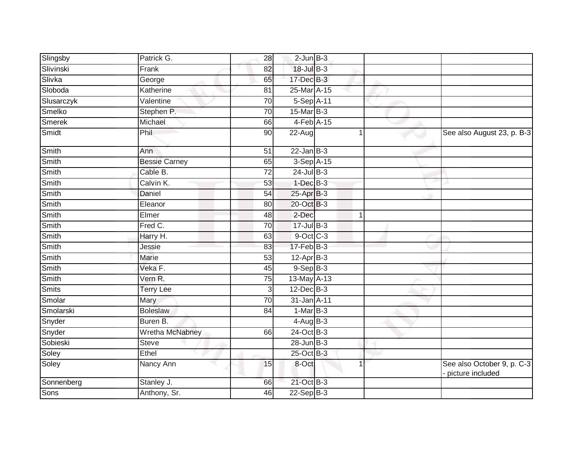| Slingsby     | Patrick G.           | $\overline{28}$ | $2$ -Jun $B-3$   |              |                                                |
|--------------|----------------------|-----------------|------------------|--------------|------------------------------------------------|
| Slivinski    | Frank                | 82              | 18-Jul B-3       |              |                                                |
| Slivka       | George               | 65              | $17 - Dec$ $B-3$ |              |                                                |
| Sloboda      | Katherine            | 81              | 25-Mar A-15      |              |                                                |
| Slusarczyk   | Valentine            | 70              | 5-Sep A-11       |              |                                                |
| Smelko       | Stephen P.           | $\overline{70}$ | $15$ -Mar $B-3$  |              |                                                |
| Smerek       | Michael              | 66              | $4-Feb$ A-15     |              |                                                |
| Smidt        | Phil                 | 90              | 22-Aug           |              | See also August 23, p. B-3                     |
| Smith        | Ann                  | 51              | $22$ -Jan $B-3$  |              |                                                |
| Smith        | <b>Bessie Carney</b> | 65              | 3-Sep A-15       |              |                                                |
| Smith        | Cable B.             | 72              | $24$ -Jul $B-3$  |              |                                                |
| <b>Smith</b> | Calvin K.            | 53              | $1-Dec$ $B-3$    |              |                                                |
| <b>Smith</b> | <b>Daniel</b>        | 54              | $25$ -Apr $B-3$  |              |                                                |
| Smith        | Eleanor              | 80              | 20-Oct B-3       |              |                                                |
| Smith        | Elmer                | $\overline{48}$ | 2-Dec            | $\mathbf{1}$ |                                                |
| Smith        | Fred C.              | 70              | 17-Jul B-3       |              |                                                |
| Smith        | Harry H.             | 63              | $9$ -Oct $C-3$   |              |                                                |
| Smith        | Jessie               | 83              | $17$ -Feb $B-3$  |              |                                                |
| Smith        | Marie                | 53              | $12-Apr$ B-3     |              |                                                |
| <b>Smith</b> | Veka F.              | 45              | $9-Sep$ $B-3$    |              |                                                |
| Smith        | Vern R.              | 75              | 13-May A-13      |              |                                                |
| <b>Smits</b> | <b>Terry Lee</b>     | 3               | $12$ -Dec $B-3$  |              |                                                |
| Smolar       | Mary                 | 70              | 31-Jan A-11      |              |                                                |
| Smolarski    | <b>Boleslaw</b>      | 84              | $1-MarB-3$       |              |                                                |
| Snyder       | Buren B.             |                 | $4-AugB-3$       |              |                                                |
| Snyder       | Wretha McNabney      | 66              | 24-Oct B-3       |              |                                                |
| Sobieski     | <b>Steve</b>         |                 | $28$ -Jun $B-3$  |              |                                                |
| Soley        | Ethel                |                 | 25-Oct B-3       |              |                                                |
| Soley        | Nancy Ann            | 15              | 8-Oct            |              | See also October 9, p. C-3<br>picture included |
| Sonnenberg   | Stanley J.           | 66              | 21-Oct B-3       |              |                                                |
| Sons         | Anthony, Sr.         | 46              | $22-Sep$ B-3     |              |                                                |
|              |                      |                 |                  |              |                                                |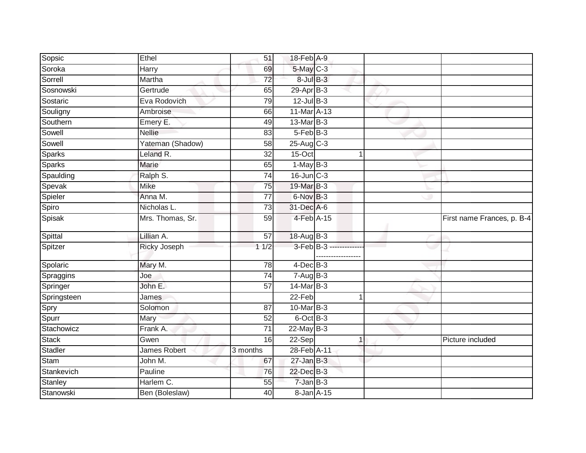| Sopsic        | Ethel                  | 51              | 18-Feb A-9              |                         |                            |
|---------------|------------------------|-----------------|-------------------------|-------------------------|----------------------------|
| Soroka        | <b>Harry</b>           | 69              | 5-May C-3               |                         |                            |
| Sorrell       | Martha                 | $\overline{72}$ | $8$ -Jul $B-3$          |                         |                            |
| Sosnowski     | Gertrude               | 65              | $29-Apr$ B-3            |                         |                            |
| Sostaric      | Eva Rodovich           | 79              | $12$ -Jul B-3           |                         |                            |
| Souligny      | Ambroise               | 66              | 11-Mar A-13             |                         |                            |
| Southern      | Emery E.               | 49              | 13-Mar B-3              |                         |                            |
| Sowell        | <b>Nellie</b>          | 83              | 5-Feb B-3               |                         |                            |
| Sowell        | Yateman (Shadow)       | 58              | $25-Aug$ <sub>C-3</sub> |                         |                            |
| <b>Sparks</b> | Leland R.              | $\overline{32}$ | $15-Oct$                |                         |                            |
| <b>Sparks</b> | Marie                  | 65              | $1-MayB-3$              |                         |                            |
| Spaulding     | Ralph $\overline{S}$ . | 74              | $16$ -Jun $C-3$         |                         |                            |
| Spevak        | Mike                   | 75              | 19-Mar B-3              |                         |                            |
| Spieler       | Anna M.                | 77              | 6-Nov B-3               |                         |                            |
| Spiro         | Nicholas L.            | $\overline{73}$ | 31-Dec A-6              |                         |                            |
| Spisak        | Mrs. Thomas, Sr.       | 59              | 4-Feb A-15              |                         | First name Frances, p. B-4 |
| Spittal       | Lillian A.             | 57              | 18-Aug B-3              |                         |                            |
| Spitzer       | <b>Ricky Joseph</b>    | 11/2            |                         | 3-Feb B-3 ------------- |                            |
| Spolaric      | Mary M.                | 78              | $4$ -Dec B-3            |                         |                            |
| Spraggins     | Joe                    | 74              | $7 - Aug$ B-3           |                         |                            |
| Springer      | John E.                | 57              | 14-Mar B-3              |                         |                            |
| Springsteen   | James                  |                 | 22-Feb                  | $\mathbf 1$             |                            |
| Spry          | Solomon                | 87              | 10-Mar B-3              |                         |                            |
| Spurr         | Mary                   | 52              | 6-Oct B-3               |                         |                            |
| Stachowicz    | Frank A.               | $\overline{71}$ | $22$ -May $B-3$         |                         |                            |
| Stack         | Gwen                   | 16              | $22-Sep$                | 1                       | Picture included           |
| Stadler       | James Robert           | 3 months        | 28-Feb A-11             |                         |                            |
| Stam          | John M.                | 67              | $27$ -Jan B-3           |                         |                            |
| Stankevich    | Pauline                | 76              | 22-Dec B-3              |                         |                            |
| Stanley       | Harlem C.              | 55              | $7$ -Jan $B-3$          |                         |                            |
| Stanowski     | Ben (Boleslaw)         | 40              | 8-Jan A-15              |                         |                            |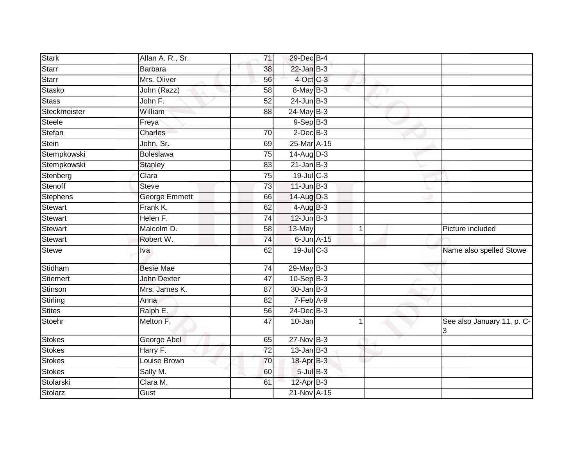| <b>Stark</b>    | Allan A. R., Sr.     | 71              | 29-Dec B-4       |   |                                 |
|-----------------|----------------------|-----------------|------------------|---|---------------------------------|
| Starr           | <b>Barbara</b>       | 38              | $22$ -Jan $B-3$  |   |                                 |
| Starr           | Mrs. Oliver          | 56              | $4$ -Oct C-3     |   |                                 |
| Stasko          | John (Razz)          | 58              | 8-May B-3        |   |                                 |
| <b>Stass</b>    | John F.              | 52              | $24$ -Jun $B-3$  |   |                                 |
| Steckmeister    | William              | 88              | 24-May B-3       |   |                                 |
| <b>Steele</b>   | Freya                |                 | $9-$ Sep $B-3$   |   |                                 |
| Stefan          | Charles              | 70              | $2$ -Dec $B-3$   |   |                                 |
| Stein           | John, Sr.            | 69              | 25-Mar A-15      |   |                                 |
| Stempkowski     | <b>Boleslawa</b>     | 75              | $14$ -Aug $D-3$  |   |                                 |
| Stempkowski     | <b>Stanley</b>       | 83              | $21$ -Jan $B-3$  |   |                                 |
| Stenberg        | Clara                | 75              | $19$ -Jul $C-3$  |   |                                 |
| Stenoff         | <b>Steve</b>         | 73              | $11$ -Jun $B-3$  |   |                                 |
| <b>Stephens</b> | <b>George Emmett</b> | 66              | 14-Aug D-3       |   |                                 |
| <b>Stewart</b>  | Frank K.             | 62              | $4-AugB-3$       |   |                                 |
| Stewart         | Helen F.             | 74              | $12$ -Jun $B-3$  |   |                                 |
| Stewart         | Malcolm D.           | 58              | 13-May           | 1 | Picture included                |
| Stewart         | Robert W.            | 74              | $6$ -Jun $A$ -15 |   |                                 |
| <b>Stewe</b>    | Iva                  | 62              | 19-Jul C-3       |   | Name also spelled Stowe         |
| Stidham         | <b>Besie Mae</b>     | $\overline{74}$ | 29-May B-3       |   |                                 |
| Stiemert        | <b>John Dexter</b>   | $\overline{47}$ | $10-Sep$ B-3     |   |                                 |
| Stinson         | Mrs. James K.        | 87              | $30 - Jan$ $B-3$ |   |                                 |
| Stirling        | Anna                 | 82              | $7-Feb$ A-9      |   |                                 |
| Stites          | Ralph E.             | 56              | $24$ -Dec $B-3$  |   |                                 |
| Stoehr          | Melton F.            | 47              | 10-Jan           |   | See also January 11, p. C-<br>3 |
| Stokes          | George Abel          | 65              | $27$ -Nov $B-3$  |   |                                 |
| Stokes          | Harry F.             | $\overline{72}$ | $13$ -Jan B-3    |   |                                 |
| Stokes          | Louise Brown         | 70              | 18-Apr B-3       |   |                                 |
| <b>Stokes</b>   | Sally M.             | 60              | $5$ -Jul $B$ -3  |   |                                 |
| Stolarski       | Clara M.             | 61              | $12$ -Apr $B-3$  |   |                                 |
| Stolarz         | Gust                 |                 | 21-Nov A-15      |   |                                 |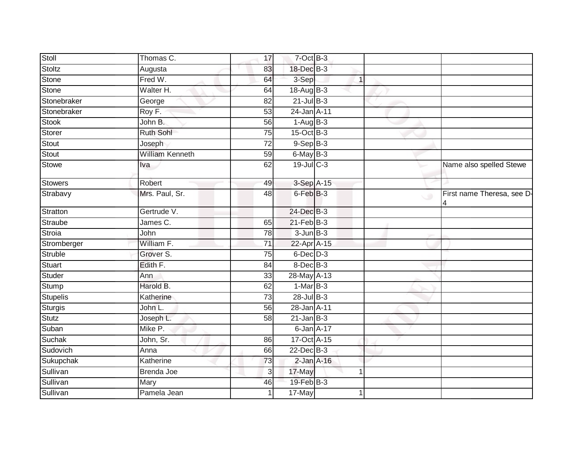| Stoll           | Thomas C.              | 17              | $7$ -Oct $B-3$  |              |        |                                 |
|-----------------|------------------------|-----------------|-----------------|--------------|--------|---------------------------------|
| Stoltz          | Augusta                | 83              | 18-Dec B-3      |              |        |                                 |
| <b>Stone</b>    | Fred W.                | 64              | 3-Sep           | $\mathbf{1}$ |        |                                 |
| Stone           | Walter H.              | 64              | $18$ -Aug $B-3$ |              |        |                                 |
| Stonebraker     | George                 | $\overline{82}$ | $21$ -Jul B-3   |              |        |                                 |
| Stonebraker     | Roy F.                 | 53              | 24-Jan A-11     |              |        |                                 |
| <b>Stook</b>    | John B.                | 56              | $1-AugB-3$      |              |        |                                 |
| Storer          | <b>Ruth Sohl</b>       | 75              | $15$ -Oct B-3   |              |        |                                 |
| Stout           | Joseph                 | 72              | $9-SepB-3$      |              |        |                                 |
| Stout           | <b>William Kenneth</b> | 59              | 6-May B-3       |              |        |                                 |
| <b>Stowe</b>    | Iva                    | 62              | $19$ -Jul C-3   |              |        | Name also spelled Stewe         |
| <b>Stowers</b>  | Robert                 | 49              | 3-Sep A-15      |              |        |                                 |
| Strabavy        | Mrs. Paul, Sr.         | $\overline{48}$ | $6$ -Feb $B$ -3 |              | $\cup$ | First name Theresa, see D-<br>4 |
| Stratton        | Gertrude V.            |                 | 24-Dec B-3      |              |        |                                 |
| Straube         | James C.               | 65              | $21$ -Feb $B-3$ |              |        |                                 |
| Stroia          | John                   | 78              | $3 - Jun$ $B-3$ |              |        |                                 |
| Stromberger     | William F.             | $\overline{71}$ | 22-Apr A-15     |              |        |                                 |
| <b>Struble</b>  | Grover S.              | 75              | $6$ -Dec $D-3$  |              |        |                                 |
| <b>Stuart</b>   | Edith F.               | 84              | 8-Dec B-3       |              |        |                                 |
| Studer          | Ann                    | $\overline{33}$ | 28-May A-13     |              |        |                                 |
| Stump           | Harold B.              | 62              | $1-Mar$ B-3     |              |        |                                 |
| <b>Stupelis</b> | Katherine              | $\overline{73}$ | $28$ -Jul B-3   |              |        |                                 |
| <b>Sturgis</b>  | John L.                | 56              | 28-Jan A-11     |              |        |                                 |
| Stutz           | Joseph L.              | 58              | $21$ -Jan B-3   |              |        |                                 |
| Suban           | Mike P.                |                 | 6-Jan A-17      |              |        |                                 |
| Suchak          | John, Sr.              | 86              | 17-Oct A-15     |              |        |                                 |
| Sudovich        | Anna                   | 66              | $22$ -Dec $B-3$ |              |        |                                 |
| Sukupchak       | Katherine              | 73              | $2$ -Jan $A-16$ |              |        |                                 |
| Sullivan        | Brenda Joe             | 3               | 17-May          | 1            |        |                                 |
| Sullivan        | Mary                   | 46              | 19-Feb B-3      |              |        |                                 |
| Sullivan        | Pamela Jean            |                 | 17-May          |              |        |                                 |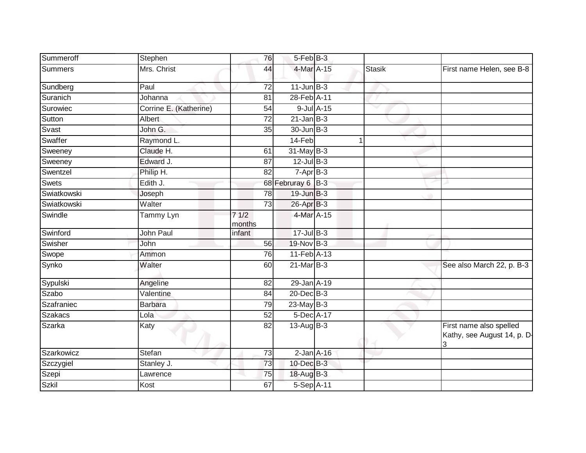| Summeroff      | Stephen                | 76              | $5-FebB-3$         |                  |               |                                                             |
|----------------|------------------------|-----------------|--------------------|------------------|---------------|-------------------------------------------------------------|
| <b>Summers</b> | Mrs. Christ            | 44              | 4-Mar A-15         |                  | <b>Stasik</b> | First name Helen, see B-8                                   |
| Sundberg       | Paul                   | 72              | $11$ -Jun $B-3$    |                  |               |                                                             |
| Suranich       | Johanna                | 81              | 28-Feb A-11        |                  |               |                                                             |
| Surowiec       | Corrine E. (Katherine) | 54              |                    | $9$ -Jul $A$ -15 |               |                                                             |
| Sutton         | Albert                 | $\overline{72}$ | $21$ -Jan B-3      |                  |               |                                                             |
| Svast          | John G.                | 35              | 30-Jun B-3         |                  |               |                                                             |
| Swaffer        | Raymond L.             |                 | 14-Feb             |                  |               |                                                             |
| Sweeney        | Claude H.              | 61              | $31$ -May B-3      |                  |               |                                                             |
| Sweeney        | Edward J.              | 87              | $12$ -Jul B-3      |                  |               |                                                             |
| Swentzel       | Philip H.              | 82              | $7-Apr$ B-3        |                  |               |                                                             |
| <b>Swets</b>   | Edith J.               |                 | 68 Februray 6 B-3  |                  |               |                                                             |
| Swiatkowski    | Joseph                 | $\overline{78}$ | 19-Jun B-3         |                  |               |                                                             |
| Swiatkowski    | Walter                 | 73              | $26$ -Apr $B$ -3   |                  |               |                                                             |
| Swindle        | Tammy Lyn              | 71/2<br>months  | 4-Mar A-15         |                  |               |                                                             |
| Swinford       | John Paul              | infant          | $17 -$ Jul $B - 3$ |                  |               |                                                             |
| Swisher        | John                   | 56              | 19-Nov B-3         |                  |               |                                                             |
| Swope          | Ammon                  | 76              | 11-Feb A-13        |                  |               |                                                             |
| Synko          | Walter                 | 60              | $21$ -Mar $B-3$    |                  |               | See also March 22, p. B-3                                   |
| Sypulski       | Angeline               | 82              | 29-Jan A-19        |                  |               |                                                             |
| Szabo          | Valentine              | 84              | $20$ -Dec $B-3$    |                  |               |                                                             |
| Szafraniec     | <b>Barbara</b>         | 79              | $23$ -May $B-3$    |                  |               |                                                             |
| <b>Szakacs</b> | Lola                   | 52              | 5-Dec A-17         |                  |               |                                                             |
| Szarka         | Katy                   | 82              | $13$ -Aug $B-3$    |                  |               | First name also spelled<br>Kathy, see August 14, p. D-<br>3 |
| Szarkowicz     | Stefan                 | $\overline{73}$ | $2$ -Jan $A-16$    |                  |               |                                                             |
| Szczygiel      | Stanley J.             | 73              | 10-Dec B-3         |                  |               |                                                             |
| Szepi          | Lawrence               | 75              | 18-Aug B-3         |                  |               |                                                             |
| <b>Szkil</b>   | Kost                   | 67              | 5-Sep A-11         |                  |               |                                                             |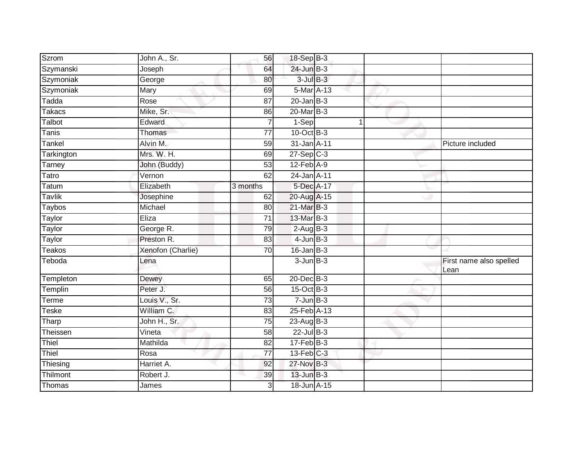| Szrom         | John A., Sr.      | 56              | 18-Sep B-3                   |   |                         |
|---------------|-------------------|-----------------|------------------------------|---|-------------------------|
| Szymanski     | Joseph            | 64              | 24-Jun B-3                   |   |                         |
| Szymoniak     | George            | 80              | $3$ -Jul $B-3$               |   |                         |
| Szymoniak     | Mary              | 69              | 5-Mar A-13                   |   |                         |
| Tadda         | Rose              | $\overline{87}$ | $20$ -Jan B-3                |   |                         |
| Takacs        | Mike, Sr.         | 86              | 20-Mar B-3                   |   |                         |
| Talbot        | Edward            | 7               | 1-Sep                        | 1 |                         |
| Tanis         | Thomas            | 77              | $10$ -Oct B-3                |   |                         |
| Tankel        | Alvin M.          | 59              | 31-Jan A-11                  |   | Picture included        |
| Tarkington    | Mrs. W. H.        | 69              | $27-Sep$ <sub>C-3</sub>      |   |                         |
| Tarney        | John (Buddy)      | 53              | $12$ -Feb $A-9$              |   |                         |
| Tatro         | Vernon            | 62              | 24-Jan A-11                  |   |                         |
| Tatum         | Elizabeth         | 3 months        | 5-Dec A-17                   |   |                         |
| <b>Tavlik</b> | Josephine         | 62              | 20-Aug A-15                  |   |                         |
| <b>Taybos</b> | Michael           | 80              | 21-Mar B-3                   |   |                         |
| Taylor        | Eliza             | 71              | 13-Mar B-3                   |   |                         |
| <b>Taylor</b> | George R.         | 79              | $2-AugB-3$                   |   |                         |
| Taylor        | Preston R.        | 83              | $4$ -Jun $B-3$               |   |                         |
| <b>Teakos</b> | Xenofon (Charlie) | 70              | $16$ -Jan $B-3$              |   |                         |
| Teboda        | Lena              |                 | $3 - Jun$ $B-3$              |   | First name also spelled |
|               |                   |                 |                              |   | Lean                    |
| Templeton     | Dewey             | 65              | 20-Dec B-3                   |   |                         |
| Templin       | Peter J.          | 56              | 15-Oct B-3                   |   |                         |
| Terme         | Louis V., Sr.     | 73              | $7 - Jun$ B-3                |   |                         |
| Teske         | William C.        | 83              | $25$ -Feb $\overline{A}$ -13 |   |                         |
| Tharp         | John H., Sr.      | 75              | $23$ -Aug B-3                |   |                         |
| Theissen      | Vineta            | 58              | $22$ -Jul B-3                |   |                         |
| Thiel         | Mathilda          | $\overline{82}$ | $17$ -Feb $B-3$              |   |                         |
| Thiel         | Rosa              | $\overline{77}$ | $13$ -Feb $C-3$              |   |                         |
| Thiesing      | Harriet A.        | 92              | 27-Nov B-3                   |   |                         |
| Thilmont      | Robert J.         | 39              | $13$ -Jun $B-3$              |   |                         |
| Thomas        | James             | 3               | 18-Jun A-15                  |   |                         |
|               |                   |                 |                              |   |                         |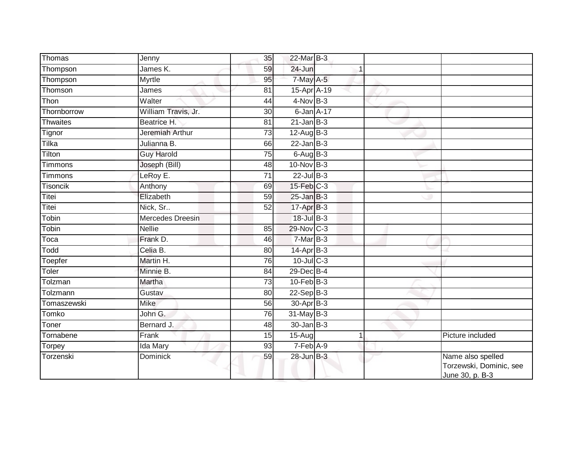| Thomas          | Jenny               | 35              | 22-Mar B-3        |   |                                                                 |
|-----------------|---------------------|-----------------|-------------------|---|-----------------------------------------------------------------|
| Thompson        | James K.            | 59              | 24-Jun            |   |                                                                 |
| Thompson        | Myrtle              | 95              | $7$ -May $A-5$    |   |                                                                 |
| Thomson         | James               | 81              | 15-Apr A-19       |   |                                                                 |
| Thon            | Walter              | 44              | $4-NovB-3$        |   |                                                                 |
| Thornborrow     | William Travis, Jr. | 30              | 6-Jan A-17        |   |                                                                 |
| <b>Thwaites</b> | Beatrice H.         | 81              | $21$ -Jan B-3     |   |                                                                 |
| Tignor          | Jeremiah Arthur     | 73              | $12$ -Aug $B-3$   |   |                                                                 |
| Tilka           | Julianna B.         | 66              | $22$ -Jan B-3     |   |                                                                 |
| Tilton          | <b>Guy Harold</b>   | $\overline{75}$ | $6$ -Aug $B$ -3   |   |                                                                 |
| Timmons         | Joseph (Bill)       | 48              | $10$ -Nov $B-3$   |   |                                                                 |
| Timmons         | LeRoy E.            | 71              | $22$ -Jul B-3     |   |                                                                 |
| <b>Tisoncik</b> | Anthony             | 69              | $15$ -Feb $ C-3 $ |   |                                                                 |
| Titei           | Elizabeth           | 59              | $25$ -Jan $B-3$   |   |                                                                 |
| Titei           | Nick, Sr            | $\overline{52}$ | 17-Apr B-3        |   |                                                                 |
| Tobin           | Mercedes Dreesin    |                 | 18-Jul B-3        |   |                                                                 |
| Tobin           | <b>Nellie</b>       | 85              | 29-Nov C-3        |   |                                                                 |
| Toca            | Frank D.            | 46              | $7-MarB-3$        |   |                                                                 |
| Todd            | Celia B.            | 80              | 14-Apr B-3        |   |                                                                 |
| Toepfer         | Martin H.           | 76              | $10$ -Jul $C-3$   |   |                                                                 |
| Toler           | Minnie B.           | 84              | 29-Dec B-4        |   |                                                                 |
| Tolzman         | Martha              | 73              | $10$ -Feb $B-3$   |   |                                                                 |
| Tolzmann        | Gustav              | 80              | $22-Sep$ B-3      |   |                                                                 |
| Tomaszewski     | <b>Mike</b>         | 56              | 30-Apr B-3        |   |                                                                 |
| Tomko           | John G.             | 76              | 31-May B-3        |   |                                                                 |
| Toner           | Bernard J.          | 48              | $30$ -Jan $ B-3 $ |   |                                                                 |
| Tornabene       | Frank               | 15              | 15-Aug            | 1 | Picture included                                                |
| Torpey          | Ida Mary            | 93              | $7-Feb$ A-9       |   |                                                                 |
| Torzenski       | Dominick            | 59              | $28$ -Jun $B-3$   |   | Name also spelled<br>Torzewski, Dominic, see<br>June 30, p. B-3 |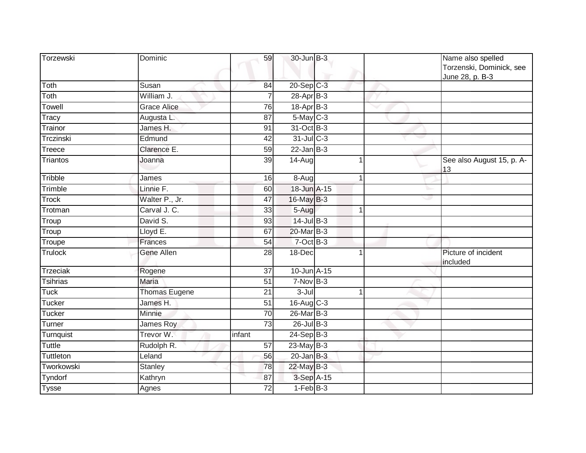| Torzewski             | Dominic              | 59              | 30-Jun B-3      |   | Name also spelled<br>Torzenski, Dominick, see<br>June 28, p. B-3 |
|-----------------------|----------------------|-----------------|-----------------|---|------------------------------------------------------------------|
| Toth                  | Susan                | 84              | 20-Sep C-3      |   |                                                                  |
| Toth                  | William J.           | 7               | $28-Apr$ B-3    |   |                                                                  |
| Towell                | <b>Grace Alice</b>   | 76              | $18-Apr$ B-3    |   |                                                                  |
| Tracy                 | Augusta L.           | 87              | $5$ -May $C$ -3 |   |                                                                  |
| Trainor               | James H.             | 91              | 31-Oct B-3      |   |                                                                  |
| Trczinski             | Edmund               | 42              | 31-Jul C-3      |   |                                                                  |
| Treece                | Clarence E.          | 59              | $22$ -Jan B-3   |   |                                                                  |
| Triantos              | Joanna               | $\overline{39}$ | 14-Aug          |   | See also August 15, p. A-<br>13                                  |
| Tribble               | James                | 16              | 8-Aug           |   |                                                                  |
| Trimble               | Linnie F.            | 60              | 18-Jun A-15     |   |                                                                  |
| <b>Trock</b>          | Walter P., Jr.       | 47              | $16$ -May B-3   |   |                                                                  |
| $\overline{T}$ rotman | Carval J. C.         | 33              | 5-Aug           | 1 |                                                                  |
| Troup                 | David S.             | 93              | $14$ -Jul $B-3$ |   |                                                                  |
| Troup                 | Lloyd E.             | 67              | 20-Mar B-3      |   |                                                                  |
| Troupe                | Frances              | 54              | 7-Oct B-3       |   |                                                                  |
| Trulock               | Gene Allen           | 28              | 18-Dec          | 1 | Picture of incident<br>included                                  |
| <b>Trzeciak</b>       | Rogene               | $\overline{37}$ | 10-Jun A-15     |   |                                                                  |
| <b>Tsihrias</b>       | Maria                | 51              | $7-Nov$ B-3     |   |                                                                  |
| $\overline{Tuck}$     | <b>Thomas Eugene</b> | 21              | 3-Jul           | 1 |                                                                  |
| <b>Tucker</b>         | James H.             | 51              | 16-Aug C-3      |   |                                                                  |
| <b>Tucker</b>         | Minnie               | 70              | $26$ -Mar $B-3$ |   |                                                                  |
| Turner                | James Roy            | 73              | 26-Jul B-3      |   |                                                                  |
| Turnquist             | Trevor W.            | infant          | $24-Sep$ B-3    |   |                                                                  |
| <b>Tuttle</b>         | Rudolph R.           | 57              | 23-May $B-3$    |   |                                                                  |
| Tuttleton             | Leland               | 56              | $20$ -Jan $B-3$ |   |                                                                  |
| Tworkowski            | Stanley              | 78              | 22-May B-3      |   |                                                                  |
| Tyndorf               | Kathryn              | 87              | 3-Sep A-15      |   |                                                                  |
| <b>Tysse</b>          | Agnes                | 72              | $1-FebB-3$      |   |                                                                  |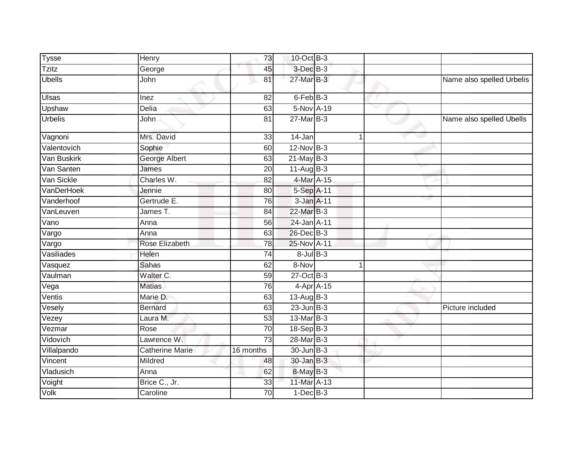| <b>Tysse</b>   | <b>Henry</b>    | 73              | 10-Oct B-3           |              |                           |
|----------------|-----------------|-----------------|----------------------|--------------|---------------------------|
| <b>Tzitz</b>   | George          | 45              | 3-Dec <sup>B-3</sup> |              |                           |
| <b>Ubells</b>  | John            | 81              | 27-Mar B-3           |              | Name also spelled Urbelis |
| <b>Ulsas</b>   | Inez            | 82              | 6-Feb B-3            |              |                           |
| Upshaw         | Delia           | 63              | 5-Nov A-19           | $\checkmark$ |                           |
| <b>Urbelis</b> | John            | 81              | $27$ -Mar $B-3$      |              | Name also spelled Ubells  |
| Vagnoni        | Mrs. David      | 33              | 14-Jan               |              |                           |
| Valentovich    | Sophie          | 60              | $12$ -Nov $B-3$      |              |                           |
| Van Buskirk    | George Albert   | 63              | $21$ -May B-3        |              |                           |
| Van Santen     | James           | 20              | $11-Aug$ B-3         |              |                           |
| Van Sickle     | Charles W.      | 82              | 4-Mar A-15           |              |                           |
| VanDerHoek     | Jennie          | 80              | 5-Sep A-11           |              |                           |
| Vanderhoof     | Gertrude E.     | 76              | 3-Jan A-11           |              |                           |
| VanLeuven      | James T.        | 84              | 22-Mar B-3           |              |                           |
| Vano           | Anna            | 56              | 24-Jan A-11          |              |                           |
| Vargo          | Anna            | 63              | 26-Dec B-3           |              |                           |
| Vargo          | Rose Elizabeth  | 78              | 25-Nov A-11          |              |                           |
| Vasiliades     | Helen           | 74              | $8$ -Jul $B-3$       |              |                           |
| Vasquez        | <b>Sahas</b>    | 62              | 8-Nov                |              |                           |
| Vaulman        | Walter C.       | 59              | $27$ -Oct B-3        |              |                           |
| Vega           | <b>Matias</b>   | 76              | 4-Apr A-15           |              |                           |
| Ventis         | Marie D.        | 63              | 13-Aug B-3           |              |                           |
| Vesely         | <b>Bernard</b>  | 63              | $23$ -Jun $B-3$      |              | Picture included          |
| Vezey          | Laura M.        | 53              | $13$ -Mar $B-3$      |              |                           |
| Vezmar         | Rose            | $\overline{70}$ | 18-Sep B-3           |              |                           |
| Vidovich       | Lawrence W.     | 73              | 28-Mar B-3           |              |                           |
| Villalpando    | Catherine Marie | 16 months       | 30-Jun B-3           |              |                           |
| Vincent        | Mildred         | 48              | 30-Jan B-3           |              |                           |
| Vladusich      | Anna            | 62              | 8-May B-3            |              |                           |
| Voight         | Brice C., Jr.   | 33              | 11-Mar A-13          |              |                           |
| Volk           | Caroline        | 70              | $1-Dec$ B-3          |              |                           |
|                |                 |                 |                      |              |                           |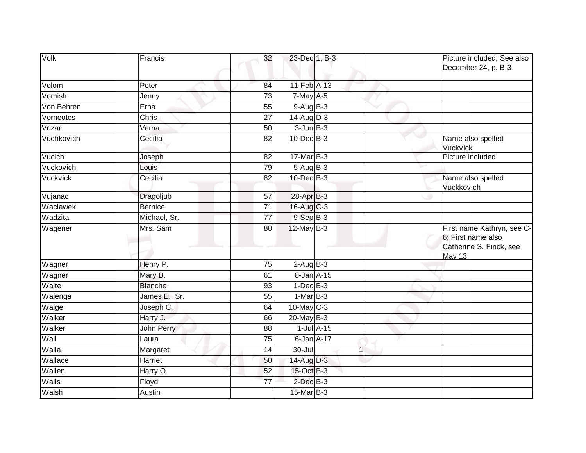| Volk       | Francis        | 32              | 23-Dec 1, B-3     | Picture included; See also<br>December 24, p. B-3                                     |
|------------|----------------|-----------------|-------------------|---------------------------------------------------------------------------------------|
| Volom      | Peter          | 84              | 11-Feb A-13       |                                                                                       |
| Vomish     | Jenny          | 73              | $7$ -May $A$ -5   |                                                                                       |
| Von Behren | Erna           | 55              | $9-AugB-3$        |                                                                                       |
| Vorneotes  | <b>Chris</b>   | 27              | $14-AugD-3$       |                                                                                       |
| Vozar      | Verna          | 50              | $3$ -Jun $B-3$    |                                                                                       |
| Vuchkovich | Cecilia        | 82              | $10$ -Dec $B-3$   | Name also spelled<br>Vuckvick                                                         |
| Vucich     | Joseph         | 82              | 17-Mar B-3        | Picture included                                                                      |
| Vuckovich  | Louis          | 79              | 5-Aug B-3         |                                                                                       |
| Vuckvick   | Cecilia        | 82              | $10$ -Dec $B-3$   | Name also spelled<br>Vuckkovich                                                       |
| Vujanac    | Dragoljub      | 57              | 28-Apr B-3        |                                                                                       |
| Waclawek   | <b>Bernice</b> | $\overline{71}$ | 16-Aug C-3        |                                                                                       |
| Wadzita    | Michael, Sr.   | 77              | $9-$ Sep $B-3$    |                                                                                       |
| Wagener    | Mrs. Sam       | 80              | $12$ -May B-3     | First name Kathryn, see C-<br>6; First name also<br>Catherine S. Finck, see<br>May 13 |
| Wagner     | Henry P.       | $\overline{75}$ | $2-AugB-3$        |                                                                                       |
| Wagner     | Mary B.        | 61              | 8-Jan A-15        |                                                                                       |
| Waite      | <b>Blanche</b> | 93              | $1-Dec$ B-3       |                                                                                       |
| Walenga    | James E., Sr.  | 55              | $1-MarB-3$        |                                                                                       |
| Walge      | Joseph C.      | 64              | $10$ -May C-3     |                                                                                       |
| Walker     | Harry J.       | 66              | 20-May B-3        |                                                                                       |
| Walker     | John Perry     | 88              | $1$ -Jul $A-15$   |                                                                                       |
| Wall       | Laura          | 75              | 6-Jan A-17        |                                                                                       |
| Walla      | Margaret       | $\overline{14}$ | $30 -$ Jul        |                                                                                       |
| Wallace    | Harriet        | 50              | 14-Aug D-3        |                                                                                       |
| Wallen     | Harry O.       | 52              | 15-Oct B-3        |                                                                                       |
| Walls      | Floyd          | 77              | $2$ -Dec $B-3$    |                                                                                       |
| Walsh      | Austin         |                 | $15$ -Mar $ B-3 $ |                                                                                       |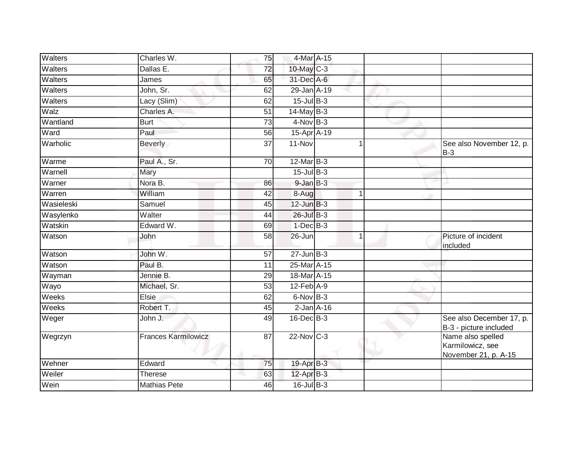| Walters    | Charles W.                 | 75              | 4-Mar A-15            |                |                                                               |
|------------|----------------------------|-----------------|-----------------------|----------------|---------------------------------------------------------------|
| Walters    | Dallas E.                  | $\overline{72}$ | $10$ -May C-3         |                |                                                               |
| Walters    | James                      | 65              | 31-Dec A-6            |                |                                                               |
| Walters    | John, Sr.                  | 62              | 29-Jan A-19           |                |                                                               |
| Walters    | Lacy (Slim)                | 62              | $15$ -Jul B-3         |                |                                                               |
| Walz       | Charles A.                 | 51              | 14-May B-3            |                |                                                               |
| Wantland   | <b>Burt</b>                | 73              | $4-Nov$ B-3           |                |                                                               |
| Ward       | Paul                       | 56              | 15-Apr A-19           |                |                                                               |
| Warholic   | <b>Beverly</b>             | 37              | 11-Nov                |                | See also November 12, p.<br>$B-3$                             |
| Warme      | Paul A., Sr.               | 70              | 12-Mar B-3            |                |                                                               |
| Warnell    | Mary                       |                 | $15$ -Jul B-3         |                |                                                               |
| Warner     | Nora B.                    | 86              | $9$ -Jan $B$ -3       |                |                                                               |
| Warren     | William                    | $\overline{42}$ | $8 - \overline{A}$ ug |                |                                                               |
| Wasieleski | Samuel                     | 45              | $12$ -Jun $B-3$       |                |                                                               |
| Wasylenko  | Walter                     | 44              | 26-Jul B-3            |                |                                                               |
| Watskin    | Edward W.                  | 69              | $1-Dec$ B-3           |                |                                                               |
| Watson     | John                       | 58              | 26-Jun                | $\overline{1}$ | Picture of incident<br>included                               |
| Watson     | John W.                    | 57              | $27 - Jun$ B-3        |                |                                                               |
| Watson     | Paul B.                    | 11              | 25-Mar A-15           |                |                                                               |
| Wayman     | Jennie B.                  | 29              | 18-Mar A-15           |                |                                                               |
| Wayo       | Michael, Sr.               | 53              | $12$ -Feb $A-9$       |                |                                                               |
| Weeks      | Elsie                      | 62              | $6$ -Nov $B-3$        |                |                                                               |
| Weeks      | Robert T.                  | 45              | $2$ -Jan $A-16$       |                |                                                               |
| Weger      | John J.                    | 49              | $16$ -Dec $B$ -3      |                | See also December 17, p.<br>B-3 - picture included            |
| Wegrzyn    | <b>Frances Karmilowicz</b> | $\overline{87}$ | 22-Nov C-3            |                | Name also spelled<br>Karmilowicz, see<br>November 21, p. A-15 |
| Wehner     | Edward                     | 75              | 19-Apr B-3            |                |                                                               |
| Weiler     | <b>Therese</b>             | 63              | 12-Apr B-3            |                |                                                               |
| Wein       | <b>Mathias Pete</b>        | 46              | $16$ -Jul B-3         |                |                                                               |
|            |                            |                 |                       |                |                                                               |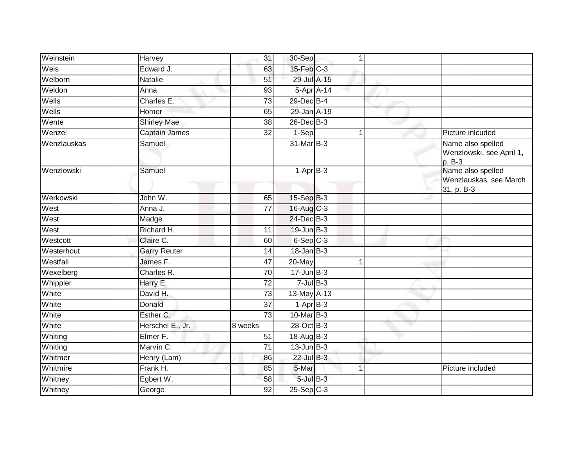| Weinstein   | Harvey              | 31              | 30-Sep                  | $\mathbf{1}$ |                                                           |
|-------------|---------------------|-----------------|-------------------------|--------------|-----------------------------------------------------------|
| Weis        | Edward J.           | 63              | $15$ -Feb $C-3$         |              |                                                           |
| Welborn     | <b>Natalie</b>      | 51              | 29-Jul A-15             |              |                                                           |
| Weldon      | Anna                | 93              |                         | 5-Apr A-14   |                                                           |
| Wells       | Charles E.          | $\overline{73}$ | 29-Dec B-4              |              |                                                           |
| Wells       | Homer               | 65              | 29-Jan A-19             |              |                                                           |
| Wente       | <b>Shirley Mae</b>  | 38              | 26-Dec B-3              |              |                                                           |
| Wenzel      | Captain James       | 32              | 1-Sep                   | $\mathbf 1$  | Picture inlcuded                                          |
| Wenzlauskas | Samuel              |                 | 31-Mar B-3              |              | Name also spelled<br>Wenzlowski, see April 1,<br>p. B-3   |
| Wenzlowski  | Samuel              |                 | $1-AprB-3$              |              | Name also spelled<br>Wenzlauskas, see March<br>31, p. B-3 |
| Werkowski   | John W.             | 65              | 15-Sep B-3              |              |                                                           |
| West        | Anna J.             | $\overline{77}$ | 16-Aug C-3              |              |                                                           |
| West        | Madge               |                 | 24-Dec B-3              |              |                                                           |
| West        | Richard H.          | 11              | 19-Jun B-3              |              |                                                           |
| Westcott    | Claire C.           | 60              | $6-Sep$ $C-3$           |              |                                                           |
| Westerhout  | <b>Garry Reuter</b> | 14              | $18$ -Jan $B-3$         |              |                                                           |
| Westfall    | James F.            | 47              | 20-May                  | 1            |                                                           |
| Wexelberg   | Charles R.          | 70              | $17 - Jun$ B-3          |              |                                                           |
| Whippler    | Harry E.            | $\overline{72}$ | $7$ -Jul $B-3$          |              |                                                           |
| White       | David H.            | 73              | 13-May A-13             |              |                                                           |
| White       | Donald              | $\overline{37}$ | $1-Apr\overline{B-3}$   |              |                                                           |
| White       | Esther C.           | 73              | 10-Mar B-3              |              |                                                           |
| White       | Herschel E., Jr.    | 8 weeks         | 28-Oct B-3              |              |                                                           |
| Whiting     | Elmer F.            | 51              | $18-AugB-3$             |              |                                                           |
| Whiting     | Marvin C.           | $\overline{71}$ | $13$ -Jun $B-3$         |              |                                                           |
| Whitmer     | Henry (Lam)         | 86              | 22-Jul B-3              |              |                                                           |
| Whitmire    | Frank H.            | 85              | 5-Mar                   | 1            | Picture included                                          |
| Whitney     | Egbert W.           | 58              | $5$ -Jul $B-3$          |              |                                                           |
| Whitney     | George              | $\overline{92}$ | $25-Sep$ <sub>C-3</sub> |              |                                                           |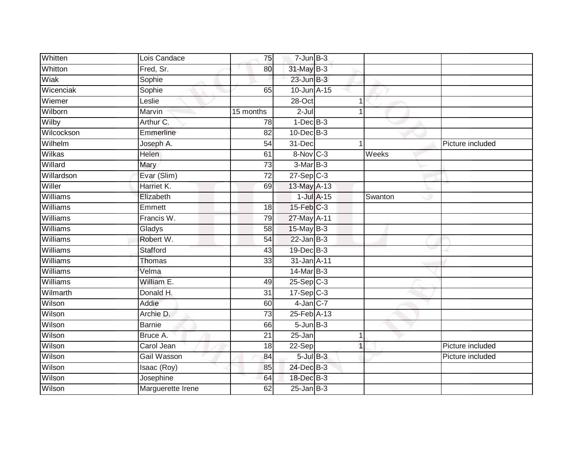| Whitten         | Lois Candace      | 75              | $7$ -Jun $B-3$          |                 |         |                  |
|-----------------|-------------------|-----------------|-------------------------|-----------------|---------|------------------|
| Whitton         | Fred, Sr.         | 80              | 31-May B-3              |                 |         |                  |
| Wiak            | Sophie            |                 | $23$ -Jun $B-3$         |                 |         |                  |
| Wicenciak       | Sophie            | 65              | $10$ -Jun $A-15$        |                 |         |                  |
| Wiemer          | Leslie            |                 | $28 - Oct$              | 1               |         |                  |
| Wilborn         | Marvin            | 15 months       | $2-Jul$                 | 1               |         |                  |
| Wilby           | Arthur C.         | 78              | $1-Dec$ B-3             |                 |         |                  |
| Wilcockson      | Emmerline         | 82              | $10$ -Dec $B-3$         |                 |         |                  |
| Wilhelm         | Joseph A.         | 54              | 31-Dec                  |                 |         | Picture included |
| Wilkas          | <b>Helen</b>      | 61              | 8-Nov C-3               |                 | Weeks   |                  |
| Willard         | Mary              | 73              | 3-Mar B-3               |                 |         |                  |
| Willardson      | Evar (Slim)       | $\overline{72}$ | $27-Sep$ <sub>C-3</sub> |                 |         |                  |
| Willer          | Harriet K.        | 69              | 13-May A-13             |                 |         |                  |
| Williams        | Elizabeth         |                 |                         | $1$ -Jul $A-15$ | Swanton |                  |
| Williams        | Emmett            | 18              | $15$ -Feb $C-3$         |                 |         |                  |
| Williams        | Francis W.        | 79              | 27-May A-11             |                 |         |                  |
| Williams        | Gladys            | 58              | $15$ -May B-3           |                 |         |                  |
| Williams        | Robert W.         | 54              | $22$ -Jan B-3           |                 |         |                  |
| Williams        | Stafford          | 43              | 19-Dec B-3              |                 |         |                  |
| <b>Williams</b> | <b>Thomas</b>     | 33              | 31-Jan A-11             |                 |         |                  |
| Williams        | Velma             |                 | 14-Mar B-3              |                 |         |                  |
| Williams        | William E.        | 49              | $25-Sep$ C-3            |                 |         |                  |
| Wilmarth        | Donald H.         | 31              | $17-Sep$ $C-3$          |                 |         |                  |
| Wilson          | Addie             | 60              | $4$ -Jan $C$ -7         |                 |         |                  |
| Wilson          | Archie D.         | $\overline{73}$ | 25-Feb A-13             |                 |         |                  |
| Wilson          | <b>Barnie</b>     | 66              | $5 - Jun$ $B-3$         |                 |         |                  |
| Wilson          | Bruce A.          | $\overline{21}$ | $25 - Jan$              | 1               |         |                  |
| Wilson          | Carol Jean        | 18              | 22-Sep                  | $\overline{1}$  |         | Picture included |
| Wilson          | Gail Wasson       | 84              | $5$ -Jul $B-3$          |                 |         | Picture included |
| Wilson          | Isaac (Roy)       | 85              | 24-Dec B-3              |                 |         |                  |
| Wilson          | Josephine         | 64              | 18-Dec B-3              |                 |         |                  |
| Wilson          | Marguerette Irene | 62              | $25$ -Jan B-3           |                 |         |                  |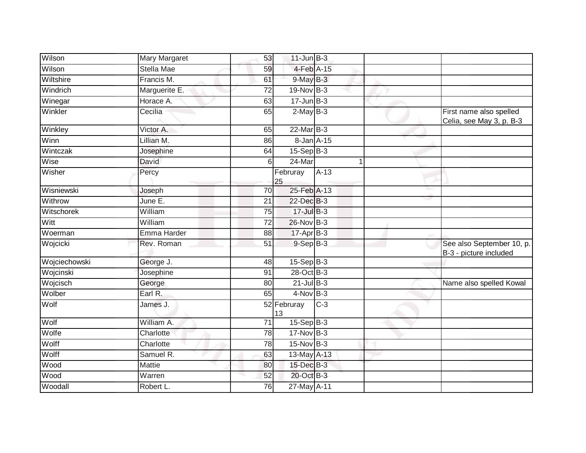| Wilson        | Mary Margaret     | 53              | $11$ -Jun $B-3$   |        |                                                     |
|---------------|-------------------|-----------------|-------------------|--------|-----------------------------------------------------|
| Wilson        | <b>Stella Mae</b> | 59              | 4-Feb A-15        |        |                                                     |
| Wiltshire     | Francis M.        | 61              | $9$ -May $B-3$    |        |                                                     |
| Windrich      | Marguerite E.     | 72              | $19-Nov$ B-3      |        |                                                     |
| Winegar       | Horace A.         | 63              | $17 - Jun$ $B-3$  |        |                                                     |
| Winkler       | Cecilia           | 65              | $2-MayB-3$        |        | First name also spelled<br>Celia, see May 3, p. B-3 |
| Winkley       | Victor A.         | 65              | $22$ -Mar $B-3$   |        |                                                     |
| Winn          | Lillian M.        | 86              | 8-Jan A-15        |        |                                                     |
| Wintczak      | Josephine         | 64              | $15-Sep$ B-3      |        |                                                     |
| Wise          | <b>David</b>      | 6               | 24-Mar            |        |                                                     |
| Wisher        | Percy             |                 | Februray<br>25    | $A-13$ |                                                     |
| Wisniewski    | Joseph            | 70              | 25-Feb A-13       |        |                                                     |
| Withrow       | June E.           | $\overline{21}$ | 22-Dec B-3        |        |                                                     |
| Witschorek    | William           | 75              | 17-Jul B-3        |        |                                                     |
| Witt          | William           | 72              | 26-Nov B-3        |        |                                                     |
| Woerman       | Emma Harder       | 88              | 17-Apr B-3        |        |                                                     |
| Wojcicki      | Rev. Roman        | 51              | $9-$ Sep $B-3$    |        | See also September 10, p.<br>B-3 - picture included |
| Wojciechowski | George J.         | 48              | $15-Sep$ B-3      |        |                                                     |
| Wojcinski     | Josephine         | 91              | 28-Oct B-3        |        |                                                     |
| Wojcisch      | George            | 80              | $21$ -Jul B-3     |        | Name also spelled Kowal                             |
| Wolber        | Earl R.           | 65              | $4$ -Nov $B-3$    |        |                                                     |
| Wolf          | James J.          |                 | 52 Februray<br>13 | $C-3$  |                                                     |
| Wolf          | William A.        | $\overline{71}$ | $15-Sep$ B-3      |        |                                                     |
| Wolfe         | Charlotte         | 78              | $17-Nov$ B-3      |        |                                                     |
| Wolff         | Charlotte         | 78              | 15-Nov B-3        |        |                                                     |
| Wolff         | Samuel R.         | 63              | 13-May A-13       |        |                                                     |
| Wood          | Mattie            | 80              | 15-Dec B-3        |        |                                                     |
| <b>Wood</b>   | Warren            | 52              | 20-Oct B-3        |        |                                                     |
| Woodall       | Robert L.         | 76              | 27-May A-11       |        |                                                     |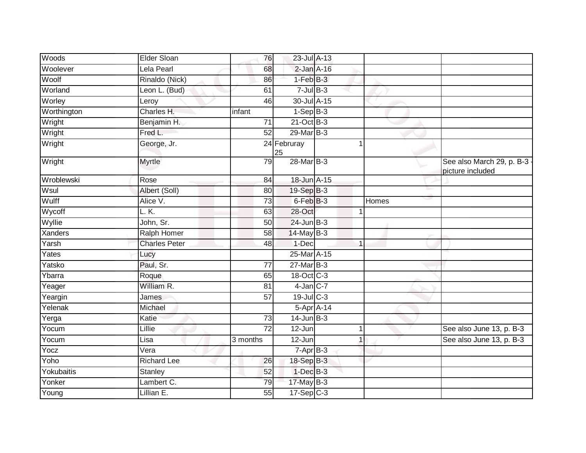| Woods               | Elder Sloan          | 76              | 23-Jul A-13       |              |              |                                                 |
|---------------------|----------------------|-----------------|-------------------|--------------|--------------|-------------------------------------------------|
| Woolever            | Lela Pearl           | 68              | $2$ -Jan $A-16$   |              |              |                                                 |
| Woolf               | Rinaldo (Nick)       | 86              | $1-FebB-3$        |              |              |                                                 |
| Worland             | Leon L. (Bud)        | 61              | $7$ -Jul $B-3$    |              |              |                                                 |
| Worley              | Leroy                | 46              | 30-Jul A-15       |              |              |                                                 |
| Worthington         | Charles H.           | infant          | $1-\text{Sep}B-3$ |              |              |                                                 |
| Wright              | Benjamin H.          | $\overline{71}$ | $21$ -Oct B-3     |              |              |                                                 |
| Wright              | Fred L.              | 52              | 29-Mar B-3        |              |              |                                                 |
| Wright              | George, Jr.          |                 | 24 Februray<br>25 | 1            |              |                                                 |
| Wright              | Myrtle               | 79              | 28-Mar B-3        |              |              | See also March 29, p. B-3 -<br>picture included |
| Wroblewski          | Rose                 | 84              | 18-Jun A-15       |              |              |                                                 |
| Wsul                | Albert (Soll)        | 80              | 19-Sep B-3        |              |              |                                                 |
| Wulff               | Alice V.             | 73              | 6-Feb B-3         |              | <b>Homes</b> |                                                 |
| Wycoff              | L.K.                 | 63              | 28-Oct            | 1            |              |                                                 |
| Wyllie              | John, Sr.            | 50              | $24$ -Jun $B-3$   |              |              |                                                 |
| Xanders             | <b>Ralph Homer</b>   | 58              | 14-May B-3        |              |              |                                                 |
| Yarsh               | <b>Charles Peter</b> | 48              | 1-Dec             |              |              |                                                 |
| Yates               | Lucy                 |                 | 25-Mar A-15       |              |              |                                                 |
| Yatsko              | Paul, Sr.            | 77              | $27$ -Mar $B-3$   |              |              |                                                 |
| Ybarra              | Roque                | 65              | 18-Oct C-3        |              |              |                                                 |
| Yeager              | William R.           | 81              | $4$ -Jan $C$ -7   |              |              |                                                 |
| Yeargin             | James                | $\overline{57}$ | 19-Jul C-3        |              |              |                                                 |
| Yelenak             | Michael              |                 | 5-Apr A-14        |              |              |                                                 |
| $\overline{Y}$ erga | Katie                | 73              | $14$ -Jun $B-3$   |              |              |                                                 |
| Yocum               | <b>Lillie</b>        | $\overline{72}$ | $12 - Jun$        | $\mathbf{1}$ |              | See also June 13, p. B-3                        |
| Yocum               | Lisa                 | 3 months        | $12 - Jun$        | $\mathbf{1}$ |              | See also June 13, p. B-3                        |
| Yocz                | Vera                 |                 | $7-AprB-3$        |              |              |                                                 |
| Yoho                | <b>Richard Lee</b>   | 26              | 18-Sep B-3        |              |              |                                                 |
| Yokubaitis          | Stanley              | 52              | $1$ -Dec $B-3$    |              |              |                                                 |
| Yonker              | Lambert C.           | 79              | 17-May B-3        |              |              |                                                 |
| Young               | Lillian E.           | 55              | $17 - Sep$ $C-3$  |              |              |                                                 |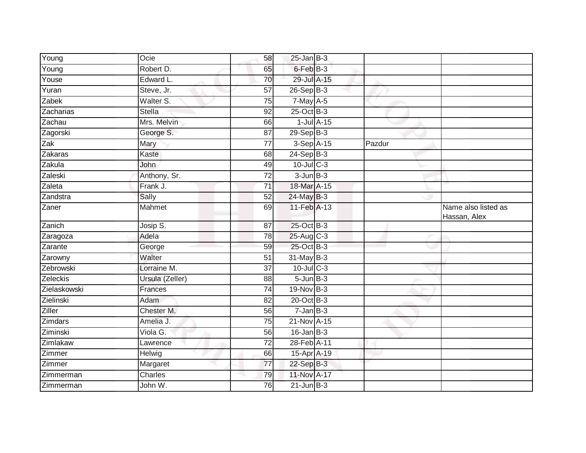| Young        | Ocie            | 58              | $25$ -Jan B-3    |        |                                     |
|--------------|-----------------|-----------------|------------------|--------|-------------------------------------|
| Young        | Robert D.       | 65              | 6-Feb B-3        |        |                                     |
| Youse        | Edward L.       | 70              | 29-Jul A-15      |        |                                     |
| Yuran        | Steve, Jr.      | 57              | $26-SepB-3$      |        |                                     |
| Zabek        | Walter S.       | 75              | $7$ -May $A-5$   |        |                                     |
| Zacharias    | <b>Stella</b>   | 92              | $25$ -Oct $B-3$  |        |                                     |
| Zachau       | Mrs. Melvin     | 66              | $1$ -Jul $A$ -15 |        |                                     |
| Zagorski     | George S.       | 87              | 29-Sep B-3       |        |                                     |
| Zak          | Mary            | 77              | 3-Sep A-15       | Pazdur |                                     |
| Zakaras      | Kaste           | 68              | $24-Sep$ B-3     |        |                                     |
| Zakula       | John            | 49              | $10$ -Jul $C-3$  |        |                                     |
| Zaleski      | Anthony, Sr.    | 72              | $3 - Jun$ $B-3$  |        |                                     |
| Zaleta       | Frank J.        | 71              | 18-Mar A-15      |        |                                     |
| Zandstra     | Sally           | 52              | 24-May B-3       |        |                                     |
| Zaner        | Mahmet          | 69              | 11-Feb A-13      |        | Name also listed as<br>Hassan, Alex |
| Zanich       | Josip S.        | 87              | 25-Oct B-3       |        |                                     |
| Zaragoza     | Adela           | 78              | 25-Aug C-3       |        |                                     |
| Zarante      | George          | 59              | 25-Oct B-3       |        |                                     |
| Zarowny      | Walter          | 51              | 31-May B-3       |        |                                     |
| Zebrowski    | Lorraine M.     | $\overline{37}$ | 10-Jul C-3       |        |                                     |
| Zeleckis     | Ursula (Zeller) | 88              | $5 - Jun$ $B-3$  |        |                                     |
| Zielaskowski | Frances         | $\overline{74}$ | $19-Nov$ B-3     |        |                                     |
| Zielinski    | <b>Adam</b>     | 82              | 20-Oct B-3       |        |                                     |
| Ziller       | Chester M.      | 56              | $7 - Jan$ $B-3$  |        |                                     |
| Zimdars      | Amelia J.       | $\overline{75}$ | 21-Nov A-15      |        |                                     |
| Ziminski     | Viola G.        | 56              | $16$ -Jan B-3    |        |                                     |
| Zimlakaw     | Lawrence        | 72              | 28-Feb A-11      |        |                                     |
| Zimmer       | Helwig          | 66              | 15-Apr A-19      |        |                                     |
| Zimmer       | Margaret        | 77              | 22-Sep B-3       |        |                                     |
| Zimmerman    | Charles         | 79              | 11-Nov A-17      |        |                                     |
| Zimmerman    | John W.         | 76              | $21$ -Jun $B-3$  |        |                                     |